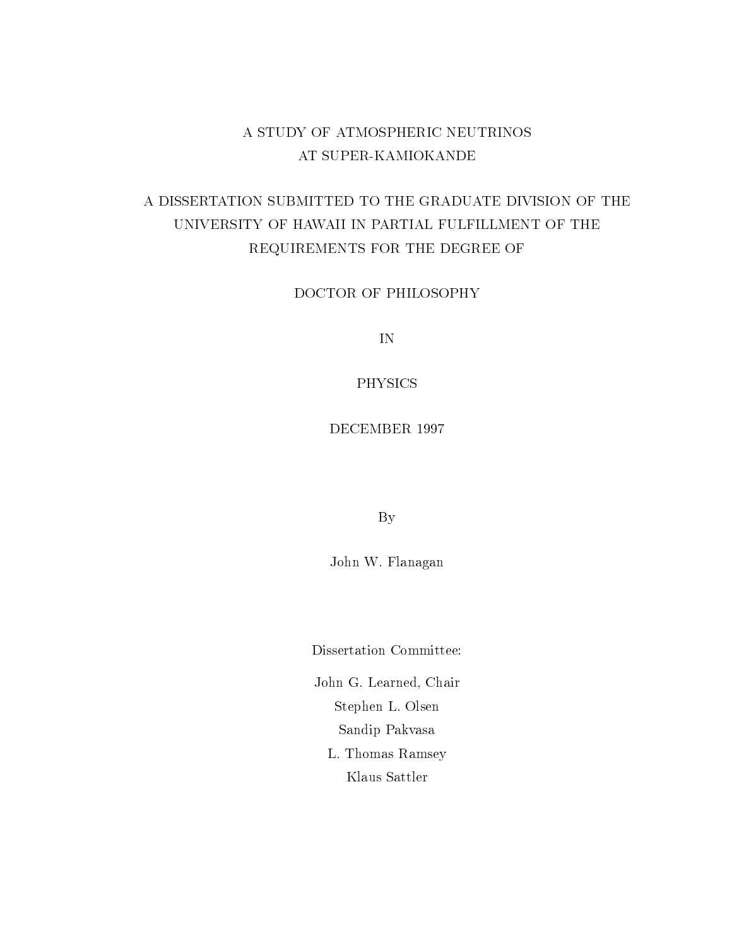### A STUDY OF ATMOSPHERIC NEUTRINOS AT SUPER-KAMIOKANDE

## A DISSERTATION SUBMITTED TO THE GRADUATE DIVISION OF THE UNIVERSITY OF HAWAII IN PARTIAL FULFILLMENT OF THE REQUIREMENTS FOR THE DEGREE OF

DOCTOR OF PHILOSOPHY

IN

PHYSICS

By

John W. Flanagan

Dissertation Committee:

John G. Learned, Chair Stephen L. Olsen Sandip Pakvasa L. Thomas Ramsey Klaus Sattler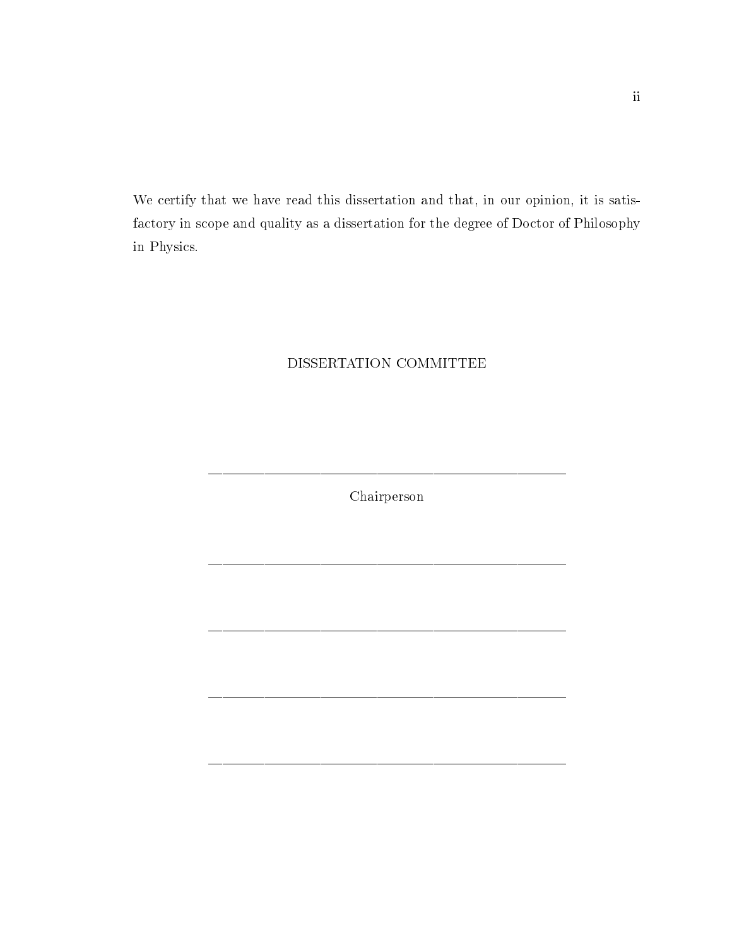We certify that we have read this dissertation and that, in our opinion, it is satisfactory in scope and quality as a dissertation for the degree of Doctor of Philosophy in Physics.

#### DISSERTATION COMMITTEE

Chairperson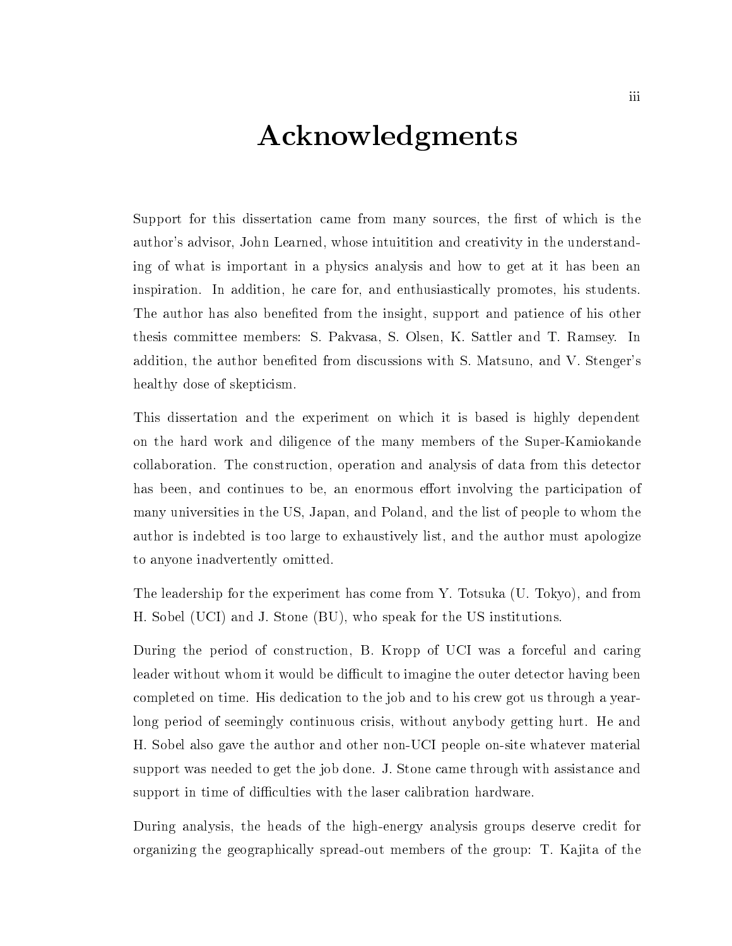## Acknowledgments

Support for this dissertation came from many sources, the first of which is the author's advisor, John Learned, whose intuitition and creativity in the understanding of what is important in a physics analysis and how to get at it has been an inspiration. In addition, he care for, and enthusiastically promotes, his students. The author has also benefited from the insight, support and patience of his other thesis committee members: S. Pakvasa, S. Olsen, K. Sattler and T. Ramsey. In addition, the author benefited from discussions with S. Matsuno, and V. Stenger's healthy dose of skepticism.

This dissertation and the experiment on which it is based is highly dependent on the hard work and diligence of the many members of the Super-Kamiokande collaboration. The construction, operation and analysis of data from this detector has been, and continues to be, an enormous effort involving the participation of many universities in the US, Japan, and Poland, and the list of people to whom the author is indebted is too large to exhaustively list, and the author must apologize to anyone inadvertently omitted.

The leadership for the experiment has come from Y. Totsuka (U. Tokyo), and from H. Sobel (UCI) and J. Stone (BU), who speak for the US institutions.

During the period of construction, B. Kropp of UCI was a forceful and caring leader without whom it would be difficult to imagine the outer detector having been completed on time. His dedication to the job and to his crew got us through a yearlong period of seemingly continuous crisis, without anybody getting hurt. He and H. Sobel also gave the author and other non-UCI people on-site whatever material support was needed to get the job done. J. Stone came through with assistance and support in time of difficulties with the laser calibration hardware.

During analysis, the heads of the high-energy analysis groups deserve credit for organizing the geographically spread-out members of the group: T. Ka jita of the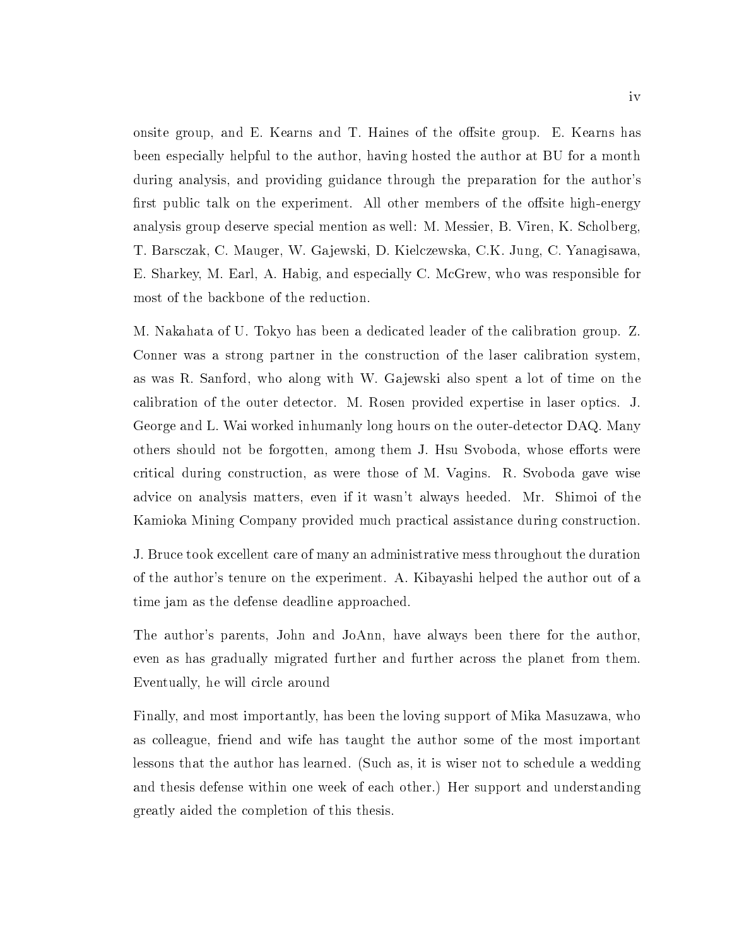onsite group, and E. Kearns and T. Haines of the offsite group. E. Kearns has been especially helpful to the author, having hosted the author at BU for a month during analysis, and providing guidance through the preparation for the author's first public talk on the experiment. All other members of the offsite high-energy analysis group deserve special mention as well: M. Messier, B. Viren, K. Scholberg, T. Barsczak, C. Mauger, W. Ga jewski, D. Kielczewska, C.K. Jung, C. Yanagisawa, E. Sharkey, M. Earl, A. Habig, and especially C. McGrew, who was responsible for most of the backbone of the reduction.

M. Nakahata of U. Tokyo has been a dedicated leader of the calibration group. Z. Conner was a strong partner in the construction of the laser calibration system, as was R. Sanford, who along with W. Gajewski also spent a lot of time on the calibration of the outer detector. M. Rosen provided expertise in laser optics. J. George and L. Wai worked inhumanly long hours on the outer-detector DAQ. Many others should not be forgotten, among them J. Hsu Svoboda, whose efforts were critical during construction, as were those of M. Vagins. R. Svoboda gave wise advice on analysis matters, even if it wasn't always heeded. Mr. Shimoi of the Kamioka Mining Company provided much practical assistance during construction.

J. Bruce took excellent care of many an administrative mess throughout the duration of the author's tenure on the experiment. A. Kibayashi helped the author out of a time jam as the defense deadline approached.

The author's parents, John and JoAnn, have always been there for the author, even as has gradually migrated further and further across the planet from them. Eventually, he will circle around

Finally, and most importantly, has been the loving support of Mika Masuzawa, who as colleague, friend and wife has taught the author some of the most important lessons that the author has learned. (Such as, it is wiser not to schedule a wedding and thesis defense within one week of each other.) Her support and understanding greatly aided the completion of this thesis.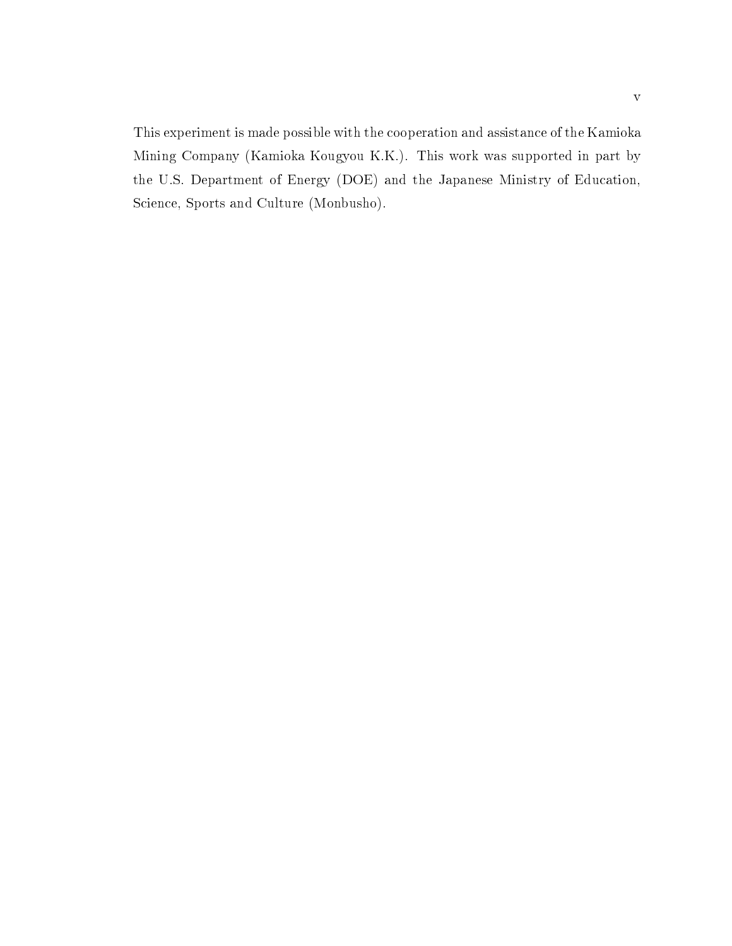This experiment is made possible with the cooperation and assistance of the Kamioka Mining Company (Kamioka Kougyou K.K.). This work was supported in part by the U.S. Department of Energy (DOE) and the Japanese Ministry of Education, Science, Sports and Culture (Monbusho).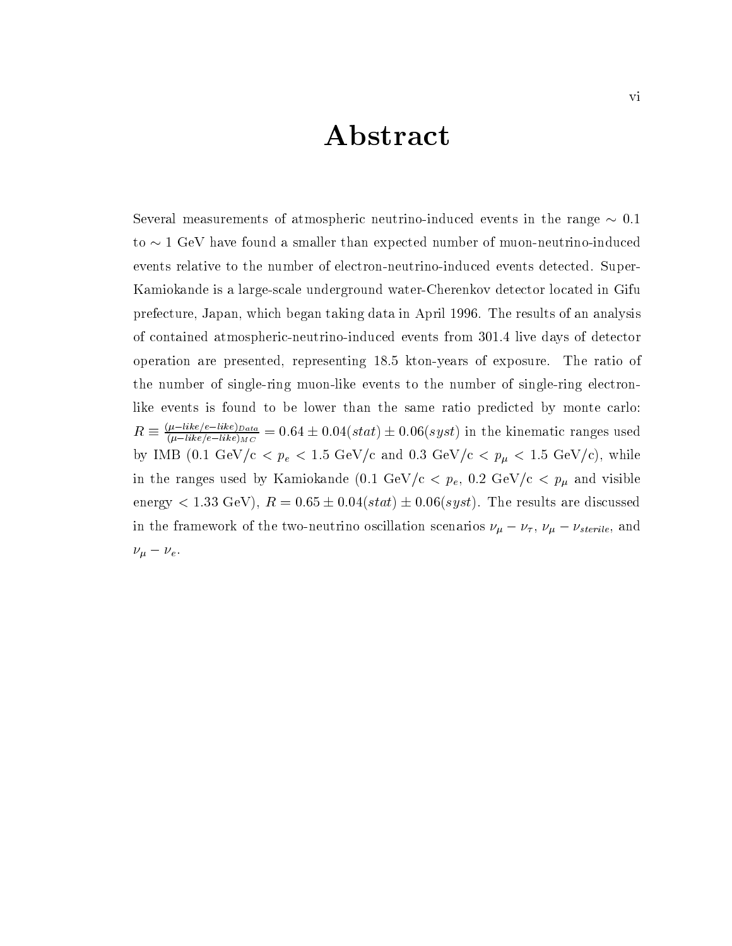## Abstract

Several measurements of atmospheric neutrino-induced events in the range  $\sim 0.1$ to  $\sim$  1 GeV have found a smaller than expected number of muon-neutrino-induced events relative to the number of electron-neutrino-induced events detected. Super-Kamiokande is a large-scale underground water-Cherenkov detector located in Gifu prefecture, Japan, which began taking data in April 1996. The results of an analysis of contained atmospheric-neutrino-induced events from 301.4 live days of detector operation are presented, representing 18.5 kton-years of exposure. The ratio of the number of single-ring muon-like events to the number of single-ring electronlike events is found to be lower than the same ratio predicted by monte carlo:  $R \equiv \frac{(l-1)D_{acc}}{(l-1)ke/e-like_{MC}} = 0.64 \pm 0.04(stat) \pm 0.06(syst)$  in the kinematic ranges used by IMB (0.1 GeV/c <  $p_e$  < 1.5 GeV/c and 0.3 GeV/c <  $p_{\mu}$  < 1.5 GeV/c), while in the ranges used by Kamiokande  $(0.1 \text{ GeV/c} < p_e, 0.2 \text{ GeV/c} < p_\mu$  and visible energy  $< 1.33 \text{ GeV}$ ,  $R = 0.65 \pm 0.04(stat) \pm 0.06(syst)$ . The results are discussed in the framework of the two-neutrino oscillation scenarios  $\nu_{\mu} - \nu_{\tau}$ ,  $\nu_{\mu} - \nu_{sterile}$ , and  $\nu_{\mu} - \nu_{e}$ .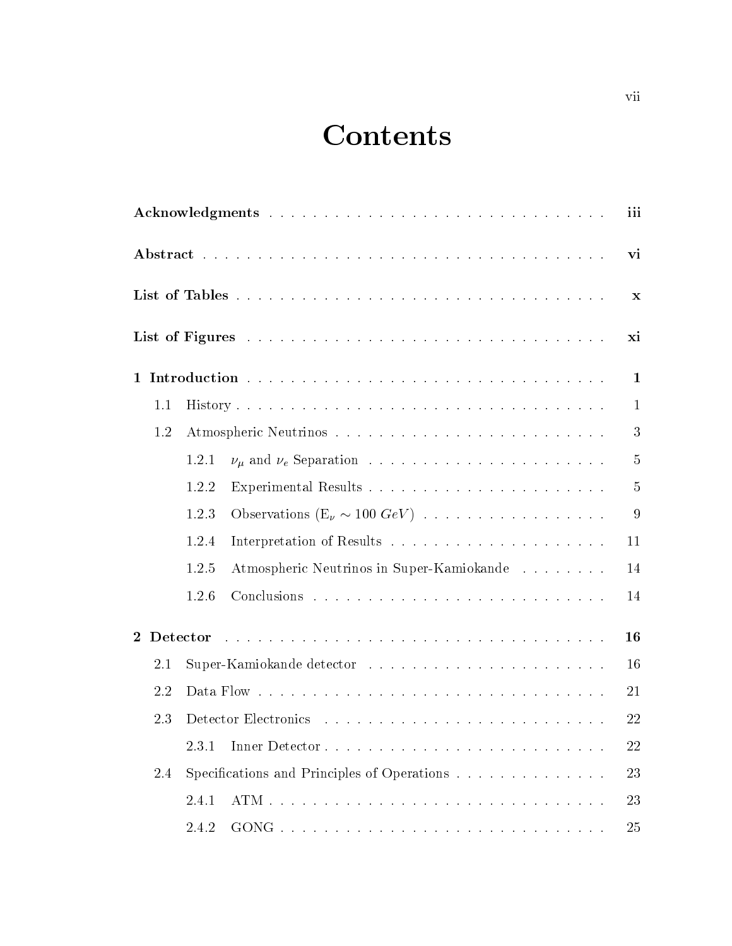# **Contents**

|                |          |       |                                             | iii            |
|----------------|----------|-------|---------------------------------------------|----------------|
|                |          |       |                                             | vi             |
|                |          |       |                                             | X              |
|                |          |       |                                             | xi             |
| $\mathbf{1}$   |          |       |                                             | 1              |
|                | 1.1      |       |                                             | $\mathbf{1}$   |
|                | 1.2      |       |                                             | 3              |
|                |          | 1.2.1 |                                             | 5              |
|                |          | 1.2.2 |                                             | 5              |
|                |          | 1.2.3 | Observations $(E_\nu \sim 100 \; GeV)$      | $\overline{9}$ |
|                |          | 1.2.4 |                                             | 11             |
|                |          | 1.2.5 | Atmospheric Neutrinos in Super-Kamiokande   | 14             |
|                |          | 1.2.6 |                                             | 14             |
| $\overline{2}$ | Detector |       |                                             | 16             |
|                | 2.1      |       |                                             | 16             |
|                | 2.2      |       |                                             | 21             |
|                | 2.3      |       |                                             | 22             |
|                |          | 2.3.1 |                                             | 22             |
|                | 2.4      |       | Specifications and Principles of Operations | 23             |
|                |          | 2.4.1 |                                             | 23             |
|                |          | 2.4.2 |                                             | 25             |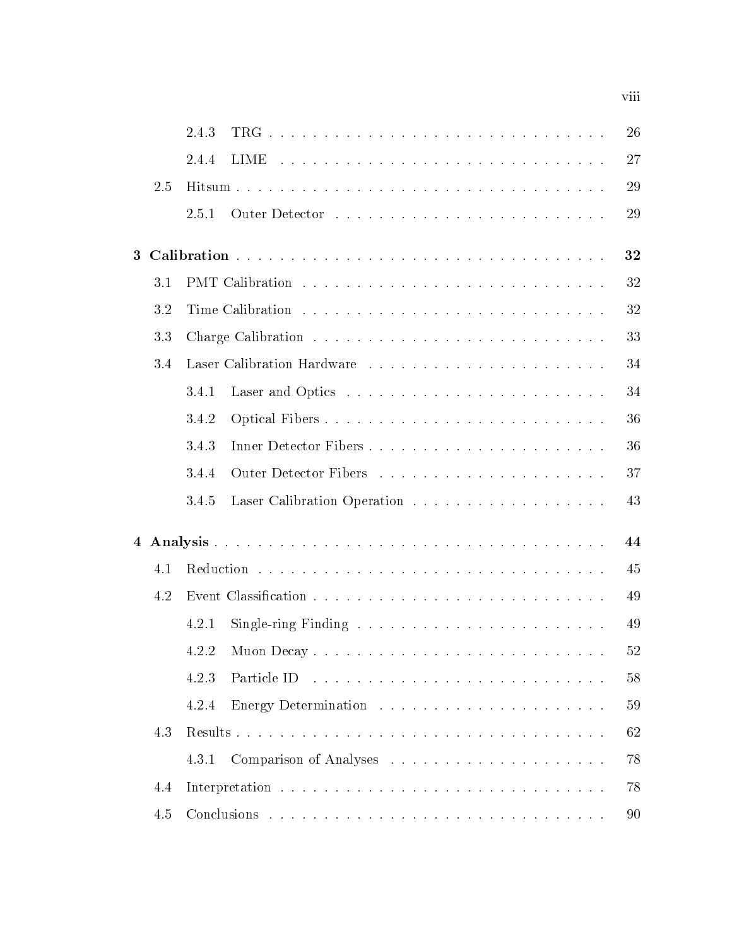|                |     | 2.4.3                                                                           | 26 |
|----------------|-----|---------------------------------------------------------------------------------|----|
|                |     | <b>LIME</b><br>2.4.4                                                            | 27 |
|                | 2.5 |                                                                                 | 29 |
|                |     | 2.5.1                                                                           | 29 |
| 3 <sup>1</sup> |     |                                                                                 | 32 |
|                | 3.1 |                                                                                 | 32 |
|                |     |                                                                                 |    |
|                | 3.2 |                                                                                 | 32 |
|                | 3.3 |                                                                                 | 33 |
|                | 3.4 |                                                                                 | 34 |
|                |     | 3.4.1                                                                           | 34 |
|                |     | 3.4.2<br>Optical Fibers                                                         | 36 |
|                |     | 3.4.3                                                                           | 36 |
|                |     | 3.4.4                                                                           | 37 |
|                |     | 3.4.5                                                                           | 43 |
|                |     |                                                                                 | 44 |
|                | 4.1 |                                                                                 | 45 |
|                | 4.2 |                                                                                 | 49 |
|                |     | Single-ring Finding $\ldots \ldots \ldots \ldots \ldots \ldots \ldots$<br>4.2.1 | 49 |
|                |     |                                                                                 | 52 |
|                |     | 4.2.3                                                                           | 58 |
|                |     | 4.2.4                                                                           | 59 |
|                | 4.3 |                                                                                 | 62 |
|                |     | 4.3.1                                                                           | 78 |
|                | 4.4 |                                                                                 | 78 |
|                | 4.5 |                                                                                 | 90 |

viii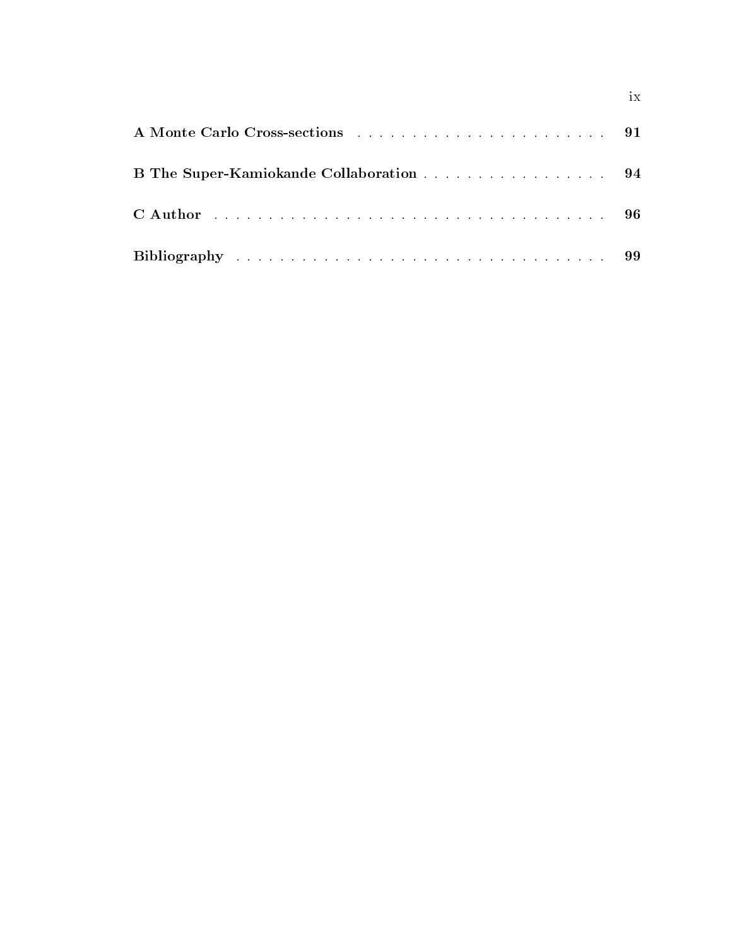| B The Super-Kamiokande Collaboration 94 |  |
|-----------------------------------------|--|
|                                         |  |
|                                         |  |

ix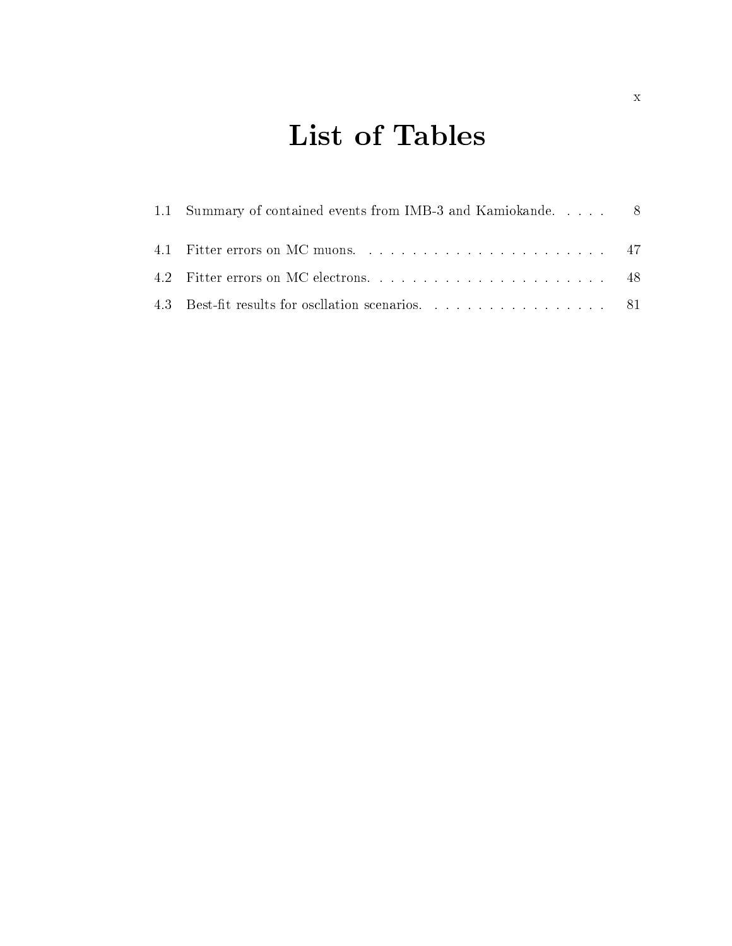# List of Tables

| 1.1 Summary of contained events from IMB-3 and Kamiokande.  8 |  |
|---------------------------------------------------------------|--|
|                                                               |  |
|                                                               |  |
| 4.3 Best-fit results for oscillation scenarios. 81            |  |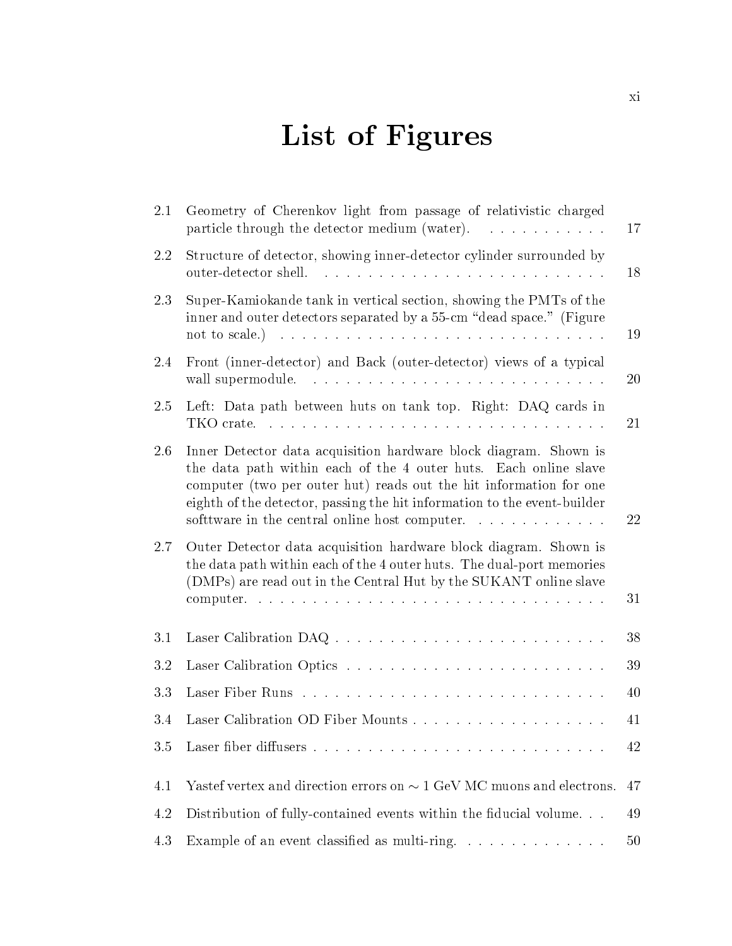# List of Figures

| 2.1 | Geometry of Cherenkov light from passage of relativistic charged<br>particle through the detector medium (water).                                                                                                                                                                                                                       | <b>17</b> |
|-----|-----------------------------------------------------------------------------------------------------------------------------------------------------------------------------------------------------------------------------------------------------------------------------------------------------------------------------------------|-----------|
| 2.2 | Structure of detector, showing inner-detector cylinder surrounded by                                                                                                                                                                                                                                                                    | 18        |
| 2.3 | Super-Kamiokande tank in vertical section, showing the PMTs of the<br>inner and outer detectors separated by a 55-cm "dead space." (Figure<br>not to scale.)                                                                                                                                                                            | 19        |
| 2.4 | Front (inner-detector) and Back (outer-detector) views of a typical<br>wall supermodule.                                                                                                                                                                                                                                                | $20\,$    |
| 2.5 | Left: Data path between huts on tank top. Right: DAQ cards in                                                                                                                                                                                                                                                                           | 21        |
| 2.6 | Inner Detector data acquisition hardware block diagram. Shown is<br>the data path within each of the 4 outer huts. Each online slave<br>computer (two per outer hut) reads out the hit information for one<br>eighth of the detector, passing the hit information to the event-builder<br>software in the central online host computer. | 22        |
| 2.7 | Outer Detector data acquisition hardware block diagram. Shown is<br>the data path within each of the 4 outer huts. The dual-port memories<br>(DMPs) are read out in the Central Hut by the SUKANT online slave                                                                                                                          | 31        |
| 3.1 |                                                                                                                                                                                                                                                                                                                                         | 38        |
| 3.2 |                                                                                                                                                                                                                                                                                                                                         | 39        |
| 3.3 |                                                                                                                                                                                                                                                                                                                                         | 40        |
| 3.4 |                                                                                                                                                                                                                                                                                                                                         | 41        |
| 3.5 |                                                                                                                                                                                                                                                                                                                                         | 42        |
| 4.1 | Yastef vertex and direction errors on $\sim 1$ GeV MC muons and electrons.                                                                                                                                                                                                                                                              | 47        |
| 4.2 | Distribution of fully-contained events within the fiducial volume                                                                                                                                                                                                                                                                       | 49        |
| 4.3 | Example of an event classified as multi-ring.                                                                                                                                                                                                                                                                                           | 50        |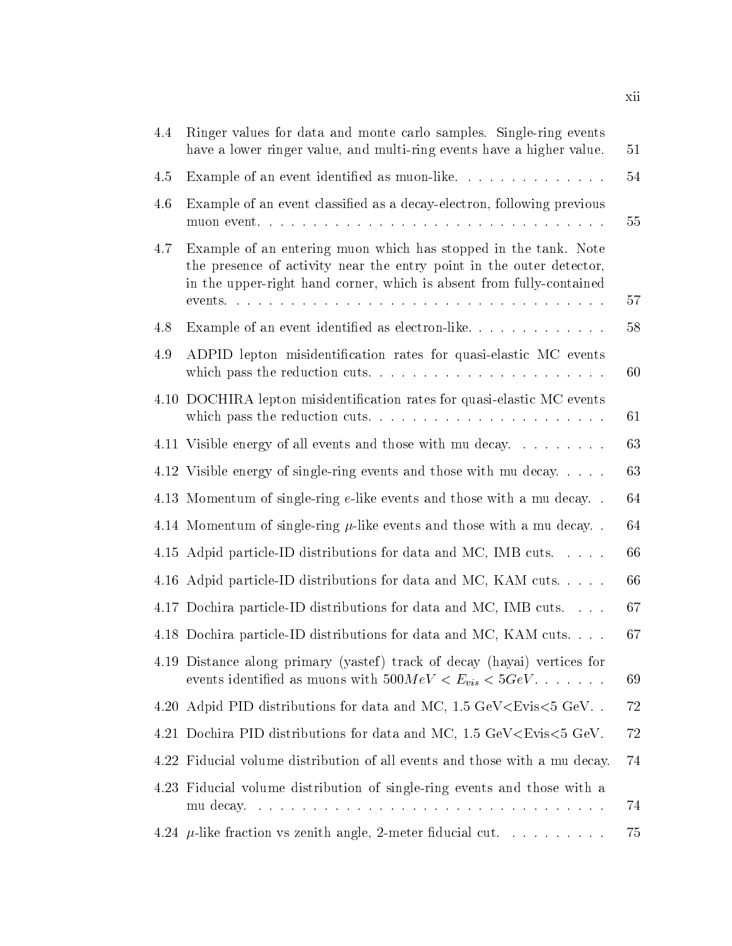| 4.4 | Ringer values for data and monte carlo samples. Single-ring events<br>have a lower ringer value, and multi-ring events have a higher value.                                                                     | 51 |
|-----|-----------------------------------------------------------------------------------------------------------------------------------------------------------------------------------------------------------------|----|
| 4.5 |                                                                                                                                                                                                                 | 54 |
| 4.6 | Example of an event classified as a decay-electron, following previous                                                                                                                                          | 55 |
| 4.7 | Example of an entering muon which has stopped in the tank. Note<br>the presence of activity near the entry point in the outer detector,<br>in the upper-right hand corner, which is absent from fully-contained | 57 |
| 4.8 | Example of an event identified as electron-like                                                                                                                                                                 | 58 |
| 4.9 | ADPID lepton misidentification rates for quasi-elastic MC events                                                                                                                                                | 60 |
|     | 4.10 DOCHIRA lepton misidentification rates for quasi-elastic MC events                                                                                                                                         | 61 |
|     | 4.11 Visible energy of all events and those with mu decay                                                                                                                                                       | 63 |
|     | 4.12 Visible energy of single-ring events and those with mu decay                                                                                                                                               | 63 |
|     | 4.13 Momentum of single-ring e-like events and those with a mu decay                                                                                                                                            | 64 |
|     | 4.14 Momentum of single-ring $\mu$ -like events and those with a mu decay                                                                                                                                       | 64 |
|     | 4.15 Adpid particle-ID distributions for data and MC, IMB cuts.                                                                                                                                                 | 66 |
|     | 4.16 Adpid particle-ID distributions for data and MC, KAM cuts                                                                                                                                                  | 66 |
|     | 4.17 Dochira particle-ID distributions for data and MC, IMB cuts.                                                                                                                                               | 67 |
|     | 4.18 Dochira particle-ID distributions for data and MC, KAM cuts.                                                                                                                                               | 67 |
|     | 4.19 Distance along primary (yastef) track of decay (hayai) vertices for<br>events identified as muons with $500 MeV < E_{vis} < 5 GeV$                                                                         | 69 |
|     | 4.20 Adpid PID distributions for data and MC, 1.5 GeV <evis<5 gev<="" td=""><td>72</td></evis<5>                                                                                                                | 72 |
|     | 4.21 Dochira PID distributions for data and MC, 1.5 GeV <evis<5 gev.<="" td=""><td>72</td></evis<5>                                                                                                             | 72 |
|     | 4.22 Fiducial volume distribution of all events and those with a mu decay.                                                                                                                                      | 74 |
|     | 4.23 Fiducial volume distribution of single-ring events and those with a<br>mu decay                                                                                                                            | 74 |
|     | 4.24 $\mu$ -like fraction vs zenith angle, 2-meter fiducial cut.                                                                                                                                                | 75 |

xii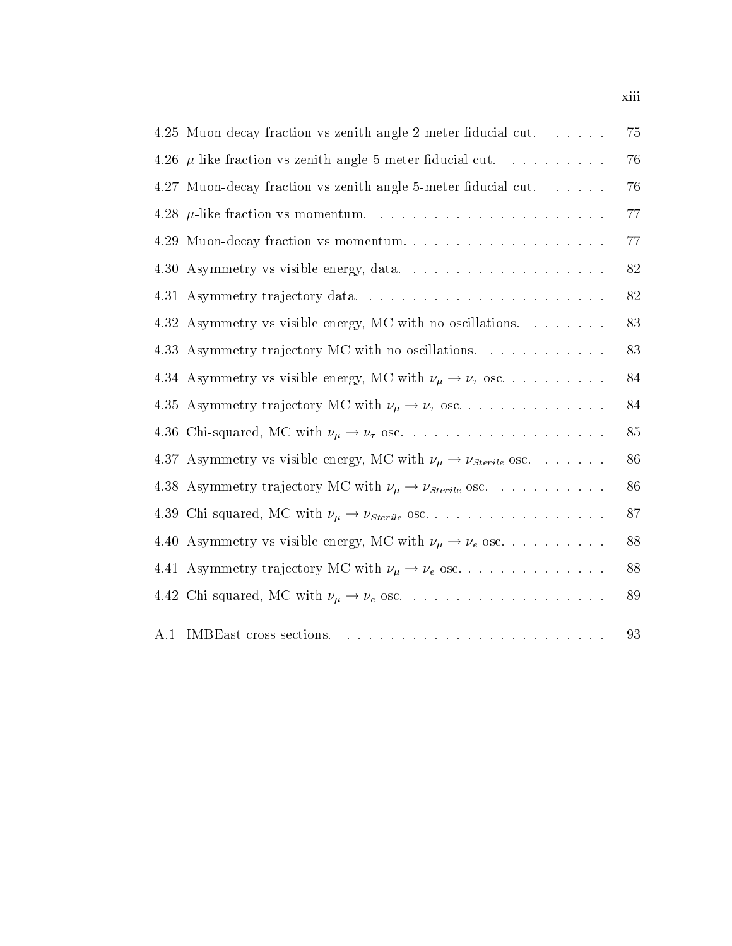|      | 4.25 Muon-decay fraction vs zenith angle 2-meter fiducial cut.                                                                                                                                                                                           | 75 |
|------|----------------------------------------------------------------------------------------------------------------------------------------------------------------------------------------------------------------------------------------------------------|----|
|      | 4.26 $\mu$ -like fraction vs zenith angle 5-meter fiducial cut.                                                                                                                                                                                          | 76 |
|      | 4.27 Muon-decay fraction vs zenith angle 5-meter fiducial cut.                                                                                                                                                                                           | 76 |
|      |                                                                                                                                                                                                                                                          | 77 |
| 4.29 | Muon-decay fraction vs momentum                                                                                                                                                                                                                          | 77 |
|      |                                                                                                                                                                                                                                                          | 82 |
|      |                                                                                                                                                                                                                                                          | 82 |
|      | 4.32 Asymmetry vs visible energy, MC with no oscillations                                                                                                                                                                                                | 83 |
|      | 4.33 Asymmetry trajectory MC with no oscillations.                                                                                                                                                                                                       | 83 |
|      | 4.34 Asymmetry vs visible energy, MC with $\nu_\mu \to \nu_\tau$ osc.                                                                                                                                                                                    | 84 |
|      | 4.35 Asymmetry trajectory MC with $\nu_{\mu} \rightarrow \nu_{\tau}$ osc                                                                                                                                                                                 | 84 |
|      |                                                                                                                                                                                                                                                          | 85 |
|      | 4.37 Asymmetry vs visible energy, MC with $\nu_{\mu} \rightarrow \nu_{Steril}$ osc.                                                                                                                                                                      | 86 |
|      | 4.38 Asymmetry trajectory MC with $\nu_{\mu} \rightarrow \nu_{sterile}$ osc.                                                                                                                                                                             | 86 |
|      | 4.39 Chi-squared, MC with $\nu_{\mu} \rightarrow \nu_{sterile}$ osc                                                                                                                                                                                      | 87 |
|      | 4.40 Asymmetry vs visible energy, MC with $\nu_{\mu} \rightarrow \nu_{e}$ osc.                                                                                                                                                                           | 88 |
|      | 4.41 Asymmetry trajectory MC with $\nu_{\mu} \rightarrow \nu_{e}$ osc                                                                                                                                                                                    | 88 |
|      |                                                                                                                                                                                                                                                          | 89 |
| A.1  | IMBEast cross-sections.<br>. The contract of the contract of the contract of the contract of the contract of the contract of the contract of the contract of the contract of the contract of the contract of the contract of the contract of the contrac | 93 |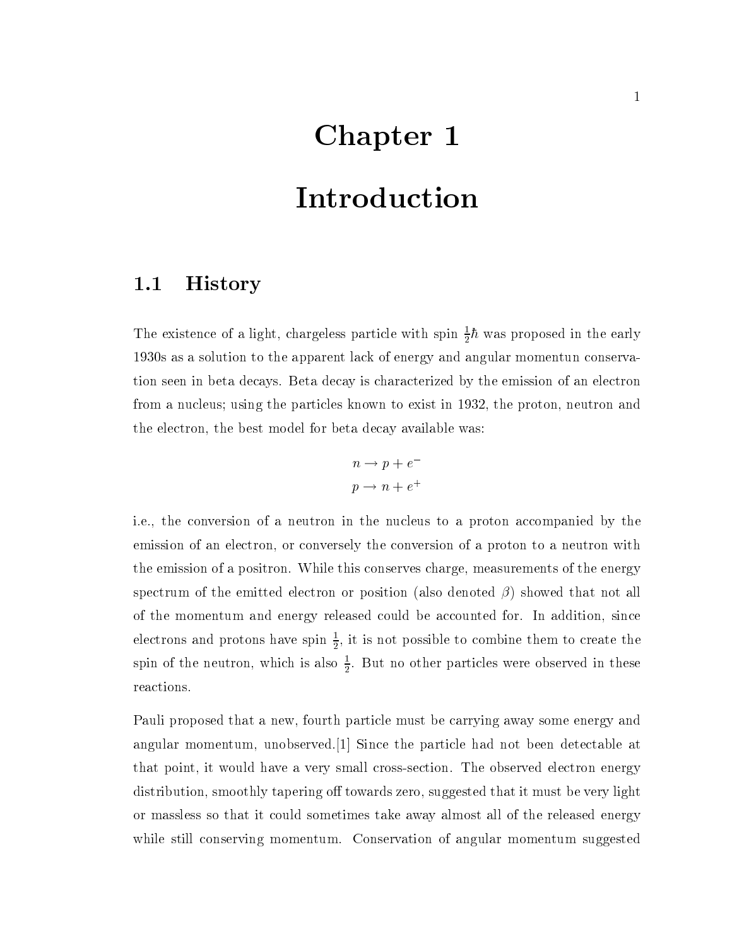# Chapter 1 Introduction

### 1.1 History

The existence of a light, chargeless particle with spin  $\frac{1}{2}n$  was proposed in the early 1930s as a solution to the apparent lack of energy and angular momentun conservation seen in beta decays. Beta decay is characterized by the emission of an electron from a nucleus; using the particles known to exist in 1932, the proton, neutron and the electron, the best model for beta decay available was:

$$
n \to p + e^-
$$
  

$$
p \to n + e^+
$$

i.e., the conversion of a neutron in the nucleus to a proton accompanied by the emission of an electron, or conversely the conversion of a proton to a neutron with the emission of a positron. While this conserves charge, measurements of the energy spectrum of the emitted electron or position (also denoted  $\beta$ ) showed that not all of the momentum andenergy released could be accounted for. In addition, since electrons and protons have spin  $\frac{1}{2}$ , it is not possible to combine them to create the spin of the neutron, which is also  $\frac{1}{2}$ . But no other particles were observed in these reactions.

Pauli proposed that a new, fourth particle must be carrying away some energy and angular momentum, unobserved.[1] Since the particle had not been detectable at that point, it would have a very small cross-section. The observed electron energy distribution, smoothly tapering off towards zero, suggested that it must be very light or massless so that it could sometimes take away almost all of the released energy while still conserving momentum. Conservation of angular momentum suggested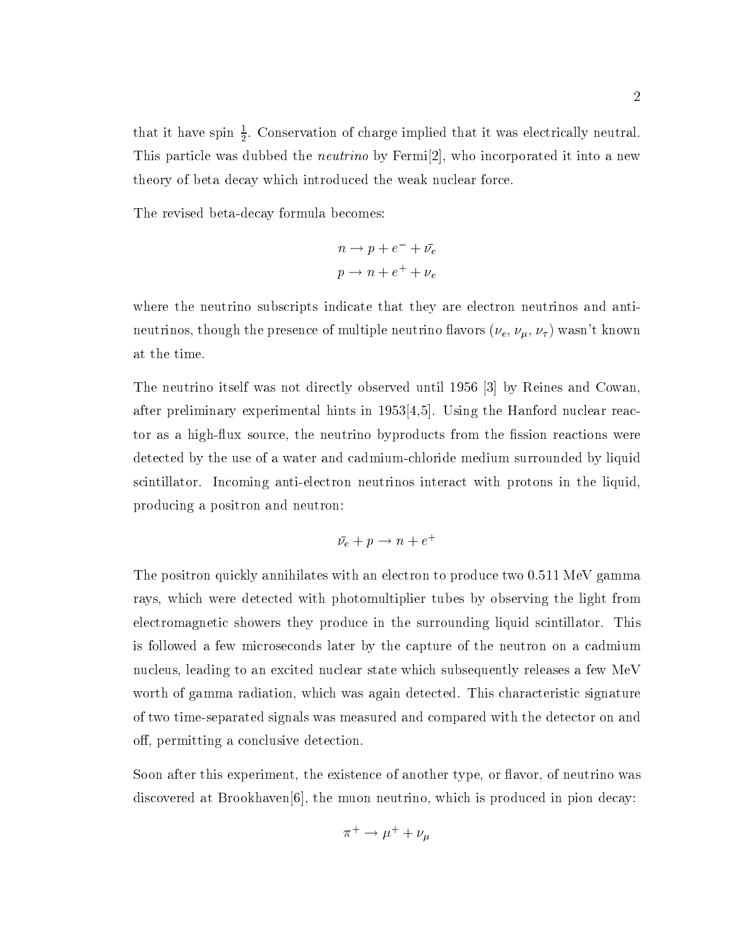that it have spin  $\frac{1}{2}$ . Conservation of charge implied that it was electrically neutral. This particle was dubbed the *neutrino* by Fermi<sup>[2]</sup>, who incorporated it into a new theory of beta decay which introduced the weak nuclear force.

The revised beta-decay formula becomes:

$$
n \to p + e^- + \bar{\nu}_e
$$
  

$$
p \to n + e^+ + \nu_e
$$

where the neutrino subscripts indicate that they are electron neutrinos and antineutrinos, though the presence of multiple neutrino flavors  $(\nu_e, \nu_\mu, \nu_\tau)$  wasn't known at the time.

The neutrino itself was not directly observed until 1956 [3] by Reines and Cowan, after preliminary experimental hints in 1953[4,5]. Using the Hanford nuclear reactor as a high-flux source, the neutrino byproducts from the fission reactions were detected by the use of a water and cadmium-chloride medium surrounded by liquid scintillator. Incoming anti-electron neutrinos interact with protons in the liquid, producing a positron and neutron:

$$
\bar{\nu_e} + p \rightarrow n + e^+
$$

The positron quickly annihilates with an electron to produce two 0.511 MeV gamma rays, which were detected with photomultiplier tubes by observing the light from electromagnetic showers they produce in the surrounding liquid scintillator. This is followed a few microseconds later by the capture of the neutron on a cadmium nucleus, leading to an excited nuclear state which subsequently releases a few MeV worth of gamma radiation, which was again detected. This characteristic signature of two time-separated signals was measured and compared with the detector on and off, permitting a conclusive detection.

Soon after this experiment, the existence of another type, or flavor, of neutrino was discovered at Brookhaven[6], the muon neutrino, which is produced in pion decay:

$$
\pi^+ \to \mu^+ + \nu_\mu
$$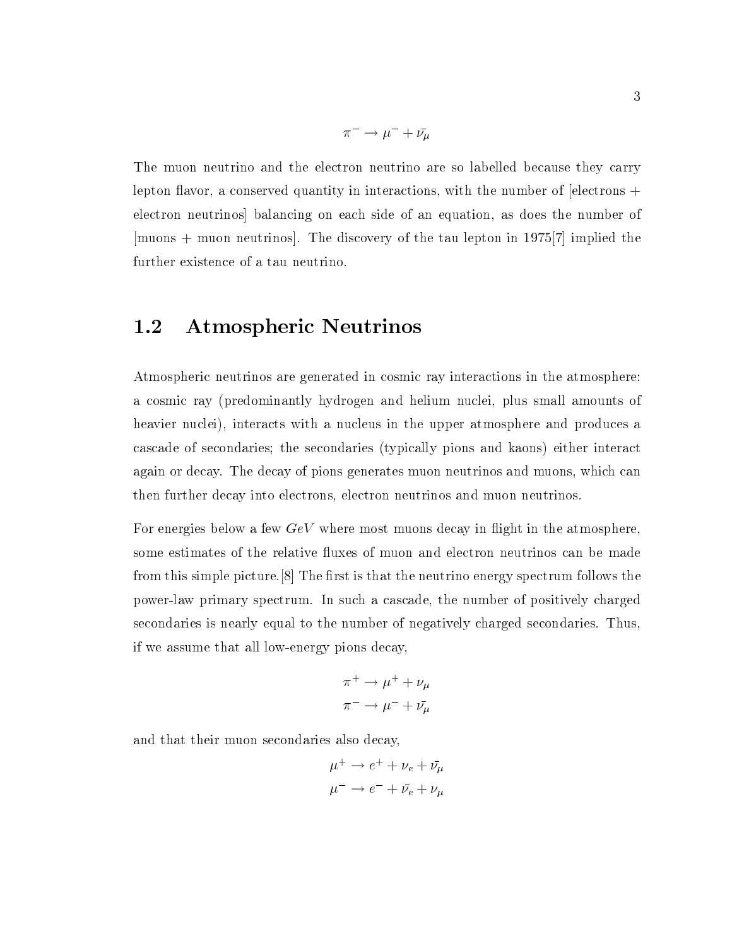$$
\pi^- \to \mu^- + \bar{\nu_\mu}
$$

The muon neutrino and the electron neutrino are so labelled because they carry lepton flavor, a conserved quantity in interactions, with the number of  $\ell$  electrons  $+$ electron neutrinos] balancing on each side of an equation, as does the number of [muons + muon neutrinos]. The discovery of the tau lepton in 1975[7] implied the further existence of a tau neutrino.

#### $1.2$ Atmospheric Neutrinos

Atmospheric neutrinos are generated in cosmic ray interactions in the atmosphere: a cosmic ray (predominantly hydrogen and helium nuclei, plus small amounts of heavier nuclei), interacts with a nucleus in the upper atmosphere and produces a cascade of secondaries; the secondaries (typically pions and kaons) either interact again or decay. The decay of pions generates muon neutrinos and muons, which can then further decay into electrons, electron neutrinos and muon neutrinos.

For energies below a few  $GeV$  where most muons decay in flight in the atmosphere, some estimates of the relative fluxes of muon and electron neutrinos can be made from this simple picture.  $|8|$  The first is that the neutrino energy spectrum follows the power-law primary spectrum. In such a cascade, the number of positively charged secondaries is nearly equal to the number of negatively charged secondaries. Thus, if we assume that all low-energy pions decay,

$$
\pi^+ \to \mu^+ + \nu_\mu
$$
  

$$
\pi^- \to \mu^- + \bar{\nu_\mu}
$$

and that their muon secondaries also decay,

$$
\mu^+ \to e^+ + \nu_e + \bar{\nu_\mu}
$$

$$
\mu^- \to e^- + \bar{\nu_e} + \nu_\mu
$$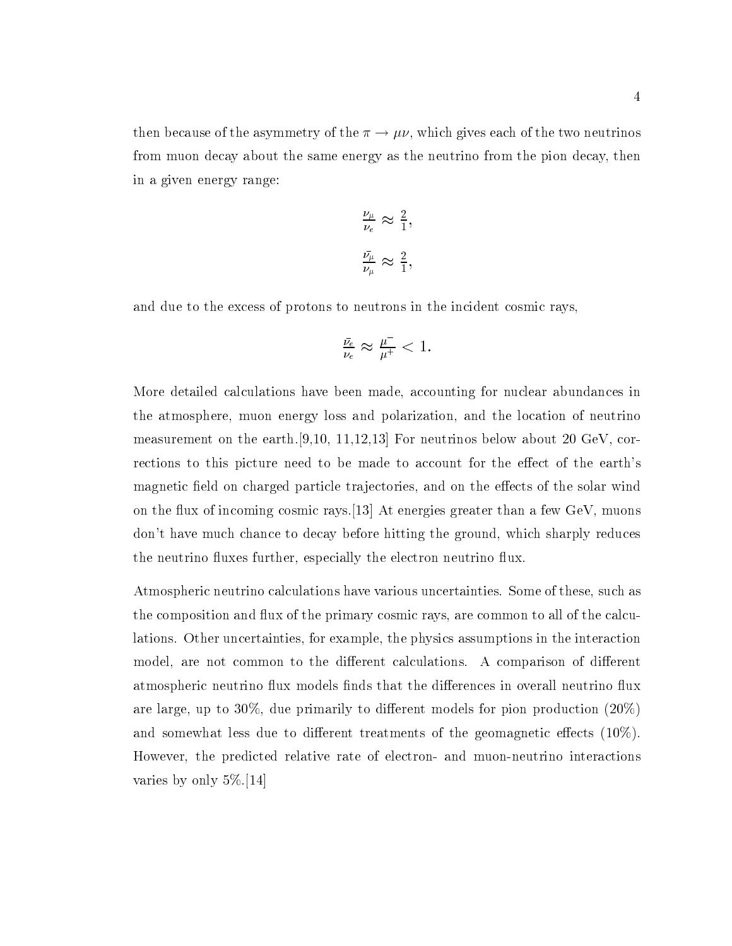then because of the asymmetry of the  $\pi \to \mu \nu$ , which gives each of the two neutrinos from muon decay about the same energy as the neutrino from the pion decay, then in a given energy range:

$$
\frac{\nu_{\mu}}{\nu_{e}} \approx \frac{2}{1},
$$
  

$$
\frac{\bar{\nu_{\mu}}}{\nu_{\mu}} \approx \frac{2}{1},
$$

and due to the excess of protons to neutrons in the incident cosmic rays,

$$
\tfrac{\bar{\nu_e}}{\nu_e}\approx\tfrac{\mu^-}{\mu^+}<1.
$$

More detailed calculations have been made, accounting for nuclear abundances in the atmosphere, muon energy loss and polarization, and the location of neutrino measurement on the earth.[9,10, 11,12,13] For neutrinos below about 20 GeV, corrections to this picture need to be made to account for the effect of the earth's magnetic field on charged particle trajectories, and on the effects of the solar wind on the flux of incoming cosmic rays.  $[13]$  At energies greater than a few GeV, muons don't have much chance to decay before hitting the ground, which sharply reduces the neutrino fluxes further, especially the electron neutrino flux.

Atmospheric neutrino calculations have various uncertainties. Some of these, such as the composition and flux of the primary cosmic rays, are common to all of the calculations. Other uncertainties, for example, the physics assumptions in the interaction model, are not common to the different calculations. A comparison of different atmospheric neutrino flux models finds that the differences in overall neutrino flux are large, up to 30%, due primarily to different models for pion production  $(20\%)$ and somewhat less due to different treatments of the geomagnetic effects  $(10\%)$ . However, the predicted relative rate of electron- and muon-neutrino interactions varies by only 5%.[14]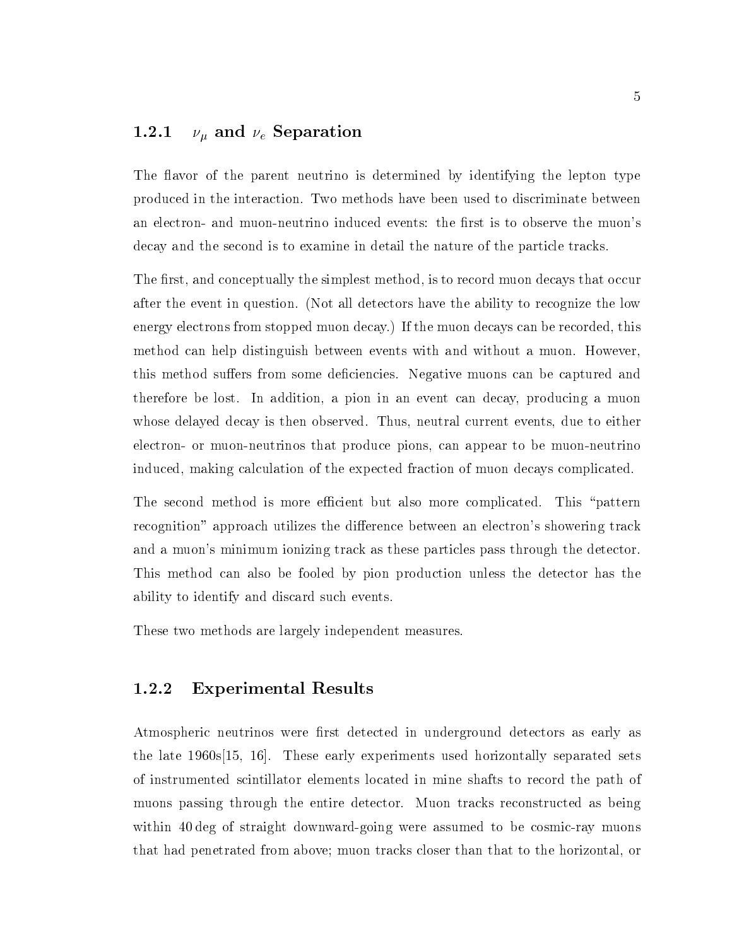#### 1.2.1  $\nu_{\mu}$  and  $\nu_{e}$  Separation

The flavor of the parent neutrino is determined by identifying the lepton type produced in the interaction. Two methods have been used to discriminate between an electron- and muon-neutrino induced events: the first is to observe the muon's decay and the second is to examine in detail the nature of the particle tracks.

The first, and conceptually the simplest method, is to record muon decays that occur after the event in question. (Not all detectors have the ability to recognize the low energy electrons from stopped muon decay.) If the muon decays can be recorded, this method can help distinguish between events with and without a muon. However, this method suffers from some deficiencies. Negative muons can be captured and therefore be lost. In addition, a pion in an event can decay, producing a muon whose delayed decay is then observed. Thus, neutral current events, due to either electron- or muon-neutrinos that produce pions, can appear to be muon-neutrino induced, making calculation of the expected fraction of muon decays complicated.

The second method is more efficient but also more complicated. This "pattern recognition" approach utilizes the difference between an electron's showering track and a muon's minimum ionizing track as these particles pass through the detector. This method can also be fooled by pion production unless the detector has the ability to identify and discard such events.

These two methods are largely independent measures.

#### 1.2.2 Experimental Results

Atmospheric neutrinos were first detected in underground detectors as early as the late 1960s[15, 16]. These early experiments used horizontally separated sets of instrumented scintillator elements located in mine shafts to record the path of muons passing through the entire detector. Muon tracks reconstructed as being within 40 deg of straight downward-going were assumed to be cosmic-ray muons that had penetrated from above; muon tracks closer than that to the horizontal, or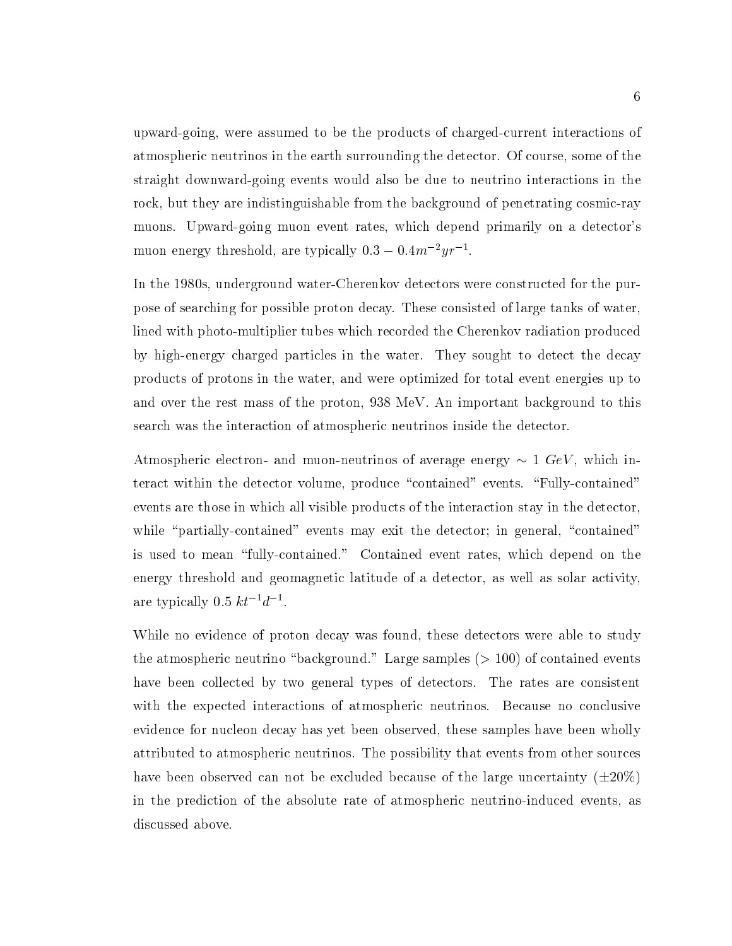upward-going, were assumed to be the products of charged-current interactions of atmospheric neutrinos in the earth surrounding the detector. Of course, some of the straight downward-going events would also be due to neutrino interactions in the rock, but they are indistinguishable from the background of penetrating cosmic-ray muons. Upward-going muon event rates, which depend primarily on a detector's muon energy threshold, are typically 0.5  $-$  0.4*m*  $7yr$   $\sim$ .

In the 1980s, underground water-Cherenkov detectors were constructed for the purpose of searching for possible proton decay. These consisted of large tanks of water, lined with photo-multiplier tubes which recorded the Cherenkov radiation produced by high-energy charged particles in the water. They sought to detect the decay products of protons in the water, and were optimized for total event energies up to and over the rest mass of the proton, 938 MeV. An important background to this search was the interaction of atmospheric neutrinos inside the detector.

Atmospheric electron- and muon-neutrinos of average energy  $\sim 1$  GeV, which interact within the detector volume, produce "contained" events. "Fully-contained" events are those in which all visible products of the interaction stay in the detector, while "partially-contained" events may exit the detector; in general, "contained" is used to mean "fully-contained." Contained event rates, which depend on the energy threshold and geomagnetic latitude of a detector, as well as solar activity, are typically  $0.5 \; \kappa t^{-1}a^{-1}$ .

While no evidence of proton decay was found, these detectors were able to study the atmospheric neutrino "background." Large samples  $(> 100)$  of contained events have been collected by two general types of detectors. The rates are consistent with the expected interactions of atmospheric neutrinos. Because no conclusive evidence for nucleon decay has yet been observed, these samples have been wholly attributed to atmospheric neutrinos. The possibility that events from other sources have been observed can not be excluded because of the large uncertainty  $(\pm 20\%)$ in the prediction of the absolute rate of atmospheric neutrino-induced events, as discussed above.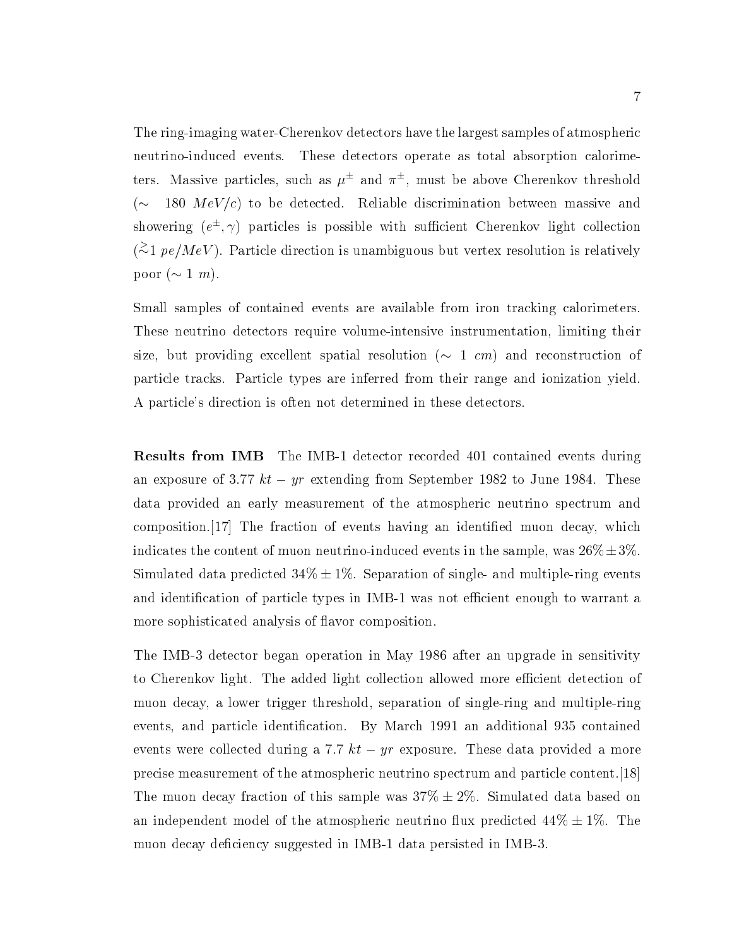The ring-imaging water-Cherenkov detectors have the largest samples of atmospheric neutrino-induced events. These detectors operate as total absorption calorimeters. Massive particles, such as  $\mu^-$  and  $\pi^-$ , must be above Cherenkov threshold ( $\sim$  180  $MeV/c$ ) to be detected. Reliable discrimination between massive and showering  $(e^-, \gamma)$  particles is possible with sufficient Cherenkov light collection  $(\approx 1 \,\text{pe}/\text{MeV})$ . Particle direction is unambiguous but vertex resolution is relatively poor  $(\sim 1 \; m)$ .

Small samples of contained events are available from iron tracking calorimeters. These neutrino detectors require volume-intensive instrumentation, limiting their size, but providing excellent spatial resolution  $(\sim 1 \text{ cm})$  and reconstruction of particle tracks. Particle types are inferred from their range and ionization yield. A particle's direction is often not determined in these detectors.

Results from IMB The IMB-1 detector recorded 401 contained events during an exposure of 3.77  $kt - yr$  extending from September 1982 to June 1984. These data provided an early measurement of the atmospheric neutrino spectrum and composition.[17] The fraction of events having an identied muon decay, which indicates the content of muon neutrino-induced events in the sample, was  $26\% \pm 3\%$ . Simulated data predicted  $34\% \pm 1\%$ . Separation of single- and multiple-ring events and identification of particle types in IMB-1 was not efficient enough to warrant a more sophisticated analysis of flavor composition.

The IMB-3 detector began operation in May 1986 after an upgrade in sensitivity to Cherenkov light. The added light collection allowed more efficient detection of muon decay, a lower trigger threshold, separation of single-ring and multiple-ring events, and particle identication. By March 1991 an additional 935 contained events were collected during a 7.7  $kt - yr$  exposure. These data provided a more precise measurement of the atmospheric neutrino spectrum and particle content.[18] The muon decay fraction of this sample was  $37\% \pm 2\%$ . Simulated data based on an independent model of the atmospheric neutrino flux predicted  $44\% \pm 1\%$ . The muon decay deficiency suggested in IMB-1 data persisted in IMB-3.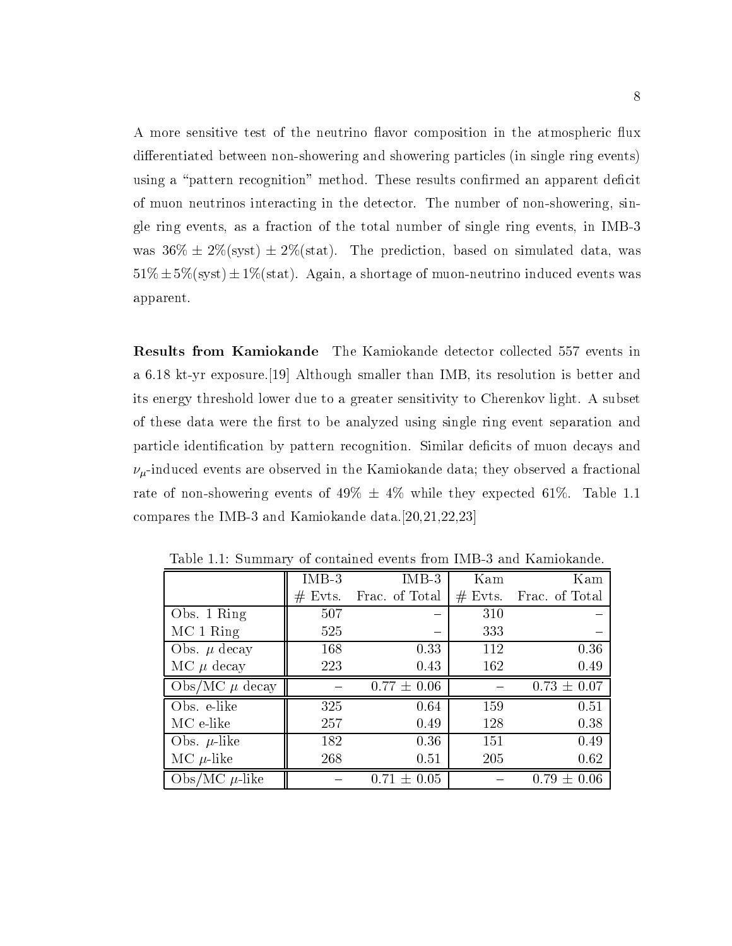A more sensitive test of the neutrino flavor composition in the atmospheric flux differentiated between non-showering and showering particles (in single ring events) using a "pattern recognition" method. These results confirmed an apparent deficit of muon neutrinos interacting in the detector. The number of non-showering, single ring events, as a fraction of the total number of single ring events, in IMB-3 was  $36\% \pm 2\%$  (syst)  $\pm 2\%$  (stat). The prediction, based on simulated data, was  $51\% \pm 5\%$  (syst)  $\pm 1\%$  (stat). Again, a shortage of muon-neutrino induced events was apparent.

Results from Kamiokande The Kamiokande detector collected 557 events in a 6.18 kt-yr exposure.[19] Although smaller than IMB, its resolution is better and its energy threshold lower due to a greater sensitivity to Cherenkov light. A subset of these data were the first to be analyzed using single ring event separation and particle identification by pattern recognition. Similar deficits of muon decays and  $\nu_{\mu}$ -induced events are observed in the Kamiokande data; they observed a fractional rate of non-showering events of  $49\% \pm 4\%$  while they expected 61%. Table 1.1 compares the IMB-3 and Kamiokande data.[20,21,22,23]

|                      | $IMB-3$    | $IMB-3$         | Kam       | Kam             |
|----------------------|------------|-----------------|-----------|-----------------|
|                      | Evts.<br># | Frac. of Total  | $#$ Evts. | Frac. of Total  |
| Obs. 1 Ring          | 507        |                 | 310       |                 |
| MC 1 Ring            | 525        |                 | 333       |                 |
| Obs. $\mu$ decay     | 168        | 0.33            | 112       | 0.36            |
| $MC \mu$ decay       | 223        | 0.43            | 162       | 0.49            |
| Obs/MC $\mu$ decay   |            | $0.77 \pm 0.06$ |           | $0.73 \pm 0.07$ |
| Obs. e-like          | 325        | 0.64            | 159       | 0.51            |
| MC e-like            | 257        | 0.49            | 128       | 0.38            |
| Obs. $\mu$ -like     | 182        | 0.36            | 151       | 0.49            |
| MC $\mu$ -like       | 268        | 0.51            | 205       | 0.62            |
| $Obs/MC$ $\mu$ -like |            | $0.71 \pm 0.05$ |           | $0.79 \pm 0.06$ |

Table 1.1: Summary of contained events from IMB-3 and Kamiokande.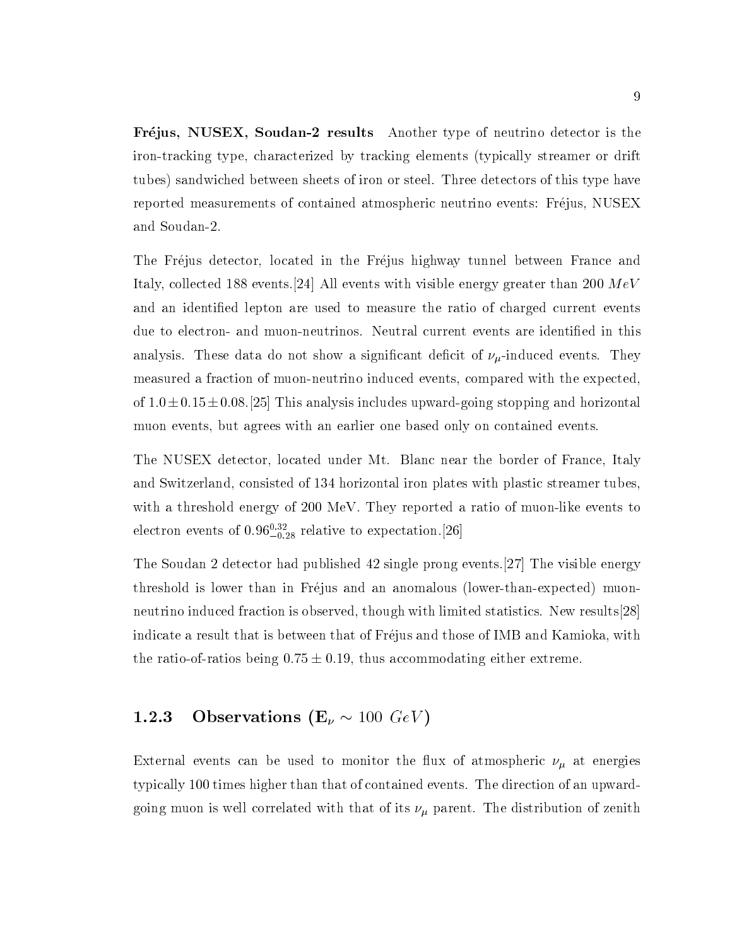Frejus, NUSEX, Soudan-2 results Another type of neutrino detector is the iron-tracking type, characterized by tracking elements (typically streamer or drift tubes) sandwiched between sheets of iron or steel. Three detectors of this type have reported measurements of contained atmospheric neutrino events: Frejus, NUSEX and Soudan-2.

The Frejus detector, located in the Frejus highway tunnel between France and Italy, collected 188 events. [24] All events with visible energy greater than 200  $MeV$ and an identied lepton are used to measure the ratio of charged current events due to electron- and muon-neutrinos. Neutral current events are identified in this analysis. These data do not show a significant deficit of  $\nu_\mu$ -induced events. They measured a fraction of muon-neutrino induced events, compared with the expected, of  $1.0\pm0.15\pm0.08$ . [25] This analysis includes upward-going stopping and horizontal muon events, but agrees with an earlier one based only on contained events.

The NUSEX detector, located under Mt. Blanc near the border of France, Italy and Switzerland, consisted of 134 horizontal iron plates with plastic streamer tubes, with a threshold energy of 200 MeV. They reported a ratio of muon-like events to electron events of  $0.96^{+0.28}_{-0.28}$  relative to expectation.[26]

The Soudan 2 detector had published 42 single prong events.[27] The visible energy threshold is lower than in Frejus and an anomalous (lower-than-expected) muonneutrino induced fraction is observed, though with limited statistics. New results[28] indicate a result that is between that of Frejus and those of IMB and Kamioka, with the ratio-of-ratios being  $0.75 \pm 0.19$ , thus accommodating either extreme.

#### 1.2.3 Observations  $(E_\nu \sim 100 \; GeV)$

External events can be used to monitor the flux of atmospheric  $\nu_{\mu}$  at energies typically 100 times higher than that of contained events. The direction of an upwardgoing muon is well correlated with that of its  $\nu_{\mu}$  parent. The distribution of zenith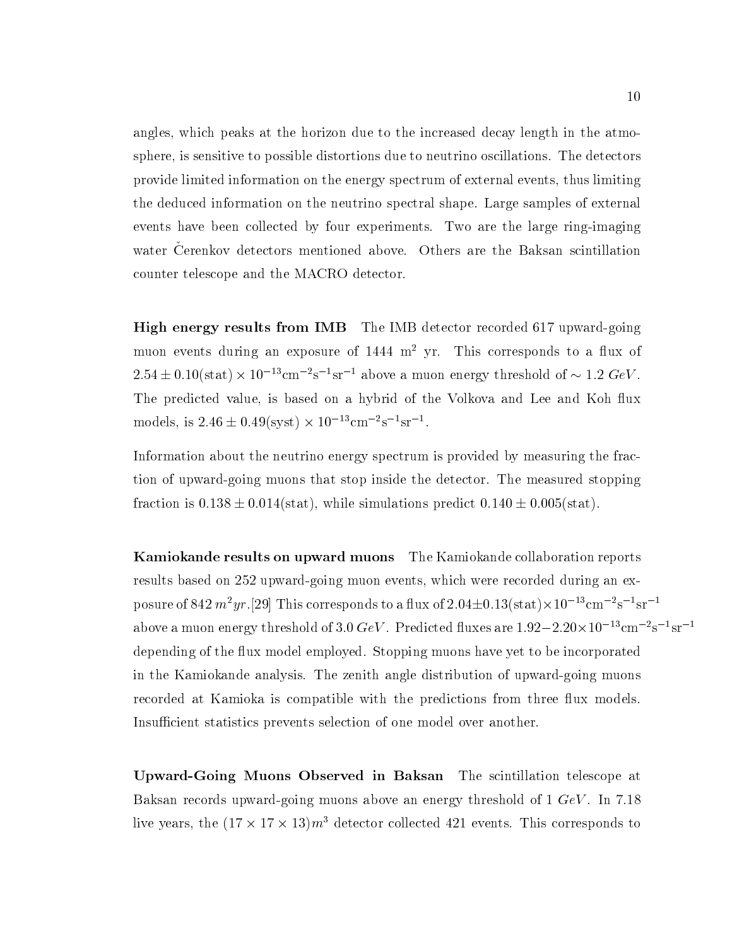angles, which peaks at the horizon due to the increased decay length in the atmosphere, is sensitive to possible distortions due to neutrino oscillations. The detectors provide limited information on the energy spectrum of external events, thus limiting the deduced information on the neutrino spectral shape. Large samples of external events have been collected by four experiments. Two are the large ring-imaging water Oerenkov detectors mentioned above. Others are the Daksan scintiliation counter telescope and the MACRO detector.

High energy results from IMB The IMB detector recorded 617 upward-going muon events during an exposure of  $1444 \text{ m}^2$  yr. This corresponds to a flux of 2.54  $\pm$  0.10(stat)  $\times$  10  $^{-1}$  cm  $^{-1}$ s  $^{-1}$ sr  $^{-1}$  above a muon energy threshold of  $\sim$  1.2 GeV . The predicted value, is based on a hybrid of the Volkova and Lee and Koh flux  $1000$ els, is 2.40  $\pm$  0.49(syst)  $\times$  10  $^{-1}$  cm  $^{-1}$ s  $^{-1}$ sr  $^{-1}$ .

Information about the neutrino energy spectrum is provided by measuring the fraction of upward-going muons that stop inside the detector. The measured stopping fraction is  $0.138 \pm 0.014$ (stat), while simulations predict  $0.140 \pm 0.005$ (stat).

Kamiokande results on upward muons The Kamiokande collaboration reports results based on 252 upward-going muon events, which were recorded during an exposure of 84*2 m [yr.]2*9] This corresponds to a nux of 2.04 $\pm$ 0.13(stat) $\times$ 10 cm  $^{-}$  s  $^{-}$  sr above a muon energy threshold of 3.0 GeV . Predicted nuxes are 1.92—2.20 $\times$ 10  $^{-1}$ cm  $^{-1}$ s  $^{-1}$ sr depending of the flux model employed. Stopping muons have yet to be incorporated in the Kamiokande analysis. The zenith angle distribution of upward-going muons recorded at Kamioka is compatible with the predictions from three flux models. Insufficient statistics prevents selection of one model over another.

Upward-Going Muons Observed in Baksan The scintillation telescope at Baksan records upward-going muons above an energy threshold of  $1 \text{ GeV}$ . In 7.18 five years, the (17  $\times$  17  $\times$  15) $m^2$  detector collected 421 events. This corresponds to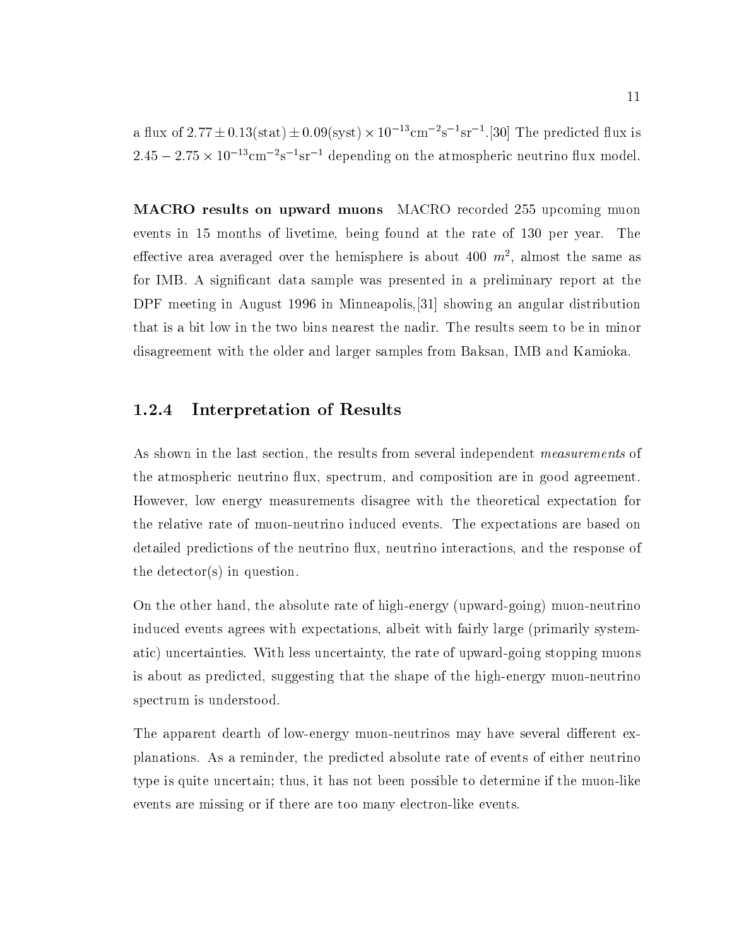a nux of 2.77  $\pm$  0.13(stat)  $\pm$  0.09(syst)  $\times$  10  $^{-1}$  cm  $^{-1}$ s  $^{-1}$ sr  $^{-1}$ .[30] The predicted nux is  $2.45 - 2.75 \times 10^{-5}$  cm  $^{-5}$  sr  $^{-5}$  depending on the atmospheric neutrino nux model.

MACRO results on upward muons MACRO recorded 255 upcoming muon events in 15 months of livetime, being found at the rate of 130 per year. The effective area averaged over the hemisphere is about 400  $m^{\scriptscriptstyle +}$ , almost the same as for IMB. A signicant data sample was presented in a preliminary report at the DPF meeting in August 1996 in Minneapolis,[31] showing an angular distribution that is a bit low in the two bins nearest the nadir. The results seem to be in minor disagreement with the older and larger samples from Baksan, IMB and Kamioka.

#### 1.2.4 Interpretation of Results

As shown in the last section, the results from several independent measurements of the atmospheric neutrino flux, spectrum, and composition are in good agreement. However, low energy measurements disagree with the theoretical expectation for the relative rate of muon-neutrino induced events. The expectations are based on detailed predictions of the neutrino flux, neutrino interactions, and the response of the detector(s) in question.

On the other hand, the absolute rate of high-energy (upward-going) muon-neutrino induced events agrees with expectations, albeit with fairly large (primarily systematic) uncertainties. With less uncertainty, the rate of upward-going stopping muons is about as predicted, suggesting that the shape of the high-energy muon-neutrino spectrum is understood.

The apparent dearth of low-energy muon-neutrinos may have several different explanations. As a reminder, the predicted absolute rate of events of either neutrino type is quite uncertain; thus, it has not been possible to determine if the muon-like events are missing or if there are too many electron-like events.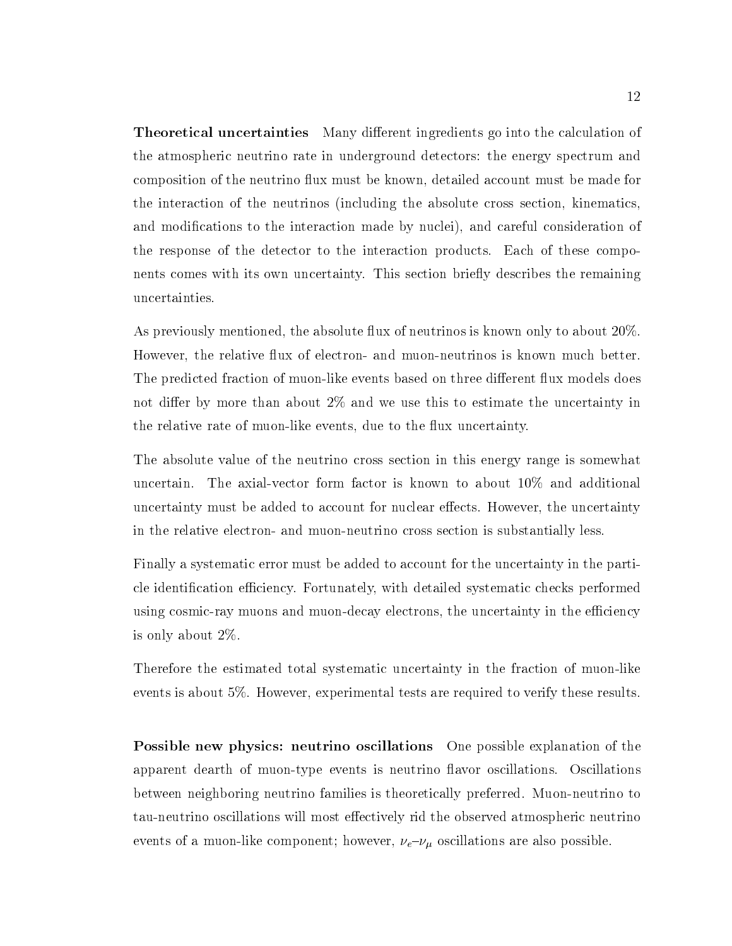**Theoretical uncertainties** Many different ingredients go into the calculation of the atmospheric neutrino rate in underground detectors: the energy spectrum and composition of the neutrino 
ux must be known, detailed account must be made for the interaction of the neutrinos (including the absolute cross section, kinematics, and modifications to the interaction made by nuclei), and careful consideration of the response of the detector to the interaction products. Each of these components comes with its own uncertainty. This section briefly describes the remaining uncertainties.

As previously mentioned, the absolute flux of neutrinos is known only to about 20%. However, the relative flux of electron- and muon-neutrinos is known much better. The predicted fraction of muon-like events based on three different flux models does not differ by more than about  $2\%$  and we use this to estimate the uncertainty in the relative rate of muon-like events, due to the flux uncertainty.

The absolute value of the neutrino cross section in this energy range is somewhat uncertain. The axial-vector form factor is known to about 10% and additional uncertainty must be added to account for nuclear effects. However, the uncertainty in the relative electron- and muon-neutrino cross section is substantially less.

Finally a systematic error must be added to account for the uncertainty in the particle identification efficiency. Fortunately, with detailed systematic checks performed using cosmic-ray muons and muon-decay electrons, the uncertainty in the efficiency is only about 2%.

Therefore the estimated total systematic uncertainty in the fraction of muon-like events is about 5%. However, experimental tests are required to verify these results.

Possible new physics: neutrino oscillations One possible explanation of the apparent dearth of muon-type events is neutrino flavor oscillations. Oscillations between neighboring neutrino families is theoretically preferred. Muon-neutrino to tau-neutrino oscillations will most effectively rid the observed atmospheric neutrino events of a muon-like component; however,  $\nu_e$ - $\nu_\mu$  oscillations are also possible.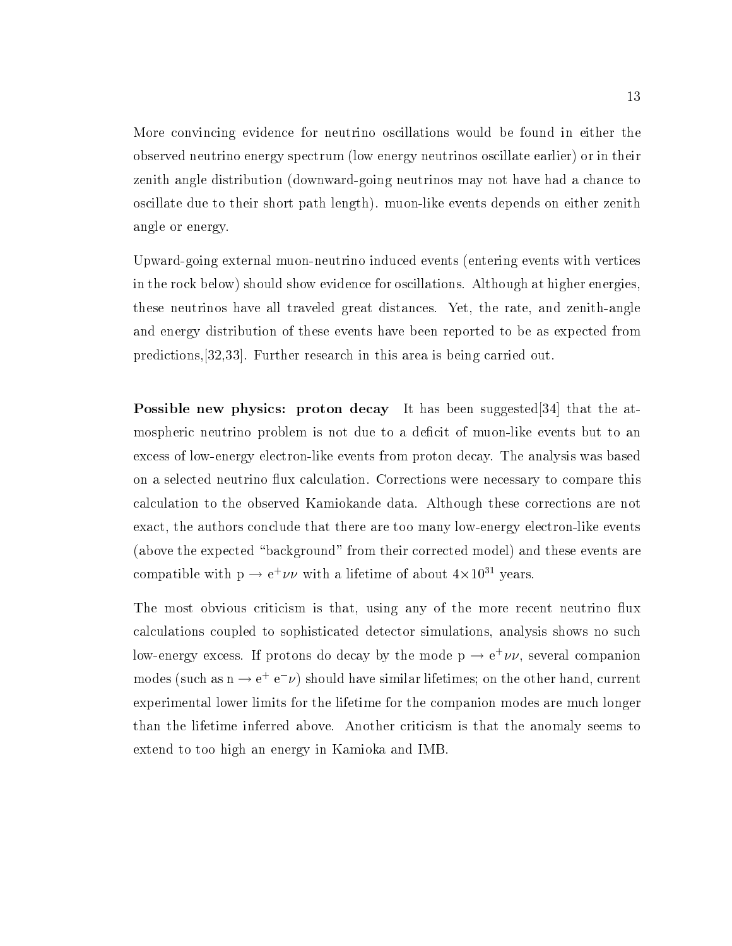More convincing evidence for neutrino oscillations would be found in either the observed neutrino energy spectrum (low energy neutrinos oscillate earlier) or in their zenith angle distribution (downward-going neutrinos may not have had a chance to oscillate due to their short path length). muon-like events depends on either zenith angle or energy.

Upward-going external muon-neutrino induced events (entering events with vertices in the rock below) should show evidence for oscillations. Although at higher energies, these neutrinos have all traveled great distances. Yet, the rate, and zenith-angle and energy distribution of these events have been reported to be as expected from predictions,[32,33]. Further research in this area is being carried out.

Possible new physics: proton decay It has been suggested [34] that the atmospheric neutrino problem is not due to a deficit of muon-like events but to an excess of low-energy electron-like events from proton decay. The analysis was based on a selected neutrino flux calculation. Corrections were necessary to compare this calculation to the observed Kamiokande data. Although these corrections are not exact, the authors conclude that there are too many low-energy electron-like events (above the expected "background" from their corrected model) and these events are compatible with  $p \to e^+ \nu \nu$  with a lifetime of about  $4 \times 10^+$  years.

The most obvious criticism is that, using any of the more recent neutrino flux calculations coupled to sophisticated detector simulations, analysis shows no such low-energy excess. If protons do decay by the mode  $p \to e^+ \nu \nu$ , several companion modes (such as  $n \to e^+ e^- \nu$ ) should have similar lifetimes; on the other hand, current experimental lower limits for the lifetime for the companion modes are much longer than the lifetime inferred above. Another criticism is that the anomaly seems to extend to too high an energy in Kamioka and IMB.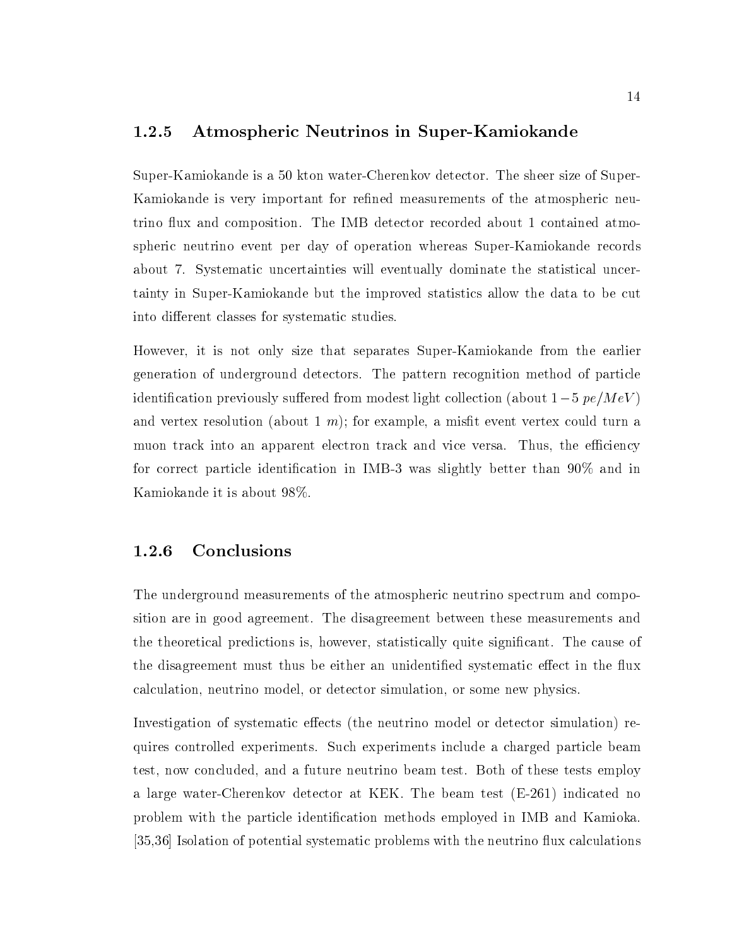#### 1.2.5 Atmospheric Neutrinos in Super-Kamiokande

Super-Kamiokande is a 50 kton water-Cherenkov detector. The sheer size of Super-Kamiokande is very important for refined measurements of the atmospheric neutrino flux and composition. The IMB detector recorded about 1 contained atmospheric neutrino event per day of operation whereas Super-Kamiokande records about 7. Systematic uncertainties will eventually dominate the statistical uncertainty in Super-Kamiokande but the improved statistics allow the data to be cut into different classes for systematic studies.

However, it is not only size that separates Super-Kamiokande from the earlier generation of underground detectors. The pattern recognition method of particle identification previously suffered from modest light collection (about  $1-5$  pe $/MeV$ ) and vertex resolution (about 1 m); for example, a misfit event vertex could turn a muon track into an apparent electron track and vice versa. Thus, the efficiency for correct particle identication in IMB-3 was slightly better than 90% andin Kamiokande it is about 98%.

#### 1.2.6 Conclusions

The underground measurements of the atmospheric neutrino spectrum and composition are in good agreement. The disagreement between these measurements and the theoretical predictions is, however, statistically quite signicant. The cause of the disagreement must thus be either an unidentified systematic effect in the flux calculation, neutrino model, or detector simulation, or some new physics.

Investigation of systematic effects (the neutrino model or detector simulation) requires controlled experiments. Such experiments include a charged particle beam test, now concluded, and a future neutrino beam test. Both of these tests employ a large water-Cherenkov detector at KEK. The beam test (E-261) indicated no problem with the particle identication methods employed in IMB and Kamioka. [35,36] Isolation of potential systematic problems with the neutrino flux calculations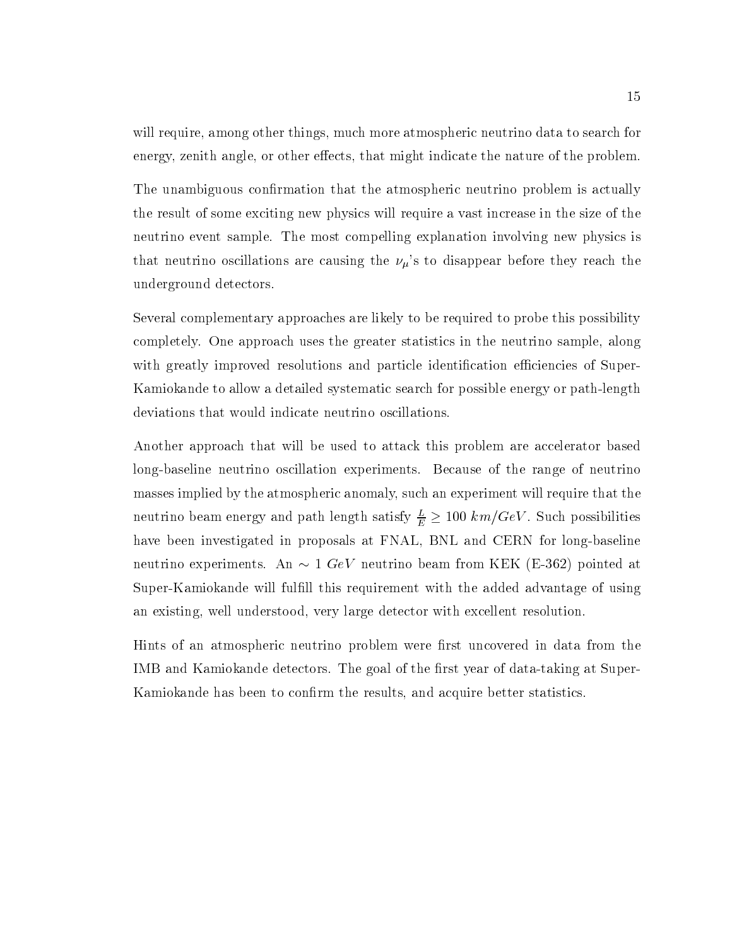will require, among other things, much more atmospheric neutrino data to search for energy, zenith angle, or other effects, that might indicate the nature of the problem.

The unambiguous confirmation that the atmospheric neutrino problem is actually the result of some exciting new physics will require a vast increase in the size of the neutrino event sample. The most compelling explanation involving new physics is that neutrino oscillations are causing the  $\nu_\mu$ 's to disappear before they reach the underground detectors.

Several complementary approaches are likely to be required to probe this possibility completely. One approach uses the greater statistics in the neutrino sample, along with greatly improved resolutions and particle identification efficiencies of Super-Kamiokande to allow a detailed systematic search for possible energy or path-length deviations that would indicate neutrino oscillations.

Another approach that will be used to attack this problem are accelerator based long-baseline neutrino oscillation experiments. Because of the range of neutrino masses implied by the atmospheric anomaly, such an experiment will require that the neutrino beam energy and path length satisfy  $\frac{1}{E} \geq 100~\kappa m/{\rm GeV}$  . Such possibilities have been investigated in proposals at FNAL, BNL and CERN for long-baseline neutrino experiments. An  $\sim 1 \; GeV$  neutrino beam from KEK (E-362) pointed at Super-Kamiokande will fulfill this requirement with the added advantage of using an existing, well understood, very large detector with excellent resolution.

Hints of an atmospheric neutrino problem were first uncovered in data from the IMB and Kamiokande detectors. The goal of the first year of data-taking at Super-Kamiokande has been to confirm the results, and acquire better statistics.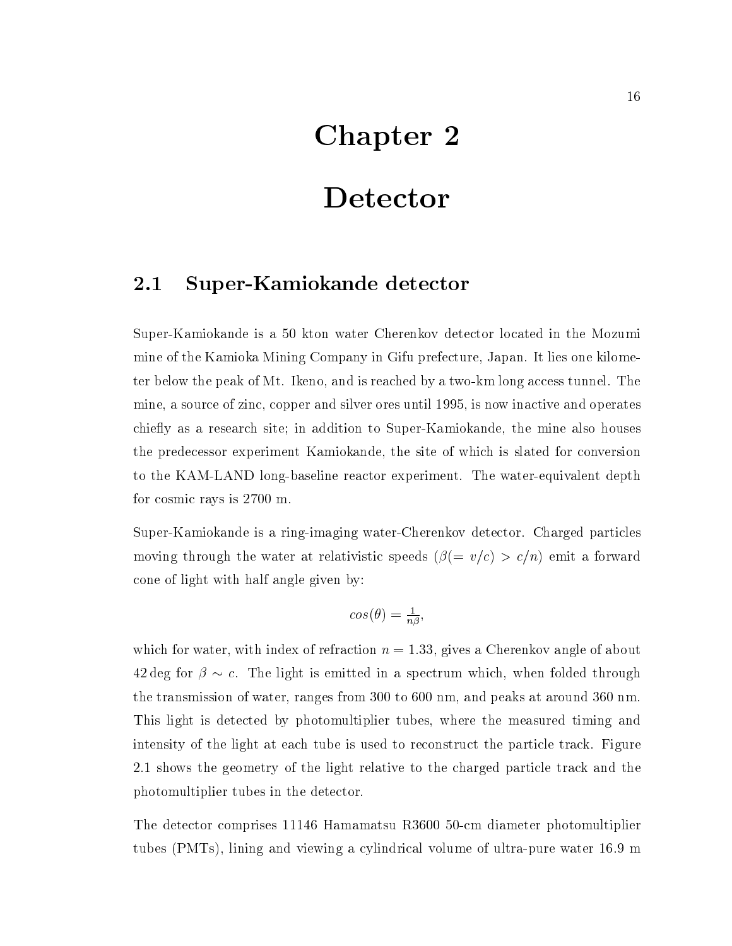## Chapter 2

## Detector

#### Super-Kamiokande detector  $2.1$

Super-Kamiokande is a 50 kton water Cherenkov detector located in the Mozumi mine of the Kamioka Mining Company in Gifu prefecture, Japan. It lies one kilometer below the peak of Mt. Ikeno, and is reached byatwo-km long access tunnel. The mine, a source of zinc, copper and silver ores until 1995, is now inactive and operates chiefly as a research site; in addition to Super-Kamiokande, the mine also houses the predecessor experiment Kamiokande, the site of which is slated for conversion to the KAM-LAND long-baseline reactor experiment. The water-equivalent depth for cosmic rays is 2700 m.

Super-Kamiokande is a ring-imaging water-Cherenkov detector. Charged particles moving through the water at relativistic speeds  $(\beta(= v/c) > c/n)$  emit a forward cone of light with half angle given by:

$$
cos(\theta) = \frac{1}{n\beta},
$$

which for water, with index of refraction  $n = 1.33$ , gives a Cherenkov angle of about 42 deg for  $\beta \sim c$ . The light is emitted in a spectrum which, when folded through the transmission of water, ranges from 300 to 600 nm, and peaks at around 360 nm. This light is detected by photomultiplier tubes, where the measured timing and intensity of the light at each tube is used to reconstruct the particle track. Figure 2.1 shows the geometry of the light relative to the charged particle track and the photomultiplier tubes in the detector.

The detector comprises 11146 Hamamatsu R3600 50-cm diameter photomultiplier tubes (PMTs), lining and viewing a cylindrical volume of ultra-pure water 16.9 m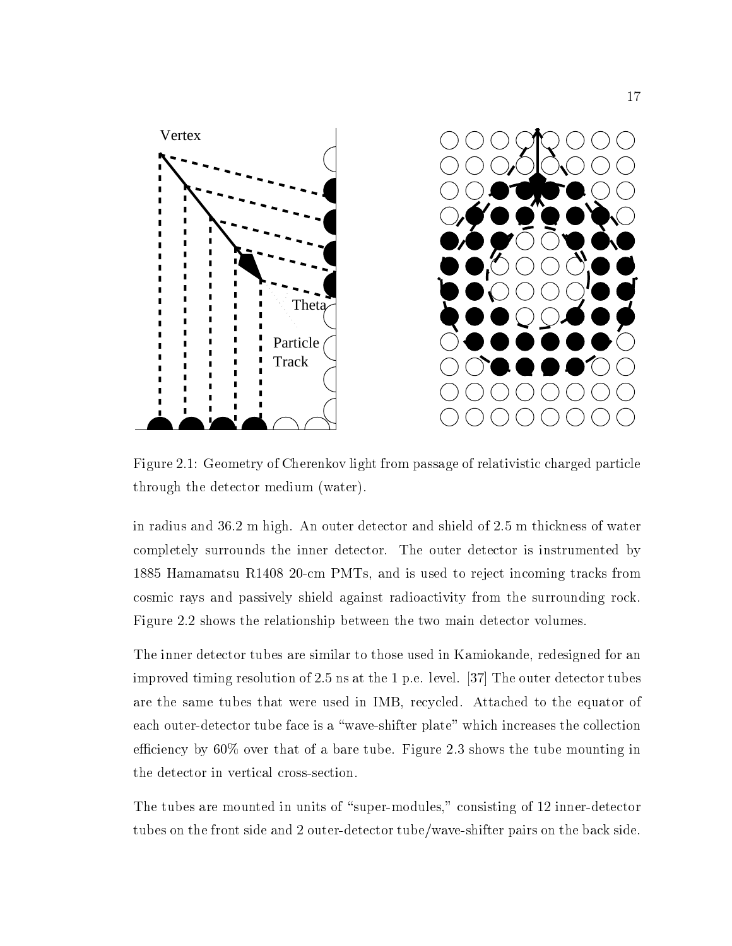

Figure 2.1: Geometry of Cherenkov light from passage of relativistic charged particle through the detector medium (water).

in radius and 36.2 m high. An outer detector and shield of 2.5 m thickness of water completely surrounds the inner detector. The outer detector is instrumented by 1885 Hamamatsu R1408 20-cm PMTs, and is used to reject incoming tracks from cosmic rays and passively shield against radioactivity from the surrounding rock. Figure 2.2 shows the relationship between the two main detector volumes.

The inner detector tubes are similar to those used in Kamiokande, redesigned for an improved timing resolution of 2.5 ns at the 1 p.e. level. [37] The outer detector tubes are the same tubes that were used in IMB, recycled. Attached to the equator of each outer-detector tube face is a "wave-shifter plate" which increases the collection efficiency by  $60\%$  over that of a bare tube. Figure 2.3 shows the tube mounting in the detector in vertical cross-section.

The tubes are mounted in units of "super-modules," consisting of 12 inner-detector tubes on the front side and 2 outer-detector tube/wave-shifter pairs on the back side.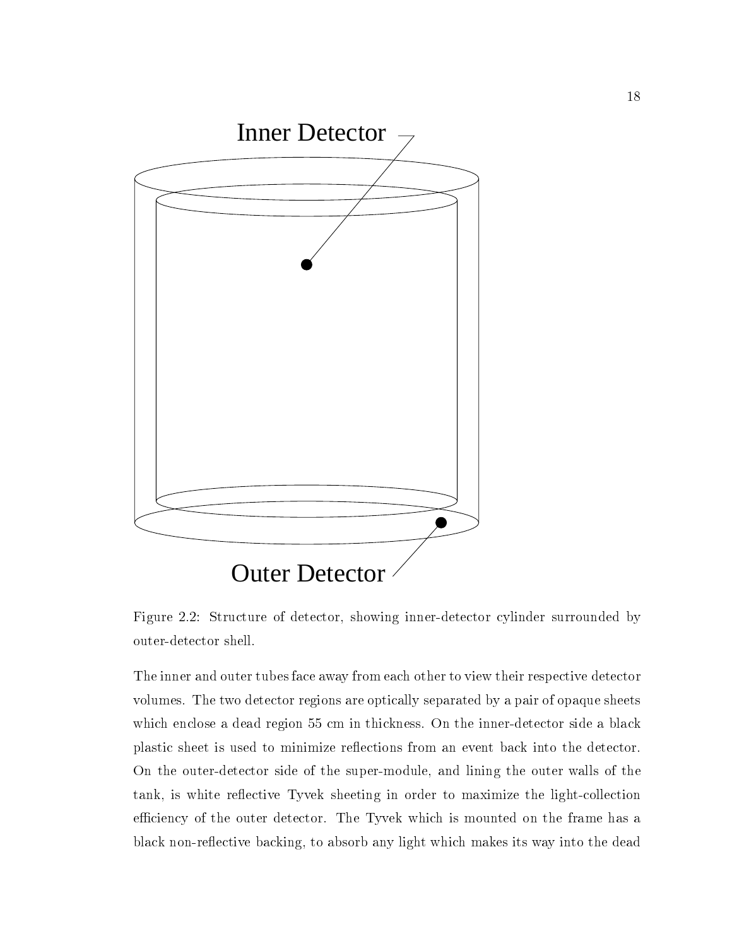

Figure 2.2: Structure of detector, showing inner-detector cylinder surrounded by outer-detector shell.

The inner and outer tubes face away from each other to view their respective detector volumes. The two detector regions are optically separated by a pair of opaque sheets which enclose a dead region 55 cm in thickness. On the inner-detector side a black plastic sheet is used to minimize reflections from an event back into the detector. On the outer-detector side of the super-module, and lining the outer walls of the tank, is white reflective Tyvek sheeting in order to maximize the light-collection efficiency of the outer detector. The Tyvek which is mounted on the frame has a black non-reflective backing, to absorb any light which makes its way into the dead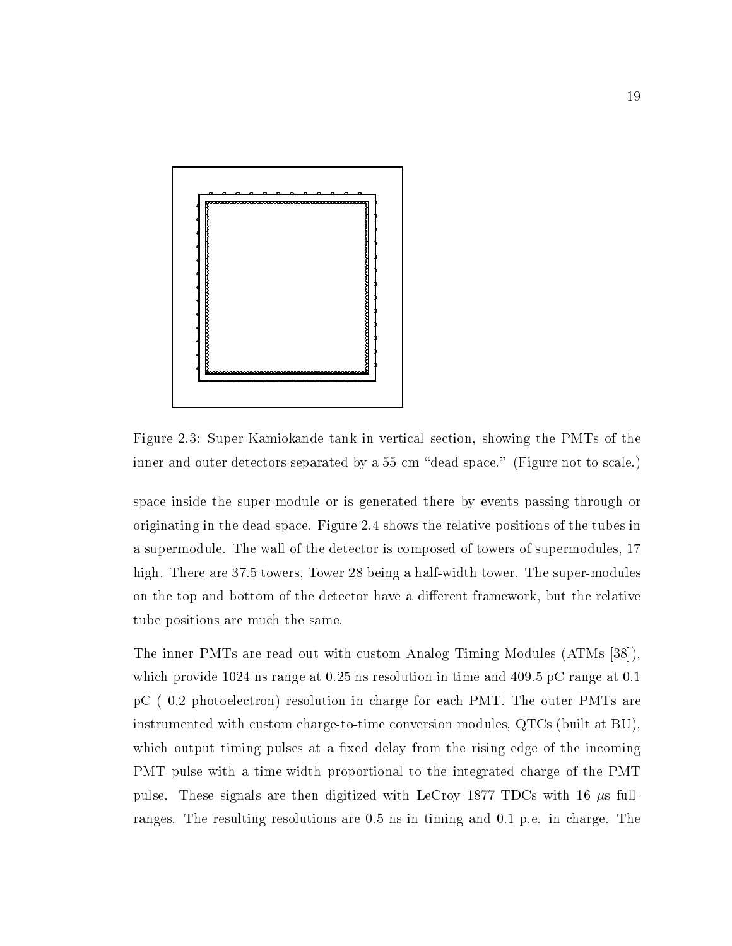

Figure 2.3: Super-Kamiokande tank in vertical section, showing the PMTs of the inner and outer detectors separated by a 55-cm "dead space." (Figure not to scale.)

space inside the super-module or is generated there by events passing through or originating in the dead space. Figure 2.4 shows the relative positions of the tubes in a supermodule. The wall of the detector is composed of towers of supermodules, 17 high. There are 37.5 towers, Tower 28 being a half-width tower. The super-modules on the top and bottom of the detector have a different framework, but the relative tube positions are much the same.

The inner PMTs are read out with custom Analog Timing Modules (ATMs [38]), which provide 1024 ns range at 0.25 ns resolution in time and 409.5 pC range at 0.1 pC (0.2 photoelectron) resolution in charge for each PMT. The outer PMTs are instrumented with custom charge-to-time conversion modules, QTCs (built at BU), which output timing pulses at a fixed delay from the rising edge of the incoming PMT pulse with a time-width proportional to the integrated charge of the PMT pulse. These signals are then digitized with LeCroy 1877 TDCs with 16  $\mu$ s fullranges. The resulting resolutions are 0.5 ns in timing and 0.1 p.e. in charge. The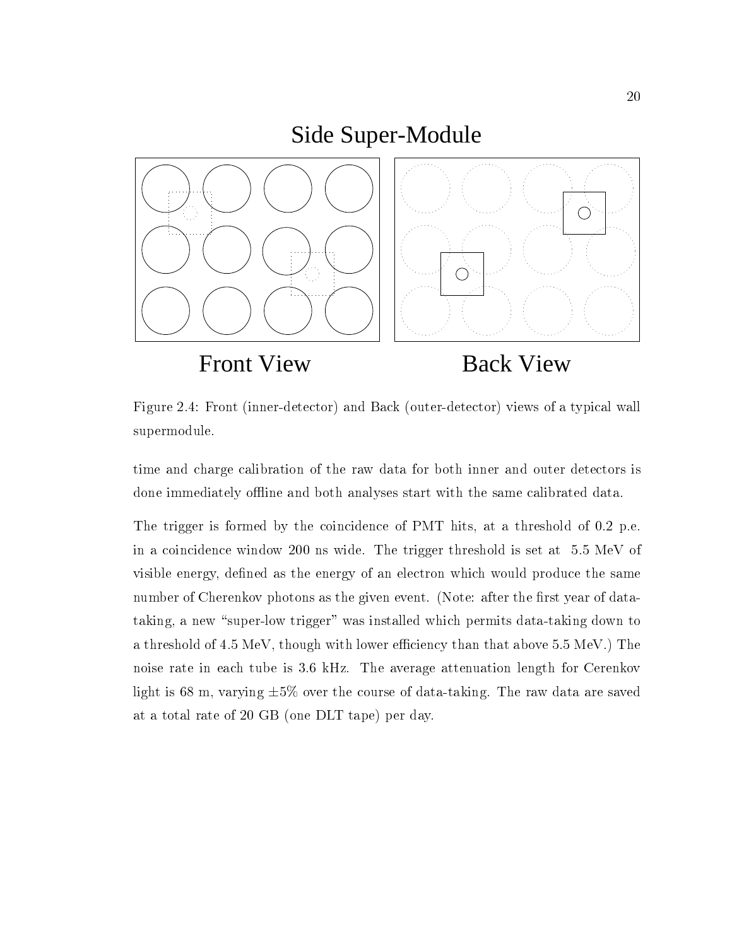## Side Super-Module



Figure 2.4: Front (inner-detector) and Back (outer-detector) views of a typical wall supermodule.

time and charge calibration of the raw data for both inner and outer detectors is done immediately offline and both analyses start with the same calibrated data.

The trigger is formed by the coincidence of PMT hits, at a threshold of 0.2 p.e. in a coincidence window 200 ns wide. The trigger threshold is set at 5:5 MeV of visible energy, defined as the energy of an electron which would produce the same number of Cherenkov photons as the given event. (Note: after the first year of datataking, a new "super-low trigger" was installed which permits data-taking down to a threshold of 4.5 MeV, though with lower efficiency than that above 5.5 MeV.) The noise rate in each tube is 3:6 kHz. The average attenuation length for Cerenkov light is 68 m, varying  $\pm 5\%$  over the course of data-taking. The raw data are saved at a total rate of 20 GB (one DLT tape) per day.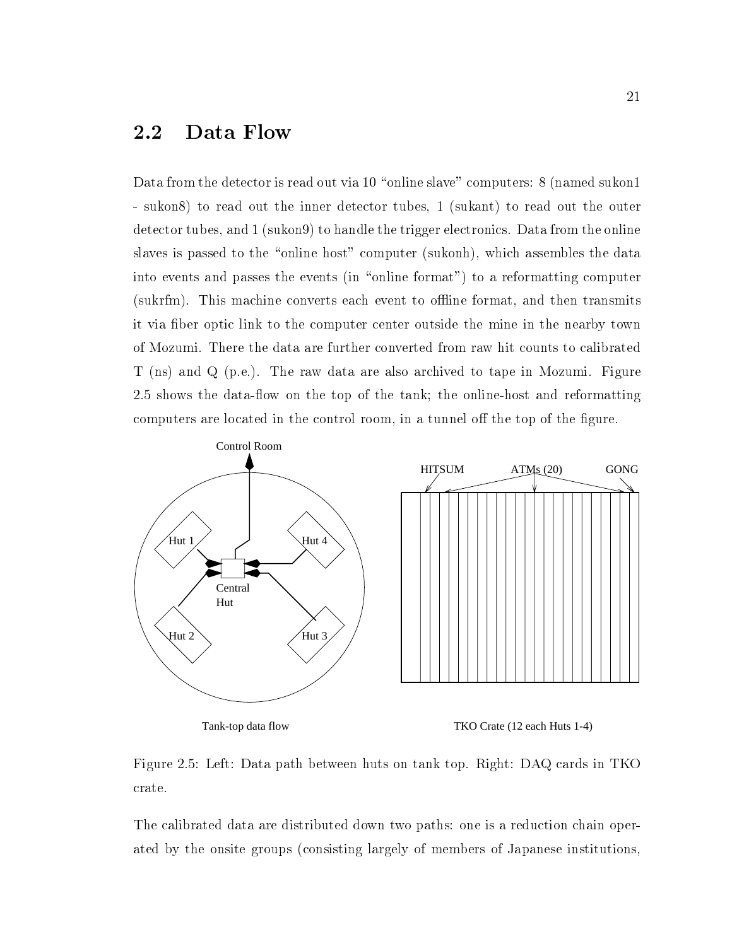#### 2.2 Data Flow

Data from the detector is read out via 10 "online slave" computers: 8 (named sukon1) - sukon8) to read out the inner detector tubes, 1 (sukant) to read out the outer detector tubes, and 1 (sukon9) to handle the trigger electronics. Data from the online slaves is passed to the "online host" computer (sukonh), which assembles the data into events and passes the events (in "online format") to a reformatting computer (sukrfm). This machine converts each event to offline format, and then transmits it via fiber optic link to the computer center outside the mine in the nearby town of Mozumi. There the data are further converted from raw hit counts to calibrated T (ns) and Q (p.e.). The raw data are also archived to tape in Mozumi. Figure 2.5 shows the data-flow on the top of the tank; the online-host and reformatting computers are located in the control room, in a tunnel off the top of the figure.



Figure 2.5: Left: Data path between huts on tank top. Right: DAQ cards in TKO crate.

The calibrated data are distributed down two paths: one is a reduction chain operated by the onsite groups (consisting largely of members of Japanese institutions,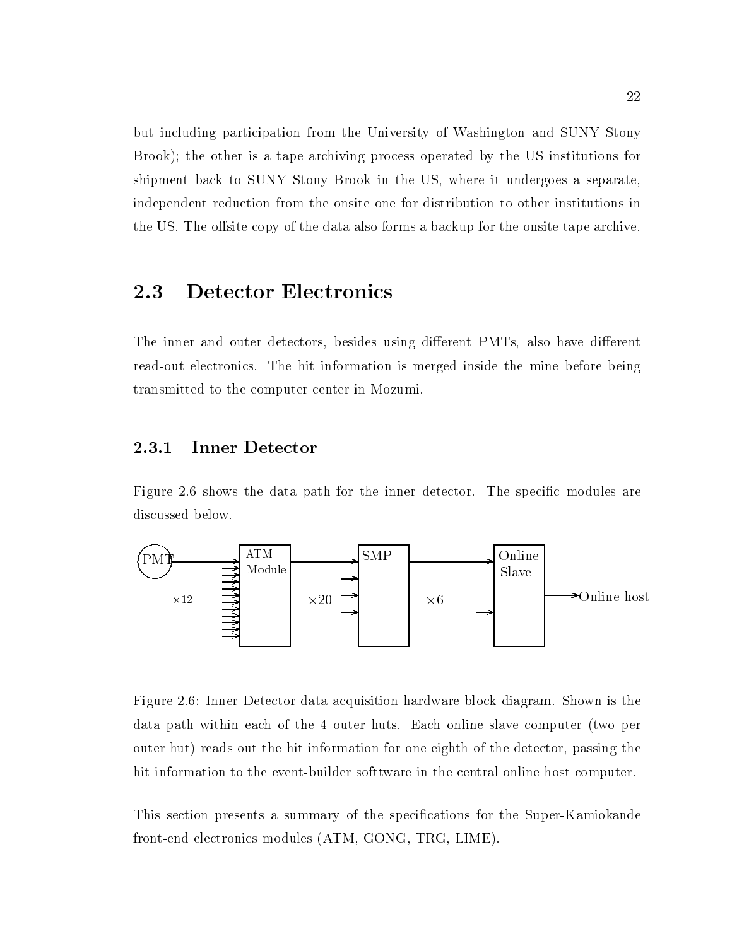but including participation from the University of Washington and SUNY Stony Brook); the other is a tape archiving process operated by the US institutions for shipment back to SUNY Stony Brook in the US, where it undergoes a separate, independent reduction from the onsite one for distribution to other institutions in the US. The offsite copy of the data also forms a backup for the onsite tape archive.

## 2.3 Detector Electronics

The inner and outer detectors, besides using different PMTs, also have different read-out electronics. The hit information is merged inside the mine before being transmitted to the computer center in Mozumi.

#### 2.3.1 Inner Detector

Figure 2.6 shows the data path for the inner detector. The specific modules are discussed below.



Figure 2.6: Inner Detector data acquisition hardware block diagram. Shown is the data path within each of the 4 outer huts. Each online slave computer (two per outer hut) reads out the hit information for one eighth of the detector, passing the hit information to the event-builder softtware in the central online host computer.

This section presents a summary of the specifications for the Super-Kamiokande front-end electronics modules (ATM, GONG, TRG, LIME).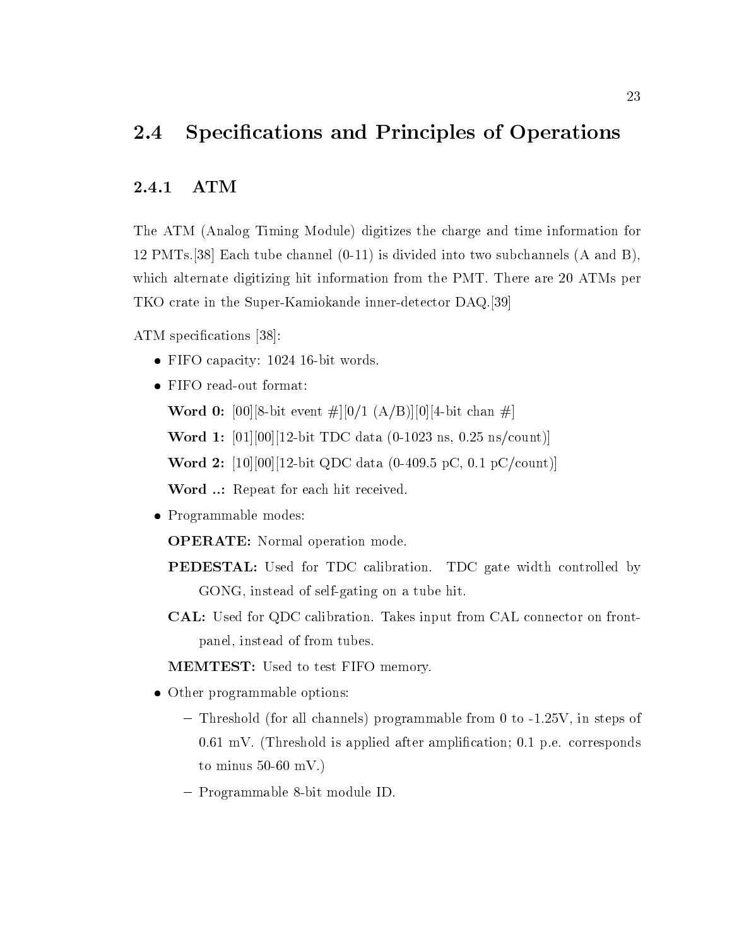#### $2.4$ Specifications and Principles of Operations

#### 2.4.1 ATM

The ATM (Analog Timing Module) digitizes the charge and time information for 12 PMTs.[38] Each tube channel (0-11) is divided into two subchannels (A and B), which alternate digitizing hit information from the PMT. There are 20 ATMs per TKO crate in the Super-Kamiokande inner-detector DAQ.[39]

ATM specifications [38]:

- FIFO capacity: 1024 16-bit words.
- FIFO read-out format:

**Word 0:** [00][8-bit event  $\#$ ][0/1 (A/B)][0][4-bit chan  $\#$ ]

Word 1: [01][00][12-bit TDC data (0-1023 ns, 0.25 ns/count)]

Word 2: [10][00][12-bit QDC data (0-409.5 pC, 0.1 pC/count)]

Word ..: Repeat for each hit received.

• Programmable modes:

OPERATE: Normal operation mode.

- PEDESTAL: Used for TDC calibration. TDC gate width controlled by GONG, instead of self-gating on a tube hit.
- CAL: Used for QDC calibration. Takes input from CAL connector on frontpanel, instead of from tubes.

MEMTEST: Used to test FIFO memory.

- Other programmable options:
	- Threshold (for all channels) programmable from 0 to -1.25V, in steps of 0.61 mV. (Threshold is applied after amplification; 0.1 p.e. corresponds to minus  $50-60$  mV.)
	- { Programmable 8-bit module ID.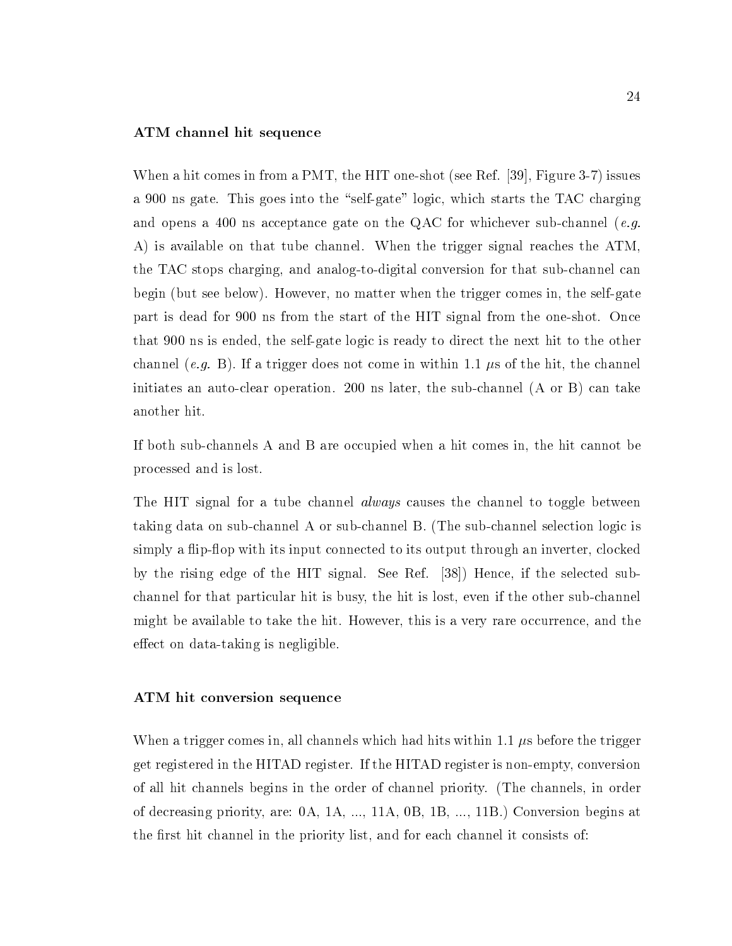#### ATM channel hit sequence

When a hit comes in from a PMT, the HIT one-shot (see Ref. [39], Figure 3-7) issues a 900 ns gate. This goes into the "self-gate" logic, which starts the TAC charging and opens a 400 ns acceptance gate on the QAC for whichever sub-channel (*e.g.*) A) is available on that tube channel. When the trigger signal reaches the ATM, the TAC stops charging, and analog-to-digital conversion for that sub-channel can begin (but see below). However, no matter when the trigger comes in, the self-gate part is dead for 900 ns from the start of the HIT signal from the one-shot. Once that 900 ns is ended, the self-gate logic is ready to direct the next hit to the other channel (e.g. B). If a trigger does not come in within 1.1  $\mu$ s of the hit, the channel initiates an auto-clear operation. 200 ns later, the sub-channel (A or B) can take another hit.

If both sub-channels A and B are occupied when a hit comes in, the hit cannot be processed and is lost.

The HIT signal for a tube channel *always* causes the channel to toggle between taking data on sub-channel A or sub-channel B. (The sub-channel selection logic is simply a flip-flop with its input connected to its output through an inverter, clocked by the rising edge of the HIT signal. See Ref. [38]) Hence, if the selected subchannel for that particular hit is busy, the hit is lost, even if the other sub-channel might be available to take the hit. However, this is a very rare occurrence, and the effect on data-taking is negligible.

#### ATM hit conversion sequence

When a trigger comes in, all channels which had hits within 1.1  $\mu$ s before the trigger get registered in the HITAD register. If the HITAD register is non-empty, conversion of all hit channels begins in the order of channel priority. (The channels, in order of decreasing priority, are: 0A, 1A, ..., 11A, 0B, 1B, ..., 11B.) Conversion begins at the first hit channel in the priority list, and for each channel it consists of: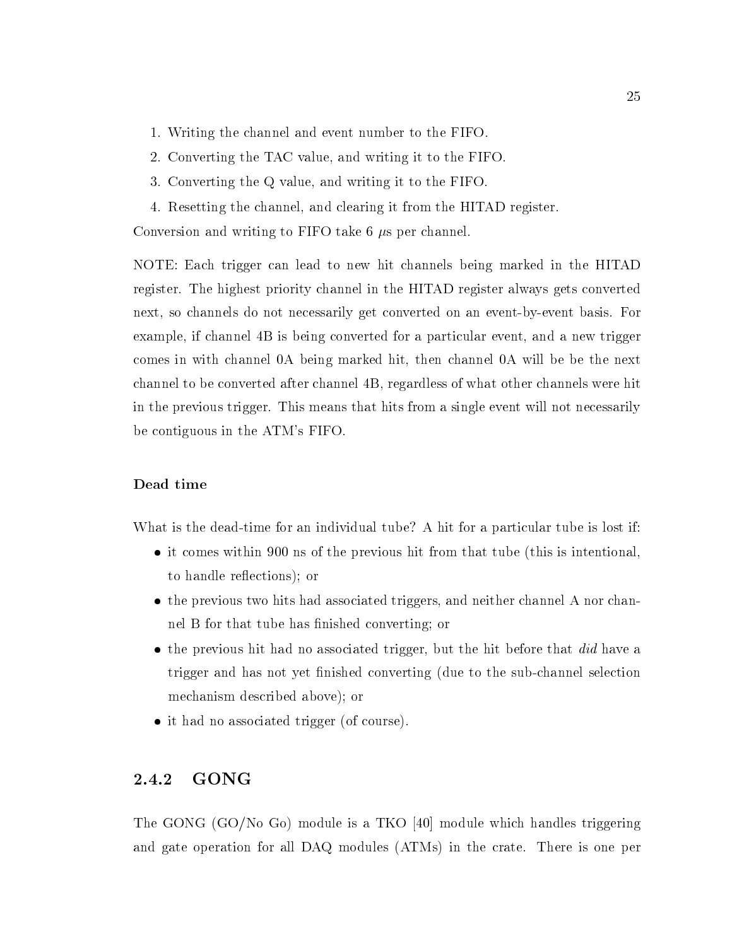- 1. Writing the channel and event number to the FIFO.
- 2. Converting the TAC value, and writing it to the FIFO.
- 3. Converting the Q value, and writing it to the FIFO.
- 4. Resetting the channel, and clearing it from the HITAD register.

Conversion and writing to FIFO take 6  $\mu$ s per channel.

NOTE: Each trigger can lead to new hit channels being marked in the HITAD register. The highest priority channel in the HITAD register always gets converted next, so channels do not necessarily get converted on an event-by-event basis. For example, if channel 4B is being converted for a particular event, and a new trigger comes in with channel 0A being marked hit, then channel 0A will be be the next channel to be converted after channel 4B, regardless of what other channels were hit in the previous trigger. This means that hits from a single event will not necessarily be contiguous in the ATM's FIFO.

#### Dead time

What is the dead-time for an individual tube? A hit for a particular tube is lost if:

- it comes within 900 ns of the previous hit from that tube (this is intentional, to handle re
ections); or
- the previous two hits had associated triggers, and neither channel A nor channel B for that tube has finished converting; or
- $\bullet$  the previous hit had no associated trigger, but the hit before that  $did$  have a trigger and has not yet finished converting (due to the sub-channel selection mechanism described above); or
- it had no associated trigger (of course).

### 2.4.2 GONG

The GONG (GO/No Go) module is a TKO [40] module which handles triggering and gate operation for all DAQ modules (ATMs) in the crate. There is one per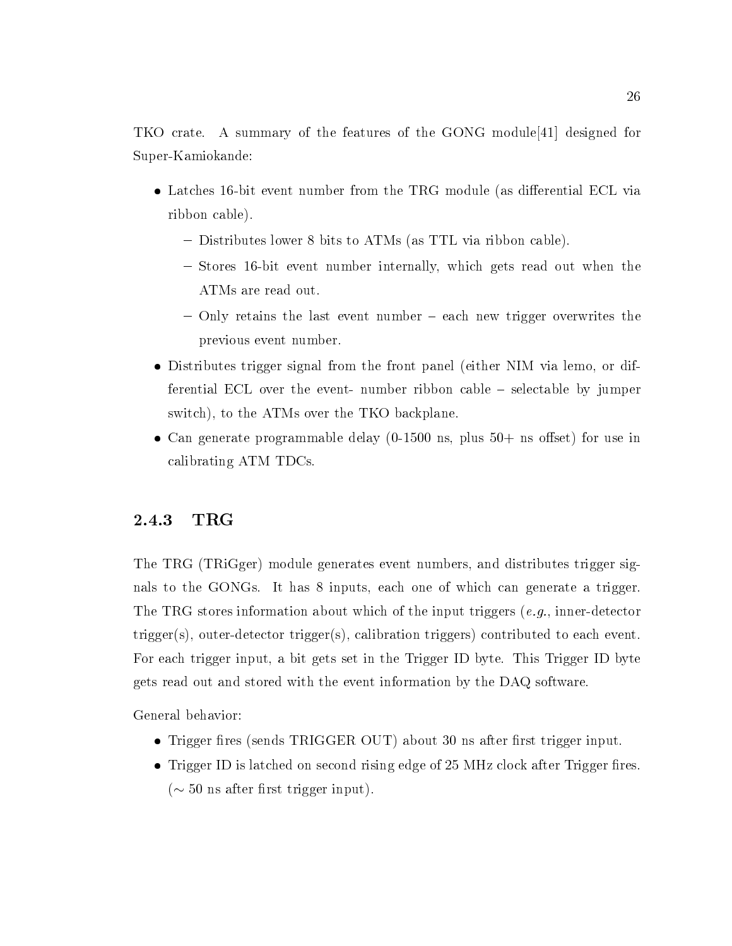TKO crate. A summary of the features of the GONG module[41] designed for Super-Kamiokande:

- Latches 16-bit event number from the TRG module (as differential ECL via ribbon cable).
	- Distributes lower 8 bits to ATMs (as TTL via ribbon cable).
	- Stores 16-bit event number internally, which gets read out when the ATMs are read out.
	- ${\rm -}$  Only retains the last event number  ${\rm -}$  each new trigger overwrites the previous event number.
- Distributes trigger signal from the front panel (either NIM via lemo, or differential ECL over the event- number ribbon cable  $-$  selectable by jumper switch), to the ATMs over the TKO backplane.
- Can generate programmable delay  $(0-1500 \text{ ns}, \text{plus } 50+\text{ ns} \text{ offset})$  for use in calibrating ATM TDCs.

#### 2.4.3  $_{\rm TRG}$

The TRG (TRiGger) module generates event numbers, and distributes trigger signals to the GONGs. It has 8 inputs, each one of which can generate a trigger. The TRG stores information about which of the input triggers  $(e.g.,)$  inner-detector trigger(s), outer-detector trigger(s), calibration triggers) contributed to each event. For each trigger input, a bit gets set in the Trigger ID byte. This Trigger ID byte gets read out and stored with the event information by the DAQ software.

General behavior:

- Trigger fires (sends TRIGGER OUT) about 30 ns after first trigger input.
- Trigger ID is latched on second rising edge of 25 MHz clock after Trigger fires. ( $\sim$  50 ns after first trigger input).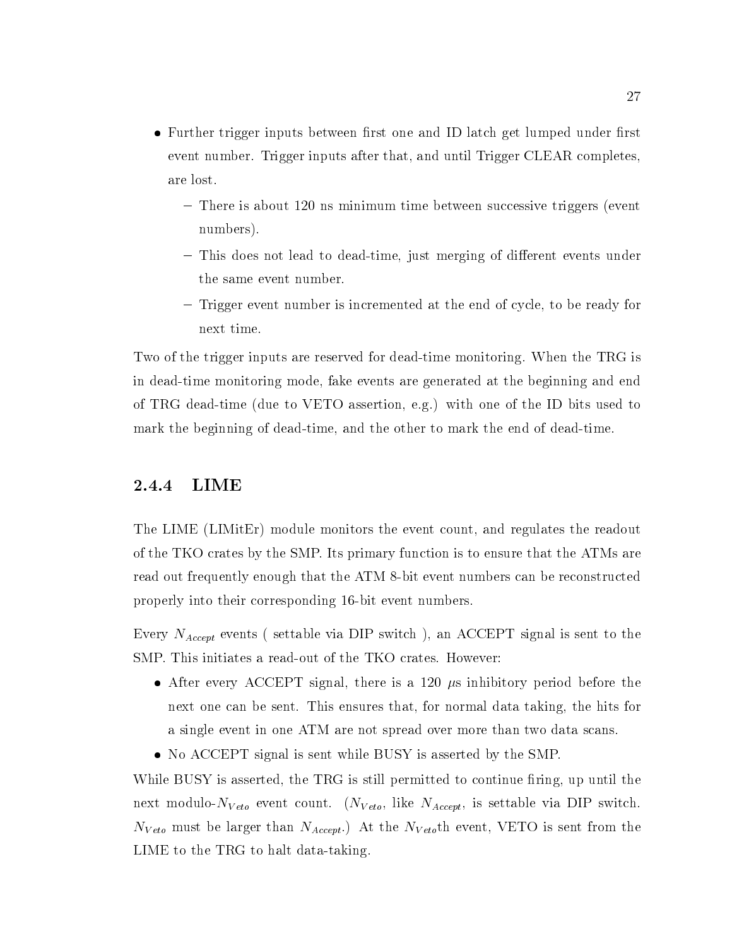- Further trigger inputs between first one and ID latch get lumped under first event number. Trigger inputs after that, and until Trigger CLEAR completes, are lost.
	- { There is about 120 ns minimum time between successive triggers (event numbers).
	- This does not lead to dead-time, just merging of different events under the same event number.
	- ${\rm -}$  Trigger event number is incremented at the end of cycle, to be ready for next time.

Two of the trigger inputs are reserved for dead-time monitoring. When the TRG is in dead-time monitoring mode, fake events are generated at the beginning and end of TRG dead-time (due to VETO assertion, e.g.) with one of the ID bits used to mark the beginning of dead-time, and the other to mark the end of dead-time.

### 2.4.4 LIME

The LIME (LIMitEr) module monitors the event count, and regulates the readout of the TKO crates by the SMP. Its primary function is to ensure that the ATMs are read out frequently enough that the ATM 8-bit event numbers can be reconstructed properly into their corresponding 16-bit event numbers.

Every  $N_{Accept}$  events (settable via DIP switch), an ACCEPT signal is sent to the SMP. This initiates a read-out of the TKO crates. However:

- After every ACCEPT signal, there is a 120  $\mu$ s inhibitory period before the next one can be sent. This ensures that, for normal data taking, the hits for a single event in one ATM are not spread over more than two data scans.
- No ACCEPT signal is sent while BUSY is asserted by the SMP.

While BUSY is asserted, the TRG is still permitted to continue firing, up until the next modulo- $N_{Veto}$  event count. ( $N_{Veto}$ , like  $N_{Accept}$ , is settable via DIP switch.  $N_{Veto}$  must be larger than  $N_{Accept}$ .) At the  $N_{Veto}$ th event, VETO is sent from the LIME to the TRG to halt data-taking.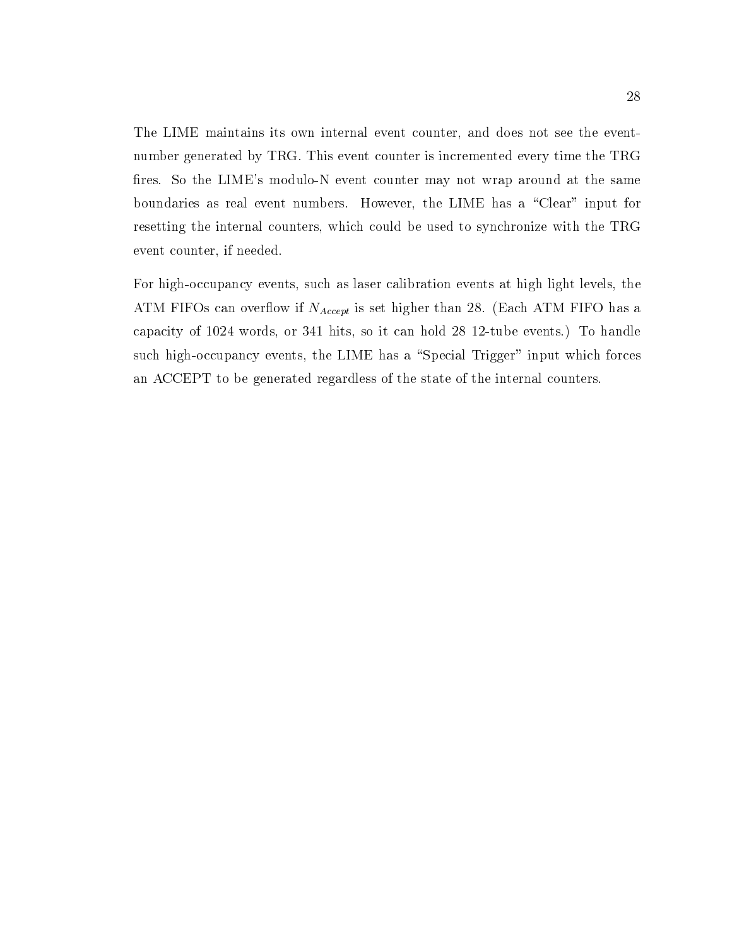The LIME maintains its own internal event counter, and does not see the eventnumber generated by TRG. This event counter is incremented every time the TRG fires. So the LIME's modulo-N event counter may not wrap around at the same boundaries as real event numbers. However, the LIME has a \Clear" input for resetting the internal counters, which could be used to synchronize with the TRG event counter, if needed.

For high-occupancy events, such as laser calibration events at high light levels, the ATM FIFOs can overflow if  $N_{Accept}$  is set higher than 28. (Each ATM FIFO has a capacity of 1024 words, or 341 hits, so it can hold 28 12-tube events.) To handle such high-occupancy events, the LIME has a "Special Trigger" input which forces an ACCEPT to be generated regardless of the state of the internal counters.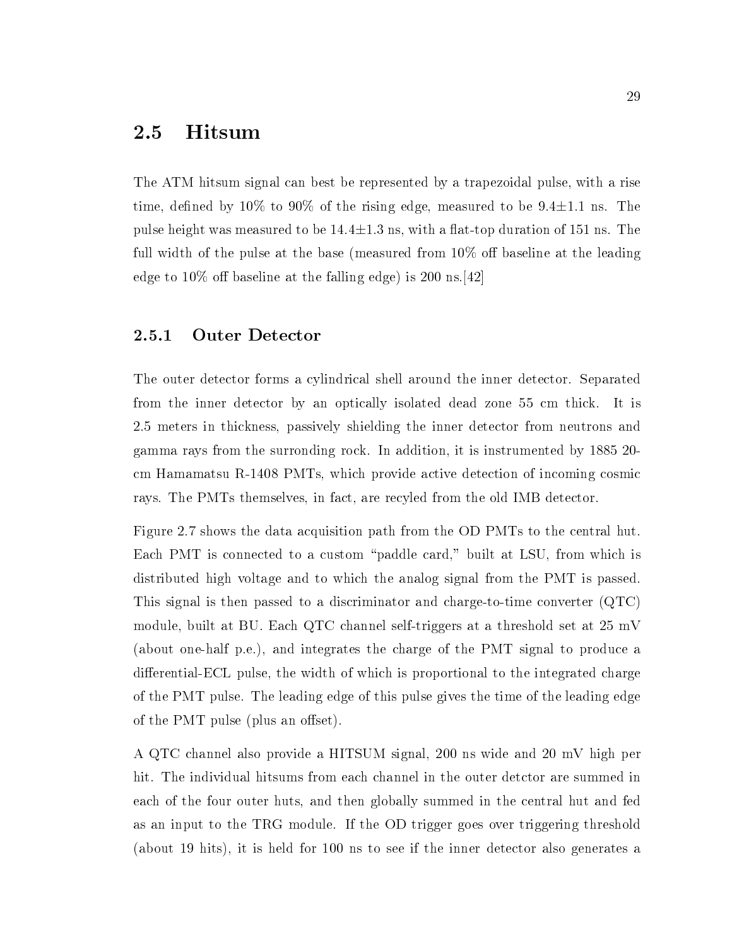#### 2.5 **Hitsum**

The ATM hitsum signal can best be represented by a trapezoidal pulse, with a rise time, defined by  $10\%$  to  $90\%$  of the rising edge, measured to be  $9.4 \pm 1.1$  ns. The pulse height was measured to be  $14.4 \pm 1.3$  ns, with a flat-top duration of 151 ns. The full width of the pulse at the base (measured from  $10\%$  off baseline at the leading edge to  $10\%$  off baseline at the falling edge) is 200 ns. [42]

#### 2.5.1 Outer Detector

The outer detector forms a cylindrical shell around the inner detector. Separated from the inner detector by an optically isolated dead zone 55 cm thick. It is 2.5 meters in thickness, passively shielding the inner detector from neutrons and gamma rays from the surronding rock. In addition, it is instrumented by 1885 20 cm Hamamatsu R-1408 PMTs, which provide active detection of incoming cosmic rays. The PMTs themselves, in fact, are recyled from the old IMB detector.

Figure 2.7 shows the data acquisition path from the OD PMTs to the central hut. Each PMT is connected to a custom "paddle card," built at LSU, from which is distributed high voltage and to which the analog signal from the PMT is passed. This signal is then passed to a discriminator and charge-to-time converter (QTC) module, built at BU. Each QTC channel self-triggers at a threshold set at 25 mV (about one-half p.e.), and integrates the charge of the PMT signal to produce a differential-ECL pulse, the width of which is proportional to the integrated charge of the PMT pulse. The leading edge of this pulse gives the time of the leading edge of the PMT pulse (plus an offset).

A QTC channel also provide a HITSUM signal, 200 ns wide and 20 mV high per hit. The individual hitsums from each channel in the outer detctor are summed in each of the four outer huts, and then globally summed in the central hut and fed as an input to the TRG module. If the OD trigger goes over triggering threshold (about 19 hits), it is held for 100 ns to see if the inner detector also generates a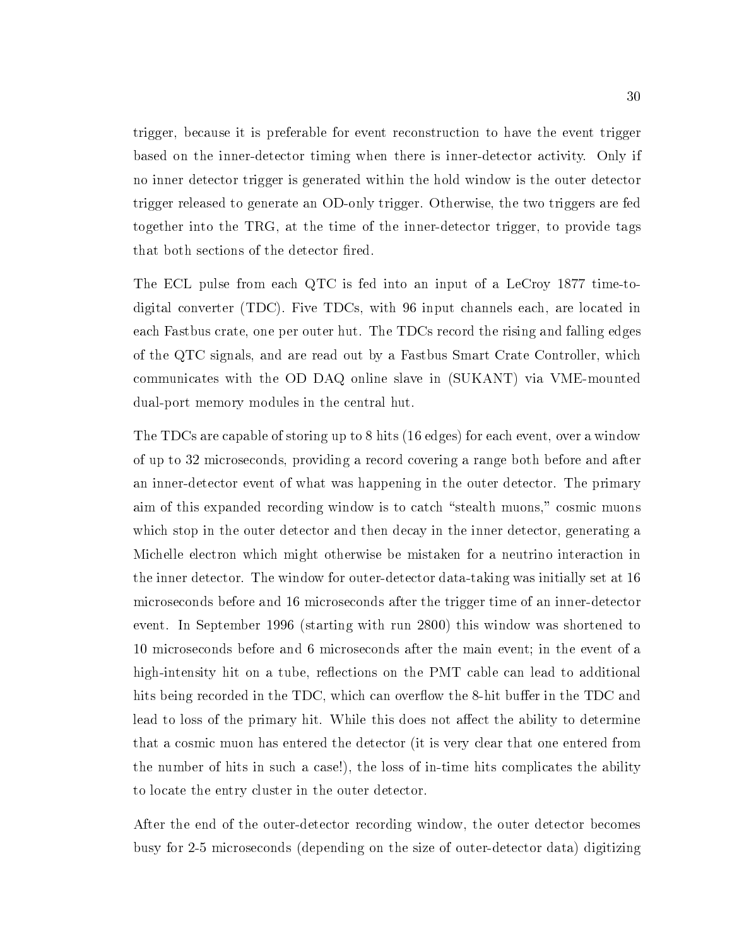trigger, because it is preferable for event reconstruction to have the event trigger based on the inner-detector timing when there is inner-detector activity. Only if no inner detector trigger is generated within the hold window is the outer detector trigger released to generate an OD-only trigger. Otherwise, the two triggers are fed together into the TRG, at the time of the inner-detector trigger, to provide tags that both sections of the detector fired.

The ECL pulse from each QTC is fed into an input of a LeCroy 1877 time-todigital converter (TDC). Five TDCs, with 96 input channels each, are located in each Fastbus crate, one per outer hut. The TDCs record the rising and falling edges of the QTC signals, and are read out by a Fastbus Smart Crate Controller, which communicates with the OD DAQ online slave in (SUKANT) via VME-mounted dual-port memory modules in the central hut.

The TDCs are capable of storing up to 8 hits (16 edges) for each event, over a window of up to 32 microseconds, providing a record covering a range both before and after an inner-detector event of what was happening in the outer detector. The primary aim of this expanded recording window is to catch "stealth muons," cosmic muons which stop in the outer detector and then decay in the inner detector, generating a Michelle electron which might otherwise be mistaken for a neutrino interaction in the inner detector. The window for outer-detector data-taking was initially set at 16 microseconds before and 16 microseconds after the trigger time of an inner-detector event. In September 1996 (starting with run 2800) this window was shortened to 10 microseconds before and 6 microseconds after the main event; in the event of a high-intensity hit on a tube, reflections on the PMT cable can lead to additional hits being recorded in the TDC, which can overflow the 8-hit buffer in the TDC and lead to loss of the primary hit. While this does not affect the ability to determine that a cosmic muon has entered the detector (it is very clear that one entered from the number of hits in such a case!), the loss of in-time hits complicates the ability to locate the entry cluster in the outer detector.

After the end of the outer-detector recording window, the outer detector becomes busy for 2-5 microseconds (depending on the size of outer-detector data) digitizing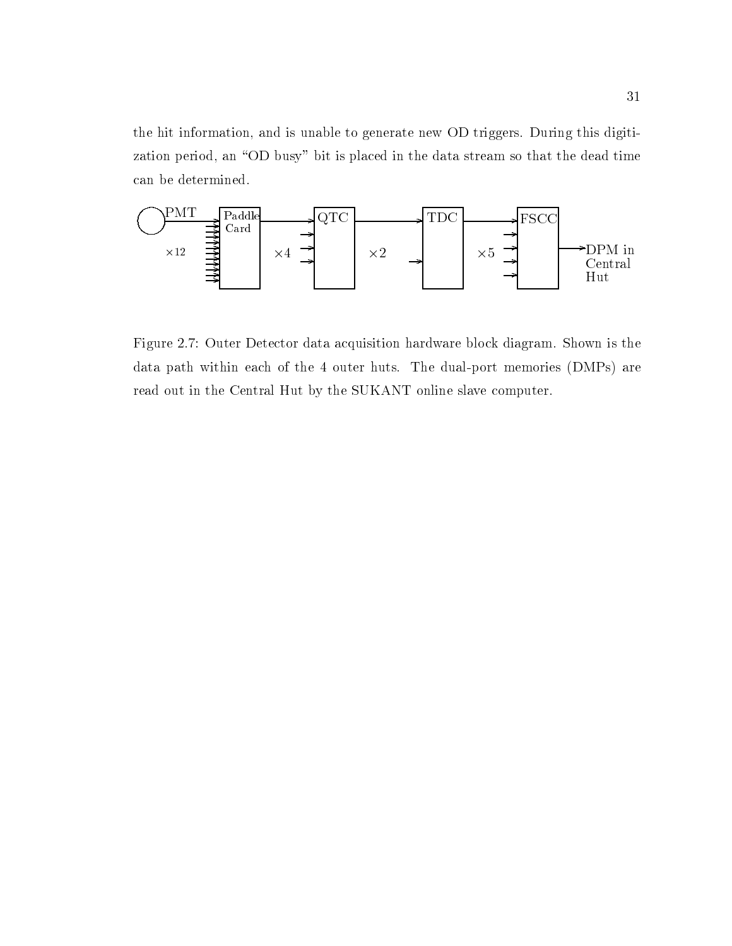the hit information, and is unable to generate new OD triggers. During this digitization period, an "OD busy" bit is placed in the data stream so that the dead time can be determined.



Figure 2.7: Outer Detector data acquisition hardware block diagram. Shown is the data path within each of the 4 outer huts. The dual-port memories (DMPs) are read out in the Central Hut by the SUKANT online slave computer.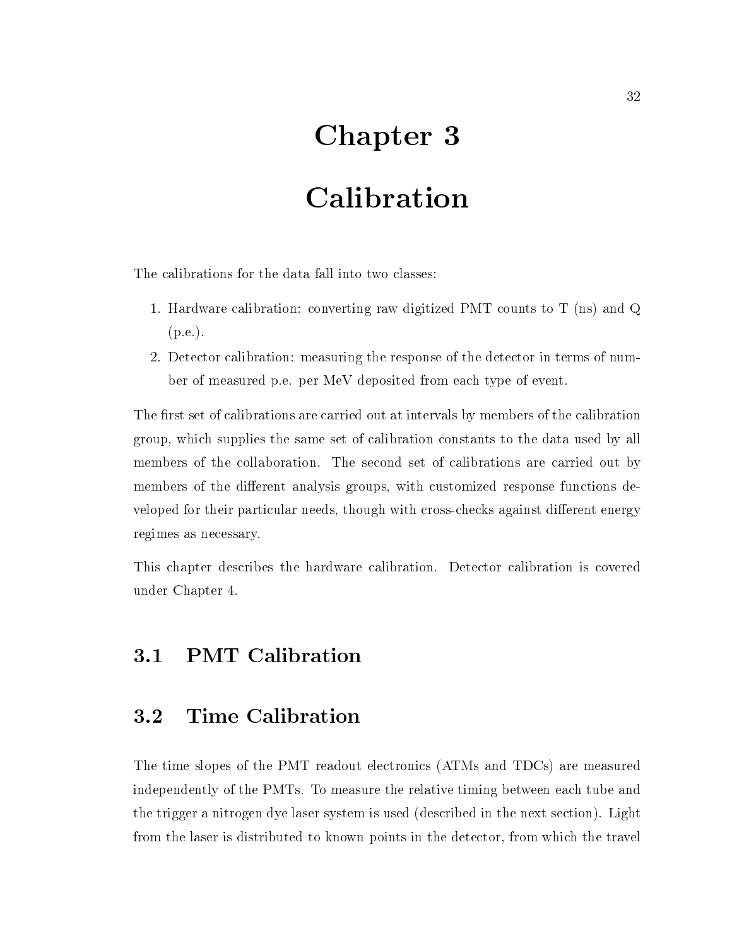# Chapter 3

# Calibration

The calibrations for the data fall into two classes:

- 1. Hardware calibration: converting raw digitized PMT counts to T (ns) and Q (p.e.).
- 2. Detector calibration: measuring the response of the detector in terms of number of measured p.e. per MeV deposited from each type of event.

The first set of calibrations are carried out at intervals by members of the calibration group, which supplies the same set of calibration constants to the data used by all members of the collaboration. The second set of calibrations are carried out by members of the different analysis groups, with customized response functions developed for their particular needs, though with cross-checks against different energy regimes as necessary.

This chapter describes the hardware calibration. Detector calibration is covered under Chapter 4.

The time slopes of the PMT readout electronics (ATMs and TDCs) are measured independently of the PMTs. To measure the relative timing between each tube and the trigger a nitrogen dye laser system is used (described in the next section). Light from the laser is distributed to known points in the detector, from which the travel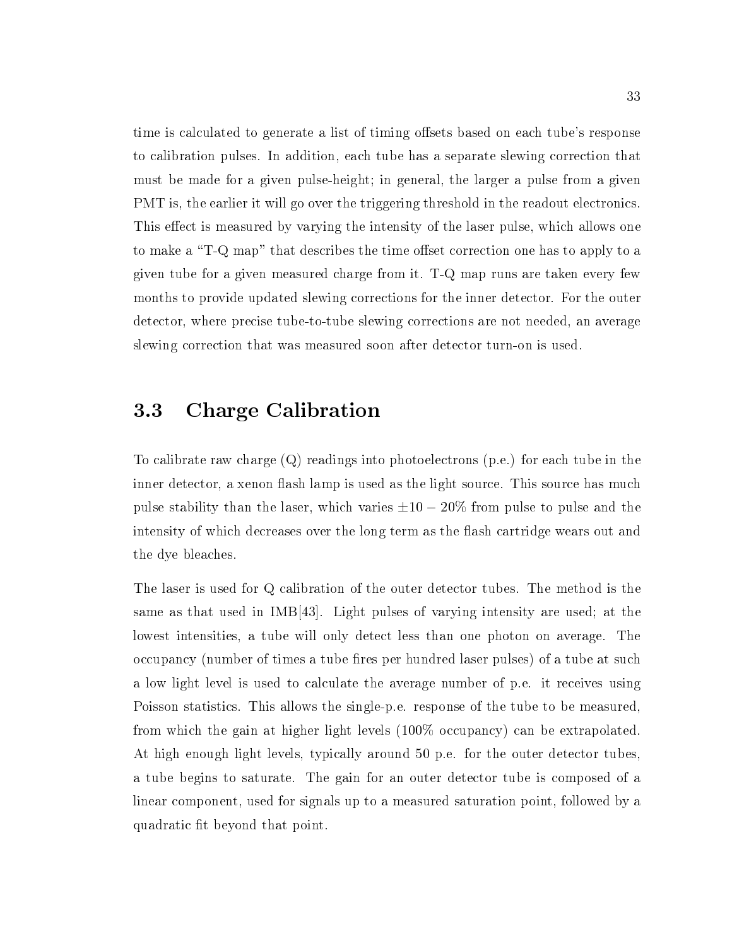time is calculated to generate a list of timing offsets based on each tube's response to calibration pulses. In addition, each tube has a separate slewing correction that must be made for a given pulse-height; in general, the larger a pulse from a given PMT is, the earlier it will go over the triggering threshold in the readout electronics. This effect is measured by varying the intensity of the laser pulse, which allows one to make a "T-Q map" that describes the time offset correction one has to apply to a given tube for a given measured charge from it. T-Q map runs are taken every few months to provide updated slewing corrections for the inner detector. For the outer detector, where precise tube-to-tube slewing corrections are not needed, an average slewing correction that was measured soon after detector turn-on is used.

## 3.3 Charge Calibration

To calibrate raw charge  $(Q)$  readings into photoelectrons  $(p.e.)$  for each tube in the inner detector, a xenon flash lamp is used as the light source. This source has much pulse stability than the laser, which varies  $\pm 10 - 20\%$  from pulse to pulse and the intensity of which decreases over the long term as the flash cartridge wears out and the dye bleaches.

The laser is used for Q calibration of the outer detector tubes. The method is the same as that used in IMB[43]. Light pulses of varying intensity are used; at the lowest intensities, a tube will only detect less than one photon on average. The occupancy (number of times a tube fires per hundred laser pulses) of a tube at such a low light level is used to calculate the average number of p.e. it receives using Poisson statistics. This allows the single-p.e. response of the tube to be measured, from which the gain at higher light levels (100% occupancy) can be extrapolated. At high enough light levels, typically around 50 p.e. for the outer detector tubes, a tube begins to saturate. The gain for an outer detector tube is composed of a linear component, used for signals up to a measured saturation point, followed by a quadratic fit beyond that point.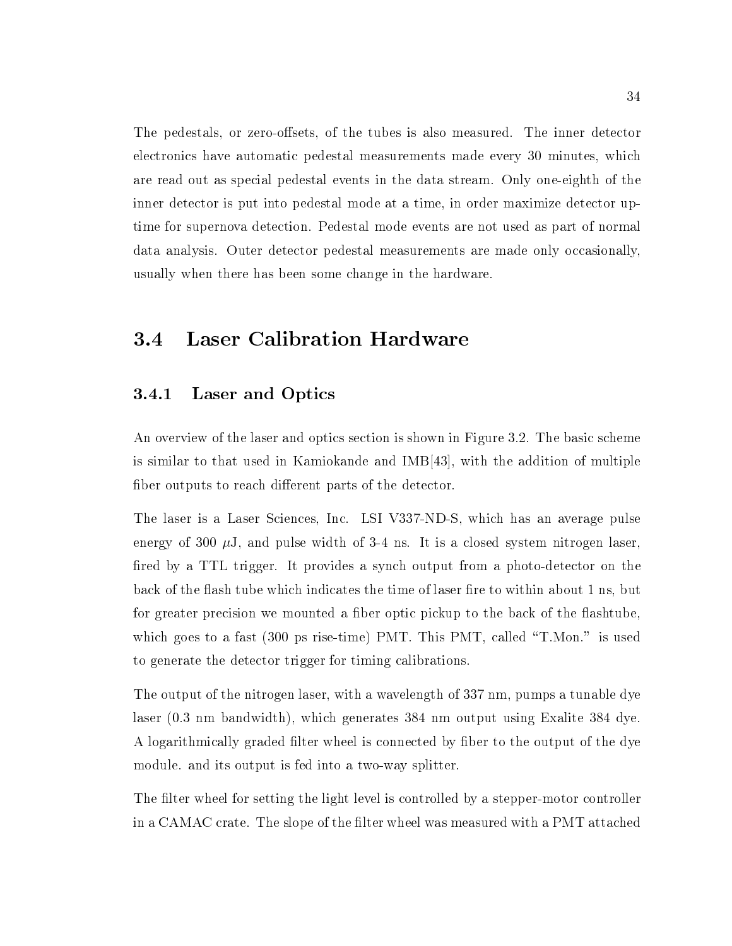The pedestals, or zero-offsets, of the tubes is also measured. The inner detector electronics have automatic pedestal measurements made every 30 minutes, which are read out as special pedestal events in the data stream. Only one-eighth of the inner detector is put into pedestal mode at a time, in order maximize detector uptime for supernova detection. Pedestal mode events are not used as part of normal data analysis. Outer detector pedestal measurements are made only occasionally, usually when there has been some change in the hardware.

#### **Laser Calibration Hardware** 3.4

#### 3.4.1 Laser and Optics

An overview of the laser and optics section is shown in Figure 3.2. The basic scheme is similar to that used in Kamiokande and IMB[43], with the addition of multiple fiber outputs to reach different parts of the detector.

The laser is a Laser Sciences, Inc. LSI V337-ND-S, which has an average pulse energy of 300  $\mu$ J, and pulse width of 3-4 ns. It is a closed system nitrogen laser, fired by a TTL trigger. It provides a synch output from a photo-detector on the back of the flash tube which indicates the time of laser fire to within about 1 ns, but for greater precision we mounted a fiber optic pickup to the back of the flashtube, which goes to a fast (300 ps rise-time) PMT. This PMT, called "T.Mon." is used to generate the detector trigger for timing calibrations.

The output of the nitrogen laser, with a wavelength of 337 nm, pumps a tunable dye laser (0.3 nm bandwidth), which generates 384 nm output using Exalite 384 dye. A logarithmically graded filter wheel is connected by fiber to the output of the dye module. and its output is fed into a two-way splitter.

The filter wheel for setting the light level is controlled by a stepper-motor controller in a CAMAC crate. The slope of the filter wheel was measured with a PMT attached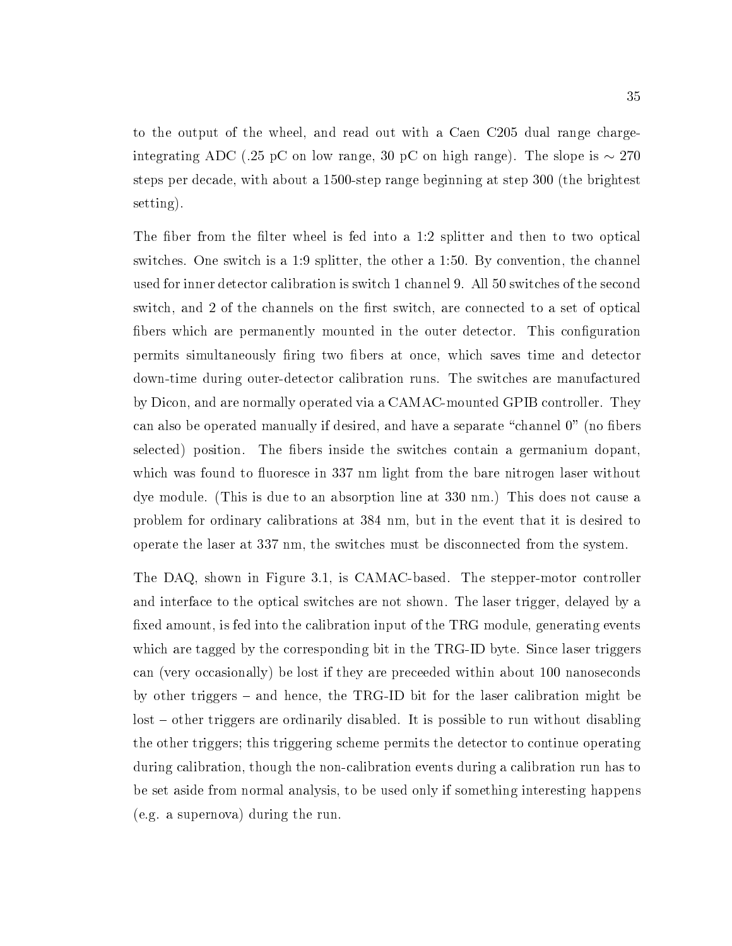to the output of the wheel, and read out with a Caen C205 dual range chargeintegrating ADC (.25 pC on low range, 30 pC on high range). The slope is  $\sim 270$ steps per decade, with about a 1500-step range beginning at step 300 (the brightest setting).

The fiber from the filter wheel is fed into a 1:2 splitter and then to two optical switches. One switch is a 1:9 splitter, the other a 1:50. By convention, the channel used for inner detector calibration is switch 1 channel 9. All 50 switches of the second switch, and 2 of the channels on the first switch, are connected to a set of optical fibers which are permanently mounted in the outer detector. This configuration permits simultaneously firing two fibers at once, which saves time and detector down-time during outer-detector calibration runs. The switches are manufactured by Dicon, and are normally operated via a CAMAC-mounted GPIB controller. They can also be operated manually if desired, and have a separate "channel 0" (no fibers selected) position. The fibers inside the switches contain a germanium dopant, which was found to fluoresce in 337 nm light from the bare nitrogen laser without dye module. (This is due to an absorption line at 330 nm.) This does not cause a problem for ordinary calibrations at 384 nm, but in the event that it is desired to operate the laser at 337 nm, the switches must be disconnected from the system.

The DAQ, shown in Figure 3.1, is CAMAC-based. The stepper-motor controller and interface to the optical switches are not shown. The laser trigger, delayed by a fixed amount, is fed into the calibration input of the TRG module, generating events which are tagged by the corresponding bit in the TRG-ID byte. Since laser triggers can (very occasionally) be lost if they are preceeded within about 100 nanoseconds by other triggers  $-$  and hence, the TRG-ID bit for the laser calibration might be  $\alpha$ lost  $\alpha$  other triggers are ordinarily disabled. It is possible to run without disabling the other triggers; this triggering scheme permits the detector to continue operating during calibration, though the non-calibration events during a calibration run has to be set aside from normal analysis, to be used only if something interesting happens (e.g. a supernova) during the run.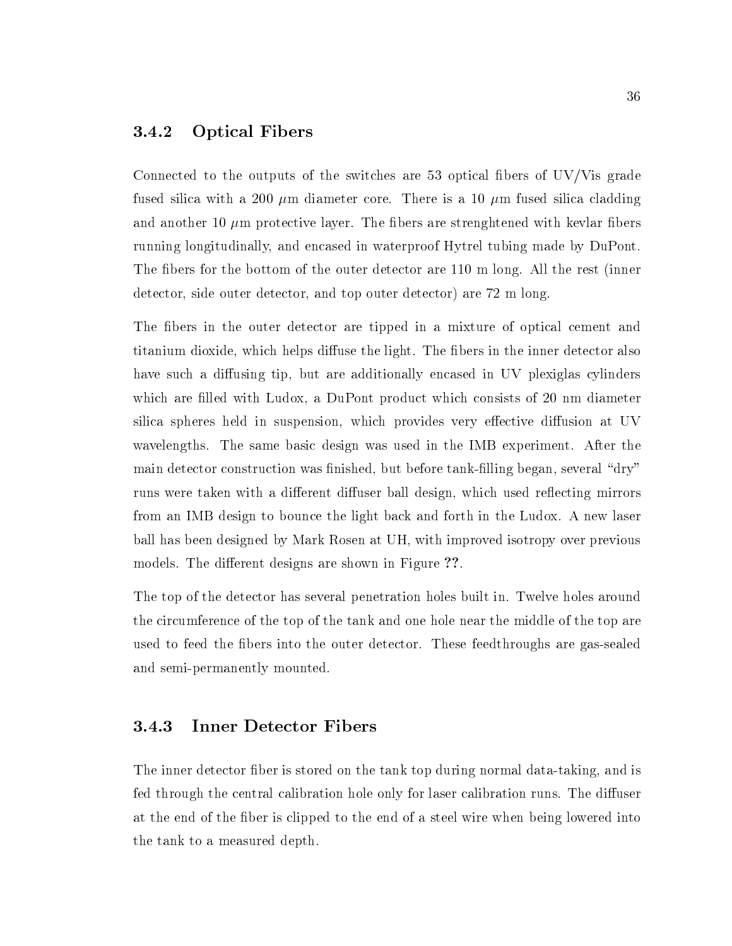#### 3.4.2 Optical Fibers

Connected to the outputs of the switches are 53 optical fibers of  $UV/V$ is grade fused silica with a 200  $\mu$ m diameter core. There is a 10  $\mu$ m fused silica cladding and another 10  $\mu$ m protective layer. The fibers are strenghtened with kevlar fibers running longitudinally, and encased in waterproof Hytrel tubing made by DuPont. The fibers for the bottom of the outer detector are 110 m long. All the rest (inner detector, side outer detector, and top outer detector) are 72 m long.

The fibers in the outer detector are tipped in a mixture of optical cement and titanium dioxide, which helps diffuse the light. The fibers in the inner detector also have such a diffusing tip, but are additionally encased in UV plexiglas cylinders which are filled with Ludox, a DuPont product which consists of 20 nm diameter silica spheres held in suspension, which provides very effective diffusion at UV wavelengths. The same basic design was used in the IMB experiment. After the main detector construction was finished, but before tank-filling began, several "dry" runs were taken with a different diffuser ball design, which used reflecting mirrors from an IMB design to bounce the light back and forth in the Ludox. A new laser ball has been designed by Mark Rosen at UH, with improved isotropy over previous models. The different designs are shown in Figure ??.

The top of the detector has several penetration holes built in. Twelve holes around the circumference of the top of the tank and one hole near the middle of the top are used to feed the bers into the outer detector. These feedthroughs are gas-sealed and semi-permanently mounted.

### 3.4.3 Inner Detector Fibers

The inner detector fiber is stored on the tank top during normal data-taking, and is fed through the central calibration hole only for laser calibration runs. The diffuser at the end of the fiber is clipped to the end of a steel wire when being lowered into the tank to a measured depth.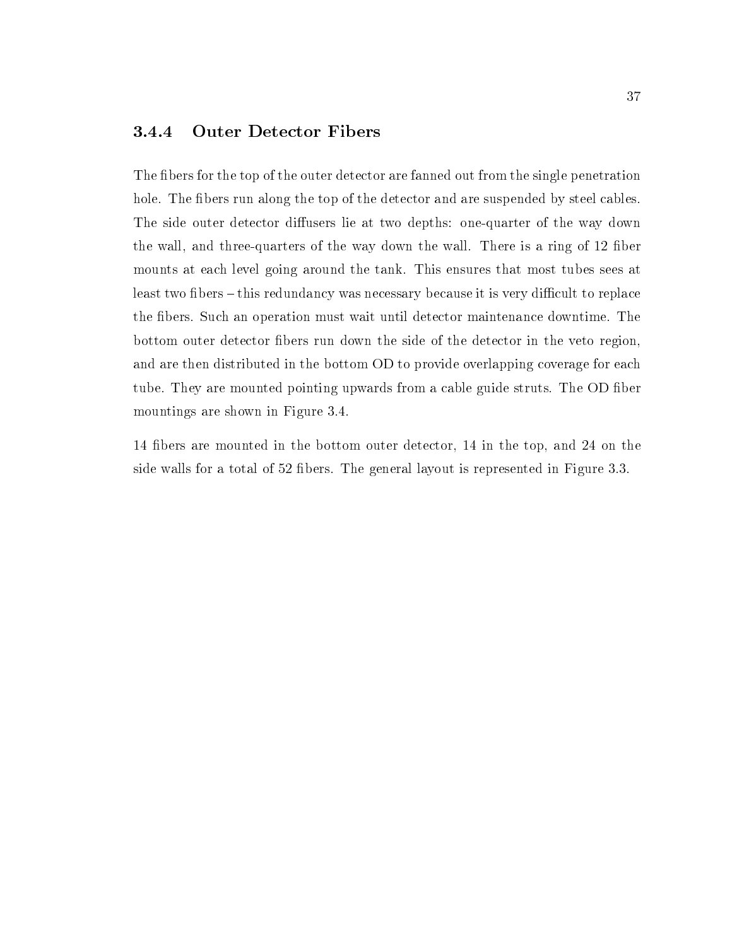#### 3.4.4 Outer Detector Fibers

The fibers for the top of the outer detector are fanned out from the single penetration hole. The fibers run along the top of the detector and are suspended by steel cables. The side outer detector diffusers lie at two depths: one-quarter of the way down the wall, and three-quarters of the way down the wall. There is a ring of 12 fiber mounts at each level going around the tank. This ensures that most tubes sees at least two fibers – this redundancy was necessary because it is very difficult to replace the bers. Such an operation must wait until detector maintenance downtime. The bottom outer detector bers run down the side of the detector in the veto region, and are then distributed in the bottom OD to provide overlapping coverage for each tube. They are mounted pointing upwards from a cable guide struts. The OD fiber mountings are shown in Figure 3.4.

14 bers are mounted in the bottom outer detector, 14 in the top, and 24 on the side walls for a total of 52 fibers. The general layout is represented in Figure 3.3.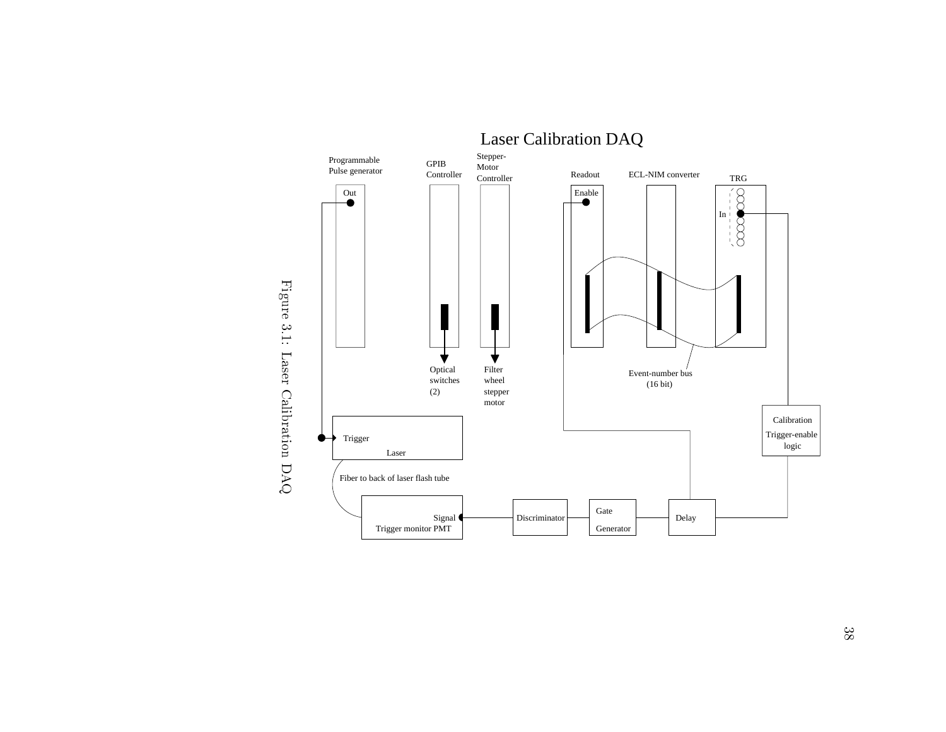



 $38\,$  $\frac{1}{3}$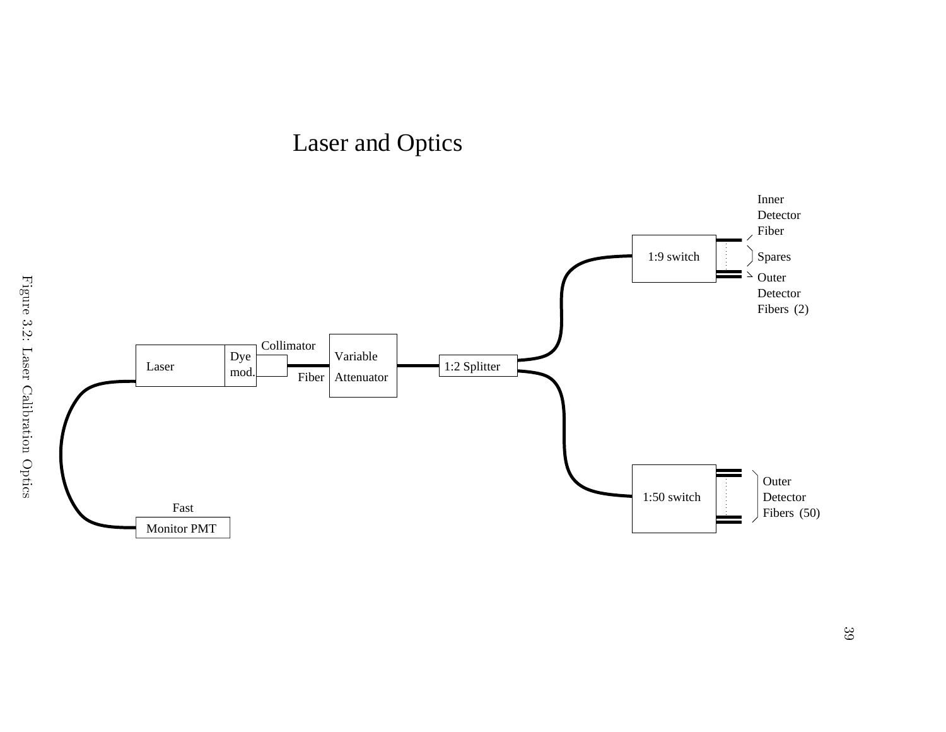

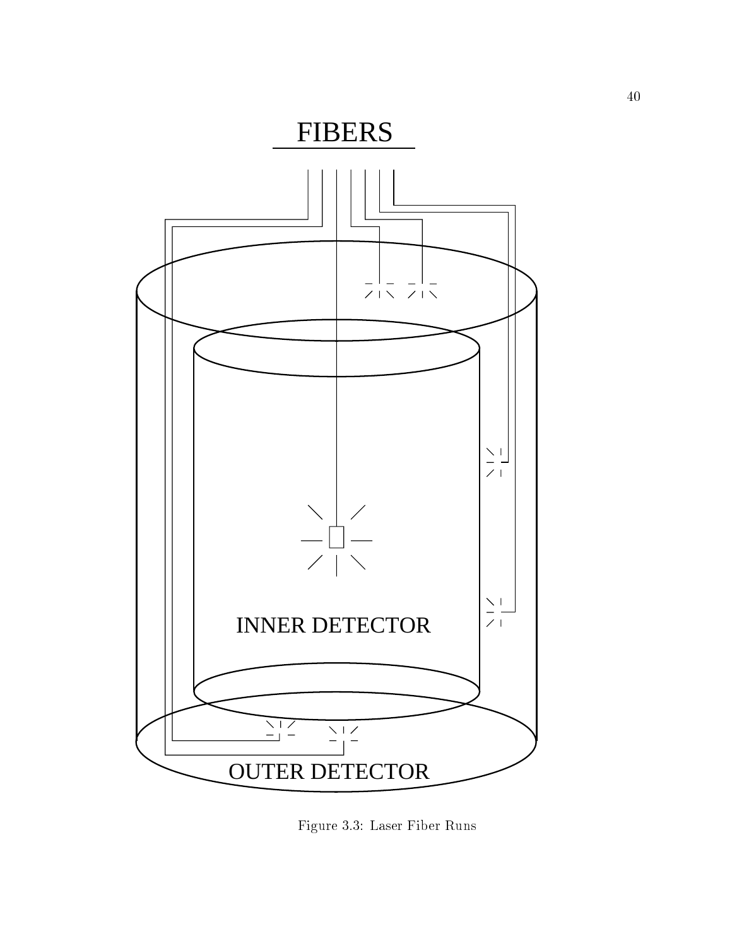

Figure 3.3: Laser Fiber Runs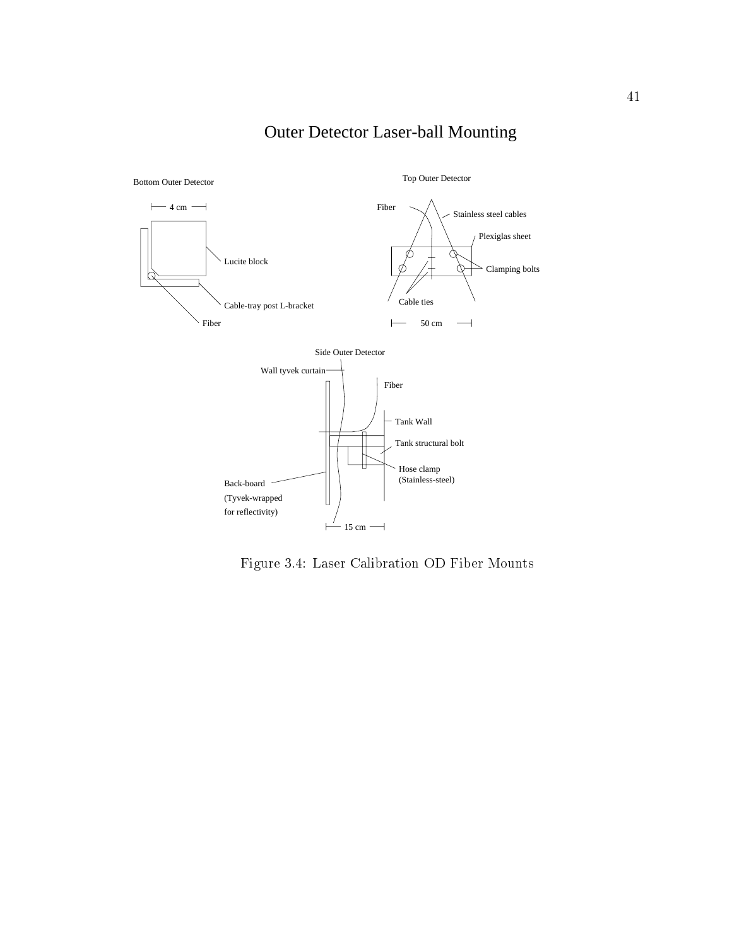

Outer Detector Laser-ball Mounting

Figure 3.4: Laser Calibration OD Fiber Mounts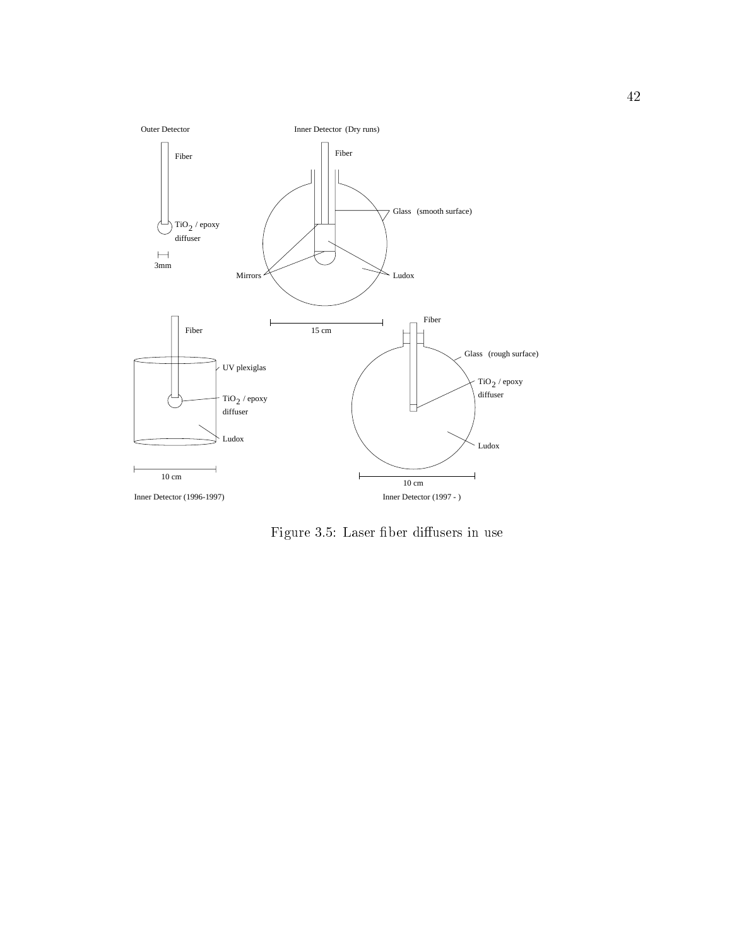

Figure 3.5: Laser fiber diffusers in use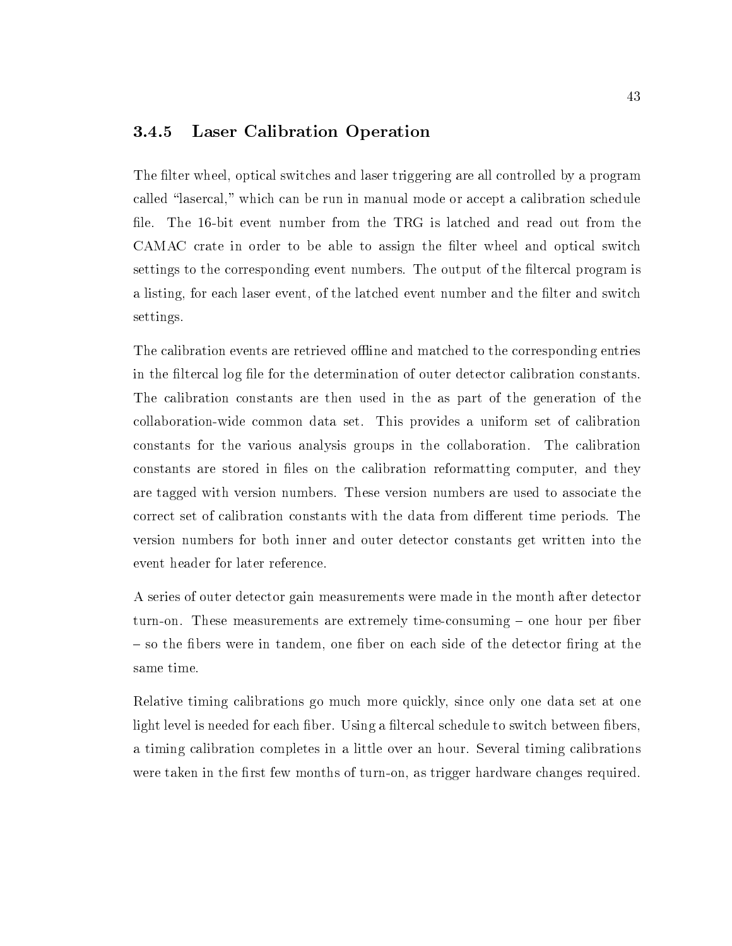#### 3.4.5 Laser Calibration Operation

The filter wheel, optical switches and laser triggering are all controlled by a program called "lasercal," which can be run in manual mode or accept a calibration schedule file. The 16-bit event number from the TRG is latched and read out from the CAMAC crate in order to be able to assign the filter wheel and optical switch settings to the corresponding event numbers. The output of the filtercal program is a listing, for each laser event, of the latched event number and the filter and switch settings.

The calibration events are retrieved offline and matched to the corresponding entries in the filtercal log file for the determination of outer detector calibration constants. The calibration constants are then used in the as part of the generation of the collaboration-wide common data set. This provides a uniform set of calibration constants for the various analysis groups in the collaboration. The calibration constants are stored in files on the calibration reformatting computer, and they are tagged with version numbers. These version numbers are used to associate the correct set of calibration constants with the data from different time periods. The version numbers for both inner and outer detector constants get written into the event header for later reference.

A series of outer detector gain measurements were made in the month after detector turn-on. These measurements are extremely time-consuming – one hour per fiber  $-$  so the fibers were in tandem, one fiber on each side of the detector firing at the same time.

Relative timing calibrations go much more quickly, since only one data set at one light level is needed for each fiber. Using a filtercal schedule to switch between fibers, a timing calibration completes in a little over an hour. Several timing calibrations were taken in the first few months of turn-on, as trigger hardware changes required.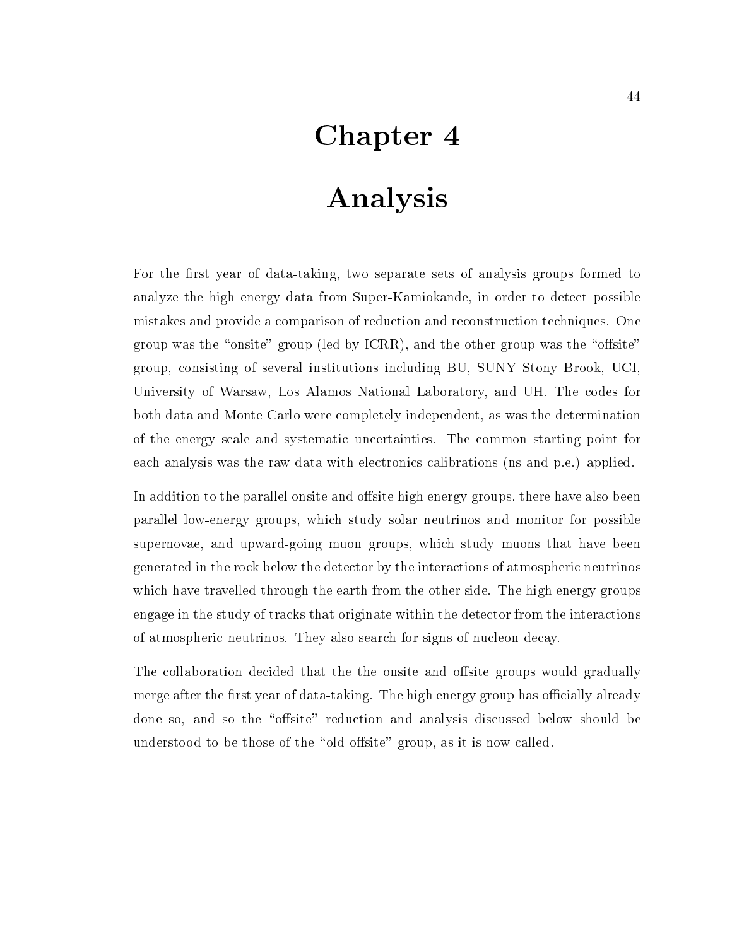# Chapter 4

# Analysis

For the first year of data-taking, two separate sets of analysis groups formed to analyze the high energy data from Super-Kamiokande, in order to detect possible mistakes and provide a comparison of reduction and reconstruction techniques. One group was the "onsite" group (led by ICRR), and the other group was the "offsite" group, consisting of several institutions including BU, SUNY Stony Brook, UCI, University of Warsaw, Los Alamos National Laboratory, and UH. The codes for both data and Monte Carlo were completely independent, as was the determination of the energy scale and systematic uncertainties. The common starting point for each analysis was the raw data with electronics calibrations (ns and p.e.) applied.

In addition to the parallel onsite and offsite high energy groups, there have also been parallel low-energy groups, which study solar neutrinos and monitor for possible supernovae, and upward-going muon groups, which study muons that have been generated in the rock below the detector by the interactions of atmospheric neutrinos which have travelled through the earth from the other side. The high energy groups engage in the study of tracks that originate within the detector from the interactions of atmospheric neutrinos. They also search for signs of nucleon decay.

The collaboration decided that the the onsite and offsite groups would gradually merge after the first year of data-taking. The high energy group has officially already done so, and so the "offsite" reduction and analysis discussed below should be understood to be those of the "old-offsite" group, as it is now called.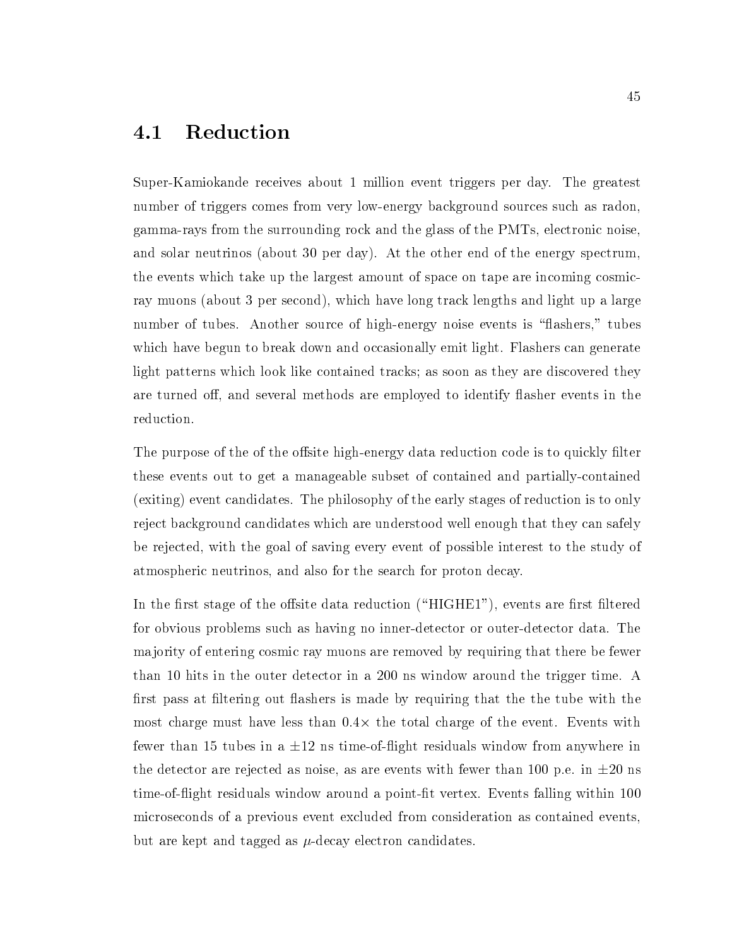#### **Reduction** 4.1

Super-Kamiokande receives about 1 million event triggers per day. The greatest number of triggers comes from very low-energy background sources such as radon, gamma-rays from the surrounding rock and the glass of the PMTs, electronic noise, and solar neutrinos (about 30 per day). At the other end of the energy spectrum, the events which take up the largest amount of space on tape are incoming cosmicray muons (about 3 per second), which have long track lengths and light up a large number of tubes. Another source of high-energy noise events is "flashers," tubes which have begun to break down and occasionally emit light. Flashers can generate light patterns which look like contained tracks; as soon asthey are discovered they are turned off, and several methods are employed to identify flasher events in the reduction.

The purpose of the of the offsite high-energy data reduction code is to quickly filter these events out to get a manageable subset of contained and partially-contained (exiting) event candidates. The philosophy of the early stages of reduction is to only reject background candidates which are understood well enough that they can safely be rejected, with the goal of saving every event of possible interest to the study of atmospheric neutrinos, and also for the search for proton decay.

In the first stage of the offsite data reduction (" $HIGHE1"$ ), events are first filtered for obvious problems such as having no inner-detector or outer-detector data. The ma jority of entering cosmic ray muons are removed by requiring that there be fewer than 10 hits in the outer detector in a 200 ns window around the trigger time. A first pass at filtering out flashers is made by requiring that the the tube with the most thange must have less thank that the total charge of the event. Events with  $\sim$ fewer than 15 tubes in a  $\pm 12$  ns time-of-flight residuals window from anywhere in the detector are rejected as noise, as are events with fewer than 100 p.e. in  $\pm 20$  ns time-of-flight residuals window around a point-fit vertex. Events falling within 100 microseconds of a previous event excluded from consideration ascontained events, but are kept and tagged as  $\mu$ -decay electron candidates.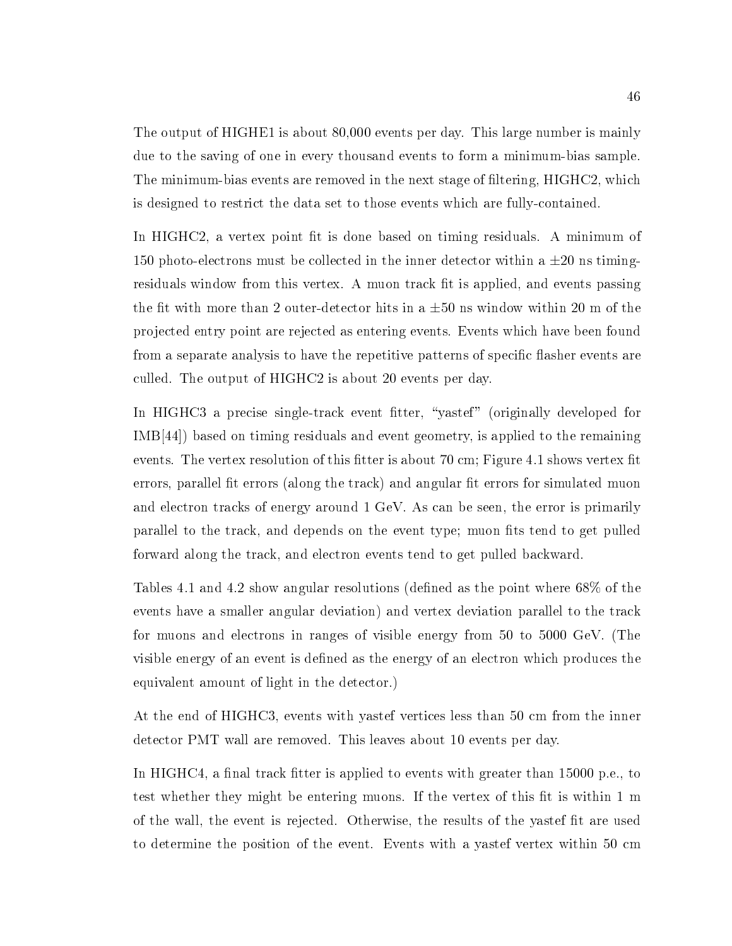The output of HIGHE1 is about 80,000 events per day. This large number is mainly due to the saving of one in every thousand events to form a minimum-bias sample. The minimum-bias events are removed in the next stage of filtering, HIGHC2, which is designed to restrict the data set to those events which are fully-contained.

In HIGHC2, a vertex point fit is done based on timing residuals. A minimum of 150 photo-electrons must be collected in the inner detector within a  $\pm 20$  ns timingresiduals window from this vertex. A muon track fit is applied, and events passing the fit with more than 2 outer-detector hits in a  $\pm 50$  ns window within 20 m of the pro jected entry point are rejected as entering events. Events which have been found from a separate analysis to have the repetitive patterns of specific flasher events are culled. The output of HIGHC2 is about 20 events per day.

In HIGHC3 a precise single-track event fitter, "yastef" (originally developed for IMB[44]) based on timing residuals and event geometry, is applied to the remaining events. The vertex resolution of this fitter is about 70 cm; Figure 4.1 shows vertex fit errors, parallel fit errors (along the track) and angular fit errors for simulated muon and electron tracks of energy around 1 GeV. As can be seen, the error is primarily parallel to the track, and depends on the event type; muon fits tend to get pulled forward along the track, and electron events tend to get pulled backward.

Tables 4.1 and 4.2 show angular resolutions (defined as the point where  $68\%$  of the events have a smaller angular deviation) and vertex deviation parallel to the track for muons and electrons in ranges of visible energy from 50 to 5000 GeV. (The visible energy of an event is defined as the energy of an electron which produces the equivalent amount of light in the detector.)

At the end of HIGHC3, events with yastef vertices less than 50 cm from the inner detector PMT wall are removed. This leaves about 10 events per day.

In HIGHC4, a final track fitter is applied to events with greater than  $15000$  p.e., to test whether they might be entering muons. If the vertex of this fit is within 1 m of the wall, the event is rejected. Otherwise, the results of the yastef fit are used to determine the position of the event. Events with a yastef vertex within 50 cm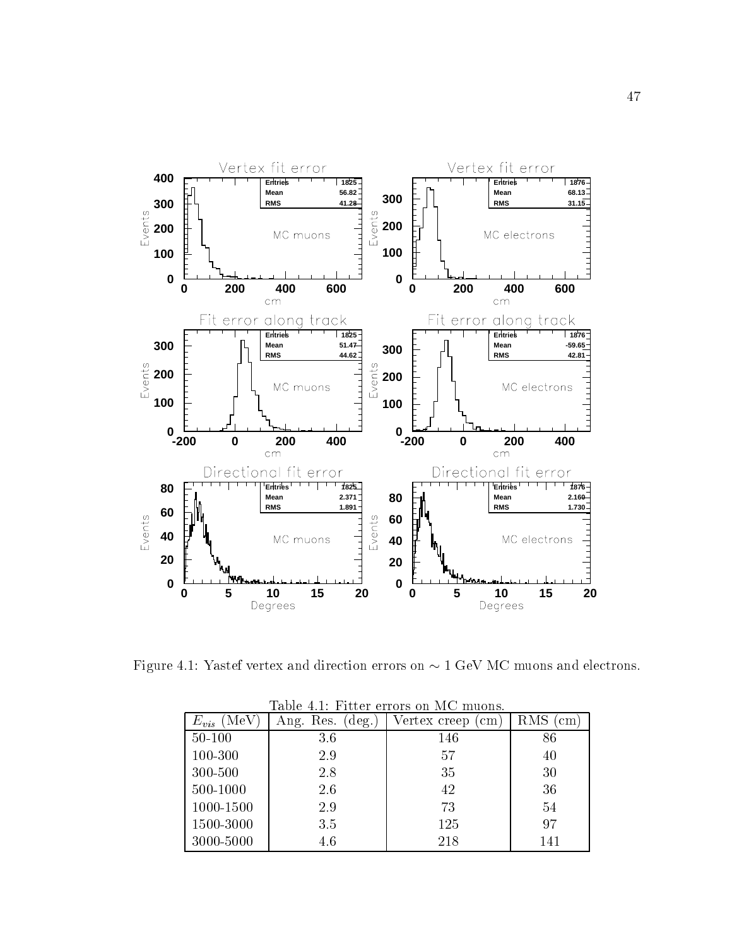

Figure 4.1: Yastef vertex and direction errors on  $\sim 1$  GeV MC muons and electrons.

|                  |                       | таріє 4.1. гіплет єпоть он ім шионь. | RMS<br>cm<br>86 |  |
|------------------|-----------------------|--------------------------------------|-----------------|--|
| MeV<br>$E_{vis}$ | Ang. Res.<br>$deg.$ ) | Vertex creep<br>cm                   |                 |  |
| $50 - 100$       | 3.6                   | 146                                  |                 |  |
| 100-300          | 2.9                   | 57                                   | 40              |  |
| 300-500          | 2.8                   | 35                                   | 30              |  |
| 500-1000         | 2.6                   | 42                                   | 36              |  |
| 1000-1500        | 2.9                   | 73                                   | 54              |  |
| 1500-3000        | 3.5                   | 125                                  | 97              |  |
| 3000-5000        | 4.6                   | 218                                  | 141             |  |

Table  $4.1$  Fitter errors on MC muons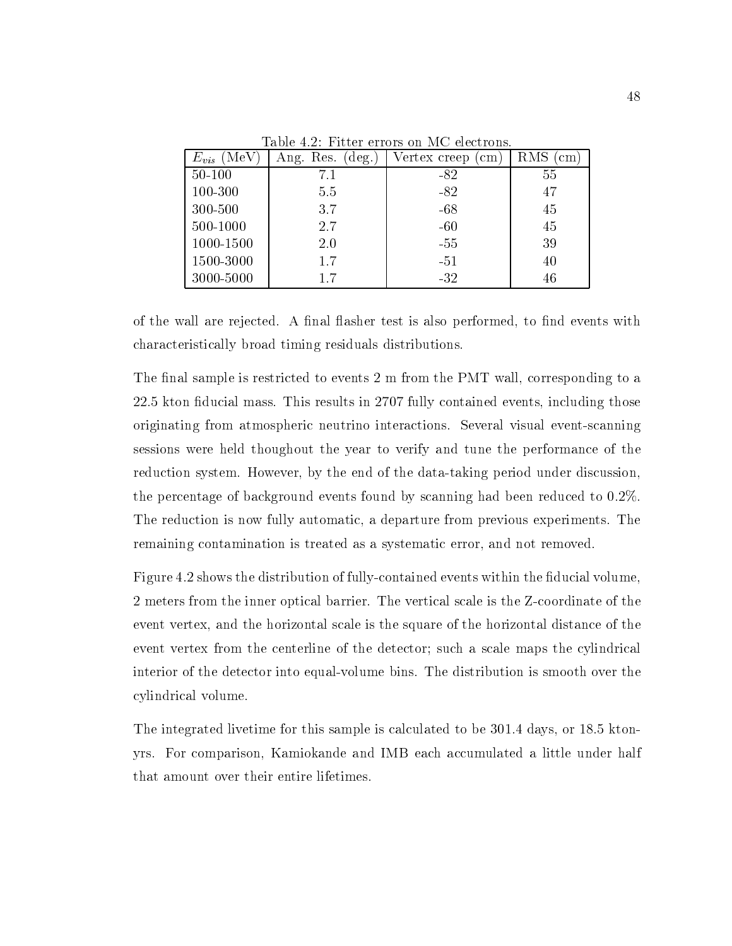| $E_{vis}$<br>(MeV | $(\text{deg.})$<br>Ang. Res. | Vertex creep<br>cm | RMS<br>cm |  |
|-------------------|------------------------------|--------------------|-----------|--|
| $50 - 100$        | 7.1                          | -82                | 55        |  |
| 100-300           | 5.5                          | $-82$              | 47        |  |
| 300-500           | 3.7                          | $-68$              | 45        |  |
| 500-1000          | 2.7                          | $-60$              | 45        |  |
| 1000-1500         | 2.0                          | $-55$              | 39        |  |
| 1500-3000         | 1.7                          | $-51$              | 40        |  |
| 3000-5000         | 1.7                          | $-32$              | 46        |  |

Table 4.2: Fitter errors on MC electrons.

of the wall are rejected. A final flasher test is also performed, to find events with characteristically broad timing residuals distributions.

The final sample is restricted to events  $2 \text{ m}$  from the PMT wall, corresponding to a 22.5 kton ducial mass. This results in 2707 fully contained events, including those originating from atmospheric neutrino interactions. Several visual event-scanning sessions were held thoughout the year to verify and tune the performance of the reduction system. However, by the end of the data-taking period under discussion, the percentage of background events found by scanning had been reduced to 0.2%. The reduction is now fully automatic, a departure from previous experiments. The remaining contamination is treated as a systematic error, and not removed.

Figure 4.2 shows the distribution of fully-contained events within the fiducial volume, 2 meters from the inner optical barrier. The vertical scale is the Z-coordinate of the event vertex, and the horizontal scale is the square of the horizontal distance of the event vertex from the centerline of the detector; such a scale maps the cylindrical interior of the detector into equal-volume bins. The distribution is smooth over the cylindrical volume.

The integrated livetime for this sample is calculated to be 301.4 days, or 18.5 ktonyrs. For comparison, Kamiokande and IMB each accumulated a little under half that amount over their entire lifetimes.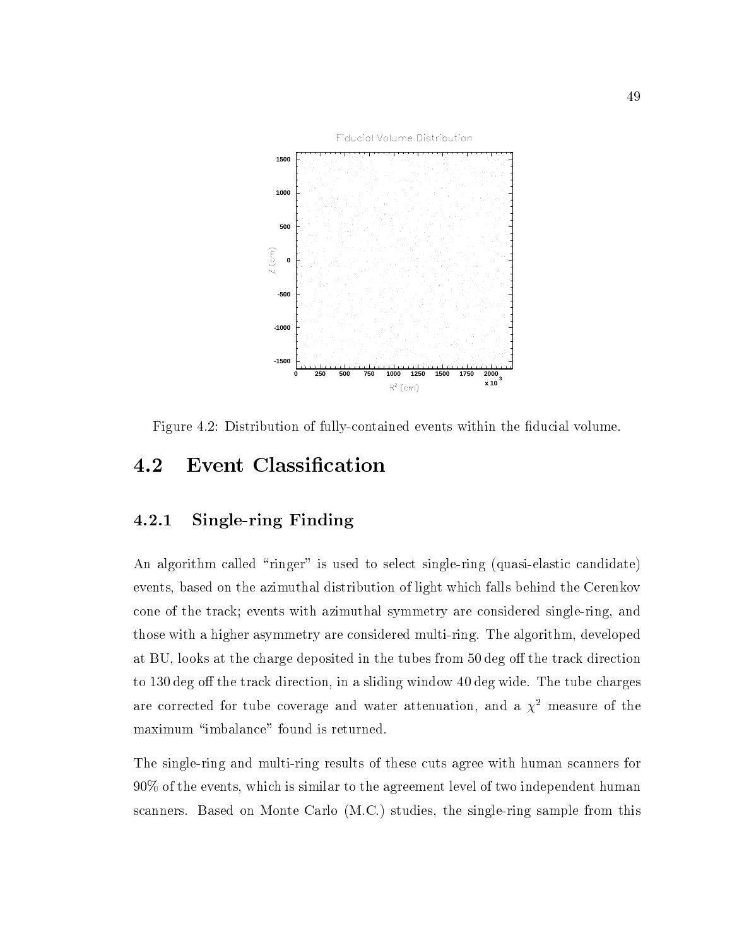

Figure 4.2: Distribution of fully-contained events within the fiducial volume.

# 4.2 Event Classication

### 4.2.1 Single-ring Finding

An algorithm called "ringer" is used to select single-ring (quasi-elastic candidate) events, based on the azimuthal distribution of light which falls behind the Cerenkov cone of the track; events with azimuthal symmetry are considered single-ring, and those with a higher asymmetry are considered multi-ring. The algorithm, developed at BU, looks at the charge deposited in the tubes from 50 deg off the track direction to 130 deg off the track direction, in a sliding window 40 deg wide. The tube charges are corrected for tube coverage and water attenuation, and a  $\chi^2$  measure of the maximum "imbalance" found is returned.

The single-ring and multi-ring results of these cuts agree with human scanners for 90% of the events, which is similar to the agreement level of two independent human scanners. Based on Monte Carlo (M.C.) studies, the single-ring sample from this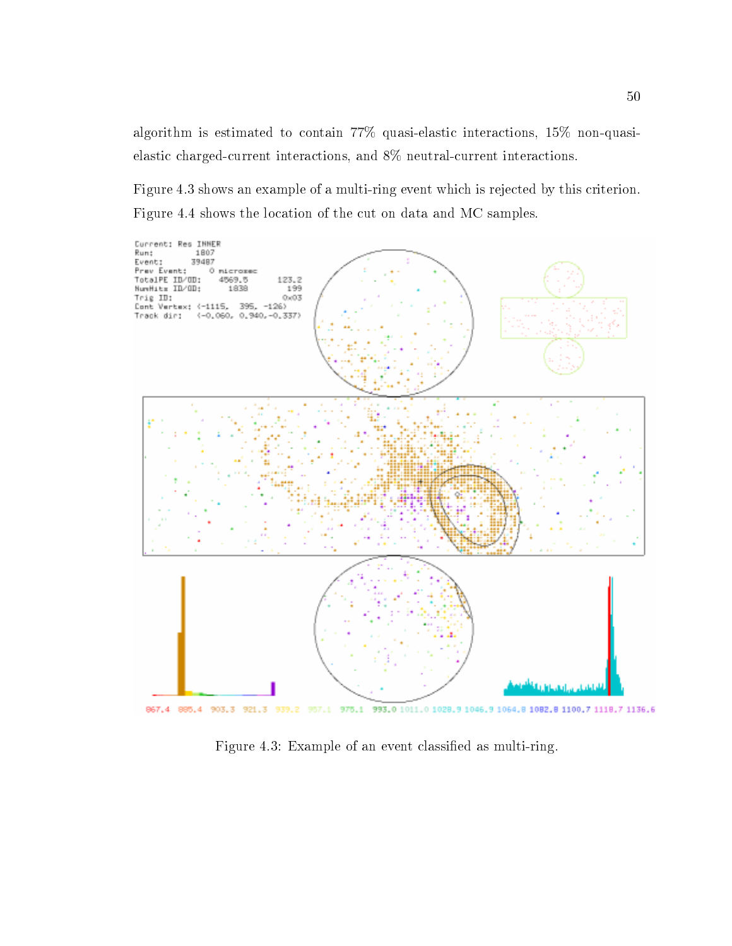algorithm is estimated to contain 77% quasi-elastic interactions, 15% non-quasielastic charged-current interactions, and 8% neutral-current interactions.

Figure 4.3 shows an example of a multi-ring event which is rejected by this criterion. Figure 4.4 shows the location of the cut on data and MC samples.



867.4 885.4 903.3 921.3 939.2 957.1 975.1 993.0 1011.0 1028.9 1046.9 1064.8 1082.8 1100.7 1118.7 1136.6

Figure 4.3: Example of an event classied as multi-ring.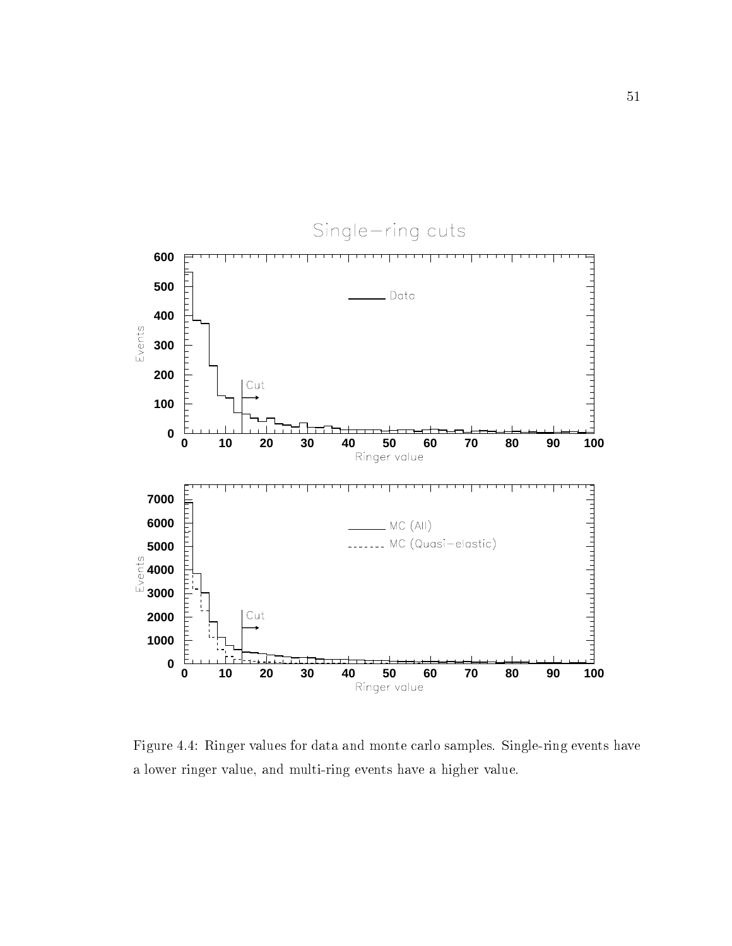

Figure 4.4: Ringer values for data and monte carlo samples. Single-ring events have a lower ringer value, and multi-ring events have a higher value.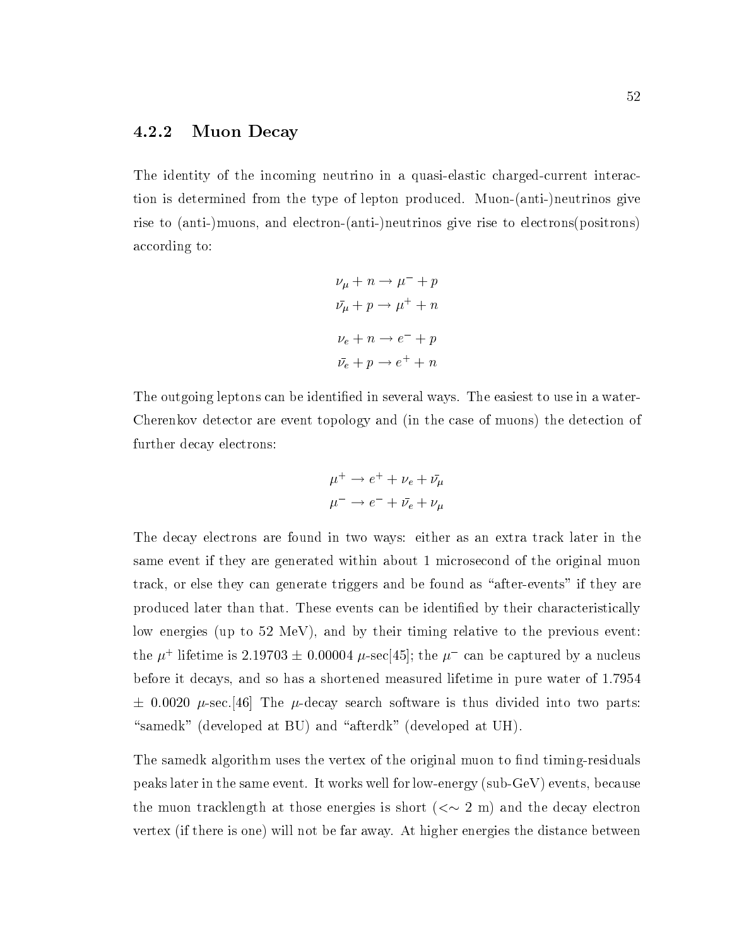#### 4.2.2 Muon Decay

The identity of the incoming neutrino in a quasi-elastic charged-current interaction is determined from the type of lepton produced. Muon-(anti-)neutrinos give rise to (anti-)muons, and electron-(anti-)neutrinos give rise to electrons(positrons) according to:

$$
\nu_{\mu} + n \rightarrow \mu^{-} + p
$$
  
\n
$$
\bar{\nu}_{\mu} + p \rightarrow \mu^{+} + n
$$
  
\n
$$
\nu_{e} + n \rightarrow e^{-} + p
$$
  
\n
$$
\bar{\nu}_{e} + p \rightarrow e^{+} + n
$$

The outgoing leptons can be identified in several ways. The easiest to use in a water-Cherenkov detector are event topology and (in the case of muons) the detection of further decay electrons:

$$
\mu^+ \to e^+ + \nu_e + \bar{\nu_\mu}
$$
  

$$
\mu^- \to e^- + \bar{\nu}_e + \nu_\mu
$$

The decay electrons are found in two ways: either as an extra track later in the same event if they are generated within about 1 microsecond of the original muon track, or else they can generate triggers and be found as "after-events" if they are produced later than that. These events can be identied by their characteristically low energies (up to 52 MeV), and by their timing relative to the previous event: the  $\mu$  - metume is 2.19705  $\pm$  0.00004  $\mu$ -sec[45]; the  $\mu$  -can be captured by a nucleus before it decays, and so has a shortened measured lifetime in pure water of 1.7954  $\pm$  0.0020  $\mu$ -sec. [46] The  $\mu$ -decay search software is thus divided into two parts: "samedk" (developed at BU) and "afterdk" (developed at UH).

The samedk algorithm uses the vertex of the original muon to find timing-residuals peaks later in the same event. It works well for low-energy (sub-GeV) events, because the muon tracklength at those energies is short  $( $\sim 2$  m) and the decay electron$ vertex (if there is one) will not be far away. At higher energies the distance between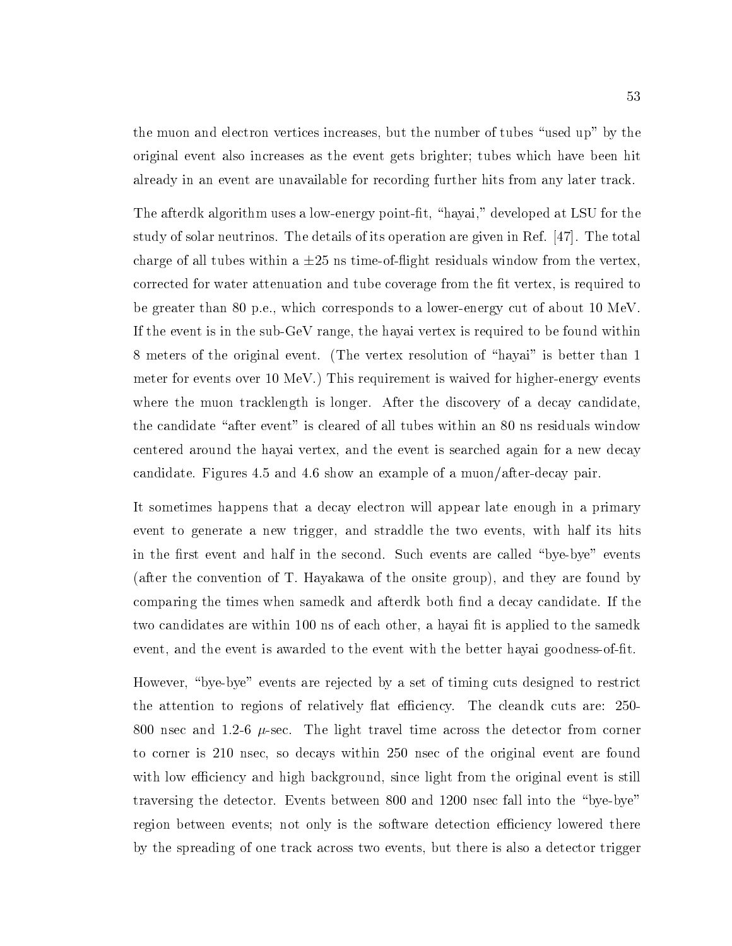the muon and electron vertices increases, but the number of tubes "used up" by the original event also increases as the event gets brighter; tubes which have been hit already in an event are unavailable for recording further hits from any later track.

The afterdk algorithm uses a low-energy point-fit, "hayai," developed at LSU for the study of solar neutrinos. The details of its operation are given in Ref. [47]. The total charge of all tubes within a  $\pm 25$  ns time-of-flight residuals window from the vertex, corrected for water attenuation and tube coverage from the fit vertex, is required to be greater than 80 p.e., which corresponds to a lower-energy cut of about 10 MeV. If the event is in the sub-GeV range, the hayai vertex is required to be found within 8 meters of the original event. (The vertex resolution of "hayai" is better than 1 meter for events over 10 MeV.) This requirement is waived for higher-energy events where the muon tracklength is longer. After the discovery of a decay candidate, the candidate "after event" is cleared of all tubes within an 80 ns residuals window centered around the hayai vertex, and the event is searched again for a new decay candidate. Figures 4.5 and 4.6 show an example of a muon/after-decay pair.

It sometimes happens that a decay electron will appear late enough in a primary event to generate a new trigger, and straddle the two events, with half its hits in the first event and half in the second. Such events are called "bye-bye" events (after the convention of T. Hayakawa of the onsite group), and they are found by comparing the times when samedk and afterdk both find a decay candidate. If the two candidates are within 100 ns of each other, a hayai fit is applied to the samedk event, and the event is awarded to the event with the better hayai goodness-of-fit.

However, "bye-bye" events are rejected by a set of timing cuts designed to restrict the attention to regions of relatively flat efficiency. The cleandk cuts are: 250-800 nsec and 1.2-6  $\mu$ -sec. The light travel time across the detector from corner to corner is 210 nsec, so decays within 250 nsec of the original event are found with low efficiency and high background, since light from the original event is still traversing the detector. Events between 800 and 1200 nsec fall into the "bye-bye" region between events; not only is the software detection efficiency lowered there by the spreading of one track across two events, but there is also a detector trigger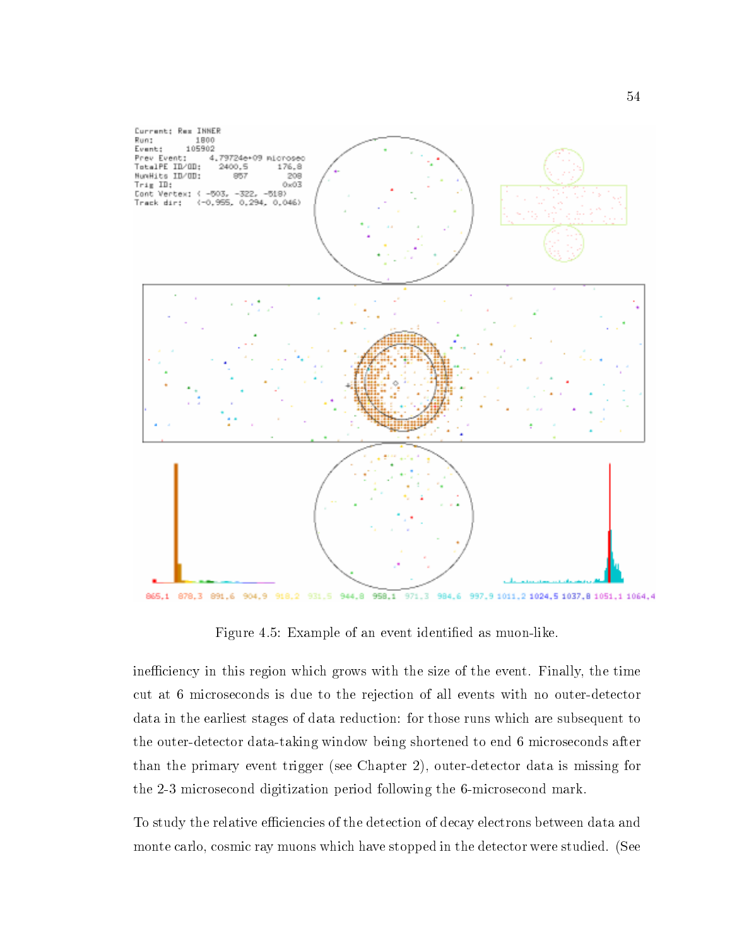

Figure 4.5: Example of an event identified as muon-like.

inefficiency in this region which grows with the size of the event. Finally, the time cut at 6 microseconds is due to the rejection of all events with no outer-detector data in the earliest stages of data reduction: for those runs which are subsequent to the outer-detector data-taking window being shortened to end 6 microseconds after than the primary event trigger (see Chapter 2), outer-detector data is missing for the 2-3 microsecond digitization period following the 6-microsecond mark.

To study the relative efficiencies of the detection of decay electrons between data and monte carlo, cosmic ray muons which have stopped in the detector were studied. (See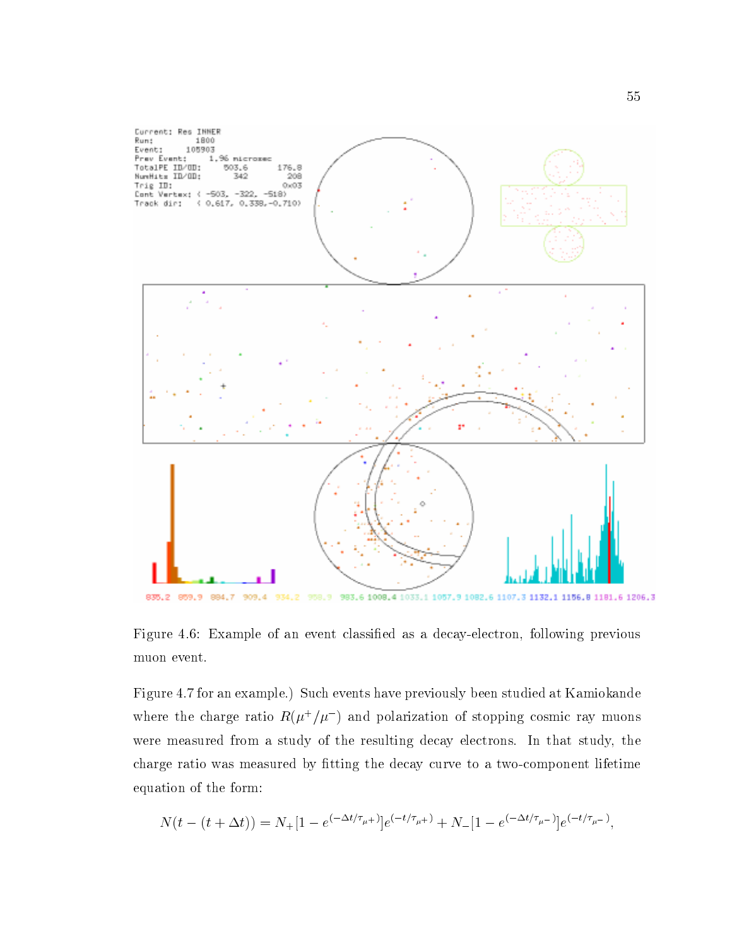

Figure 4.6: Example of an event classied as a decay-electron, following previous muon event.

Figure 4.7 for an example.) Such events have previously been studied at Kamiokande where the charge ratio  $R(\mu^+/\mu^-)$  and polarization of stopping cosmic ray muons were measured from a study of the resulting decay electrons. In that study, the charge ratio was measured by fitting the decay curve to a two-component lifetime equation of the form:

$$
N(t - (t + \Delta t)) = N_+ [1 - e^{(-\Delta t/\tau_{\mu^+})}] e^{(-t/\tau_{\mu^+})} + N_- [1 - e^{(-\Delta t/\tau_{\mu^-})}] e^{(-t/\tau_{\mu^-})},
$$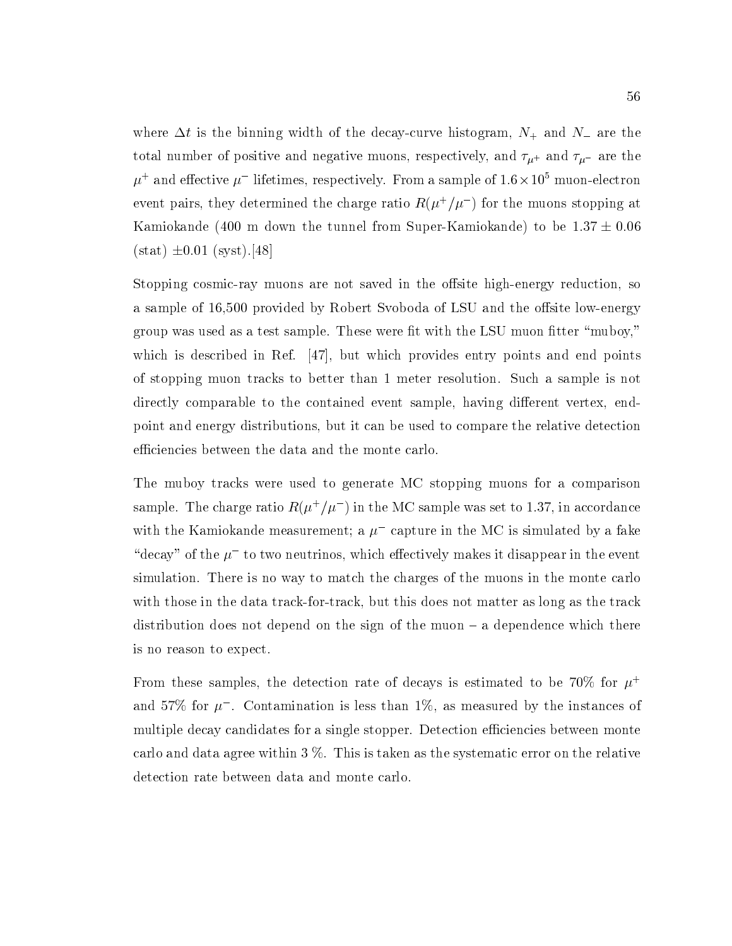where  $\Delta t$  is the binning width of the decay-curve histogram,  $N_+$  and  $N_-$  are the total number of positive and negative muons, respectively, and  $\tau_{\mu^+}$  and  $\tau_{\mu^-}$  are the  $\mu^+$  and enective  $\mu^-$  methnes, respectively. From a sample of 1.6  $\times$  10° muon-electron event pairs, they determined the charge ratio  $R(\mu^+/\mu^-)$  for the muons stopping at Kamiokande (400 m down the tunnel from Super-Kamiokande) to be  $1.37 \pm 0.06$  $(stat) \pm 0.01$  (syst).[48]

Stopping cosmic-ray muons are not saved in the offsite high-energy reduction, so a sample of 16,500 provided by Robert Svoboda of LSU and the offsite low-energy group was used as a test sample. These were fit with the LSU muon fitter "muboy," which is described in Ref. [47], but which provides entry points and end points of stopping muon tracks to better than 1 meter resolution. Such a sample is not directly comparable to the contained event sample, having different vertex, endpoint and energy distributions, but it can be used to compare the relative detection efficiencies between the data and the monte carlo.

The muboy tracks were used to generate MC stopping muons for a comparison sample. The charge ratio  $R(\mu^+/\mu^-)$  in the MC sample was set to 1.37, in accordance with the Kamiokande measurement; a  $\mu$  -capture in the MC is simulated by a fake decay of the  $\mu$  -to two neutrinos, which effectively makes it disappear in the event simulation. There is no way to match the charges of the muons in the monte carlo with those in the data track-for-track, but this does not matter as long as the track distribution does not depend on the sign of the muon  $-$  a dependence which there is no reason to expect.

From these samples, the detection rate of decays is estimated to be 70% for  $\mu^+$ and 57% for  $\mu$  . Contamination is less than 1%, as measured by the instances of multiple decay candidates for a single stopper. Detection efficiencies between monte carlo and data agree within 3 %. This is taken as the systematic error on the relative detection rate between data and monte carlo.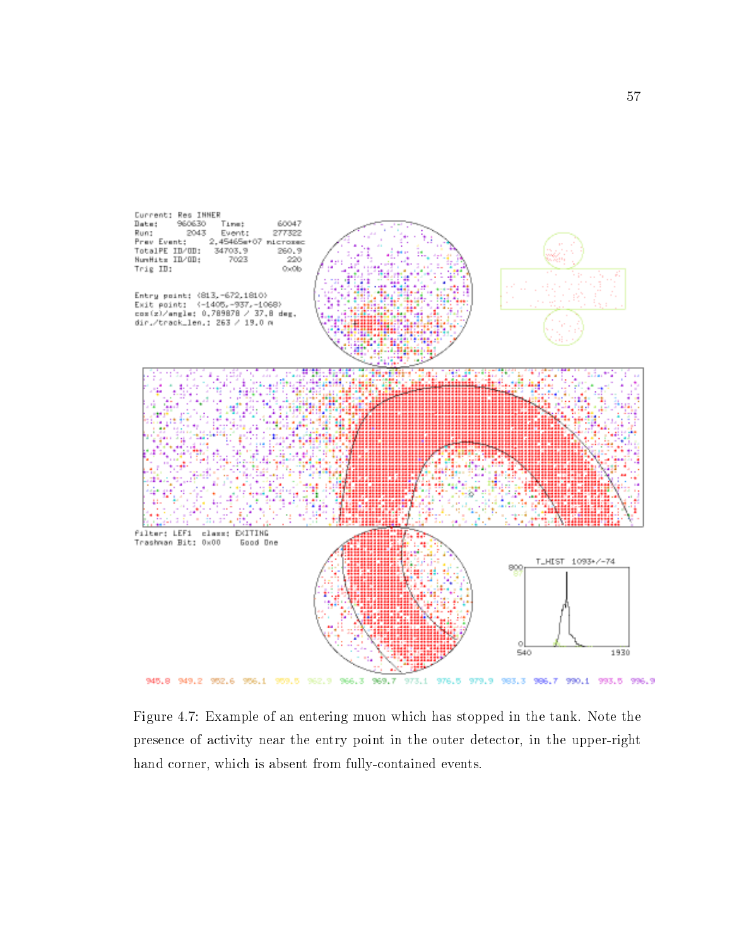

Figure 4.7: Example of an entering muon which has stopped in the tank. Note the presence of activity near the entry point in the outer detector, in the upper-right hand corner, which is absent from fully-contained events.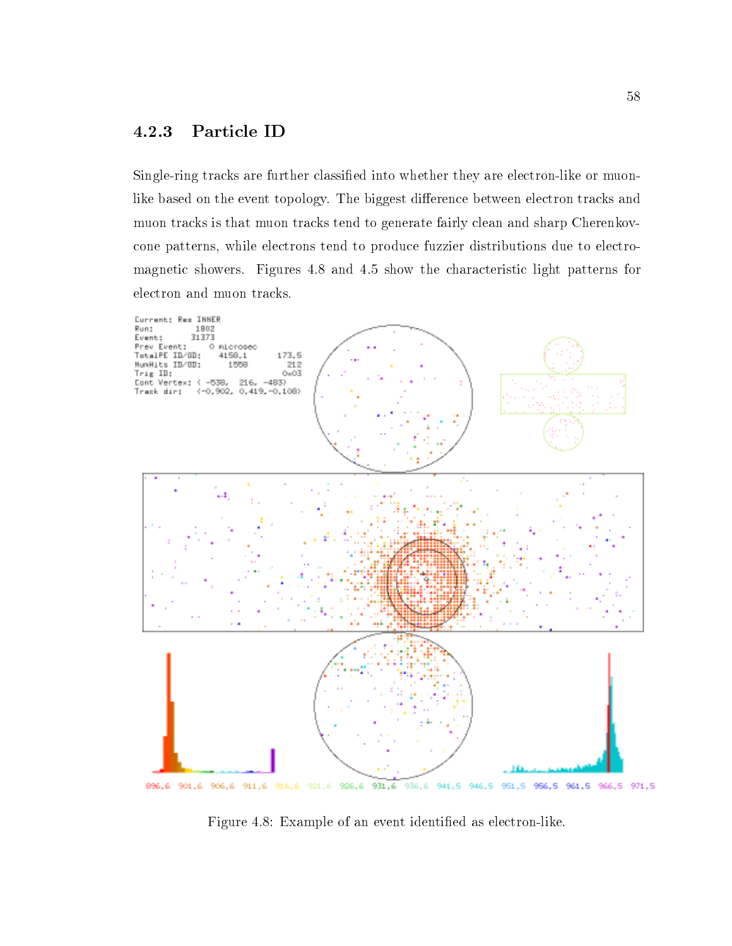## 4.2.3 Particle ID

Single-ring tracks are further classied into whether they are electron-like or muonlike based on the event topology. The biggest difference between electron tracks and muon tracks is that muon tracks tend to generate fairly clean and sharp Cherenkovcone patterns, while electrons tend to produce fuzzier distributions due to electromagnetic showers. Figures 4.8 and 4.5 show the characteristic light patterns for electron and muon tracks.



Figure 4.8: Example of an event identified as electron-like.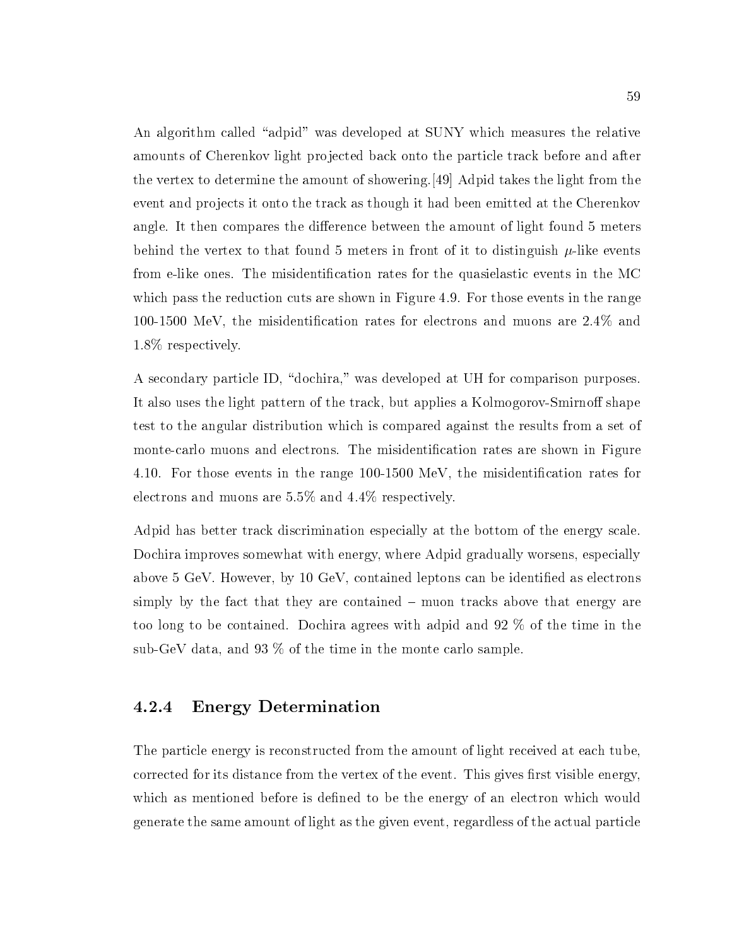An algorithm called "adpid" was developed at SUNY which measures the relative amounts of Cherenkov light projected back onto the particle track before and after the vertex to determine the amount of showering.[49] Adpid takes the light from the event and projects it onto the track as though it had been emitted at the Cherenkov angle. It then compares the difference between the amount of light found 5 meters behind the vertex to that found 5 meters in front of it to distinguish  $\mu$ -like events from e-like ones. The misidentification rates for the quasielastic events in the MC which pass the reduction cuts are shown in Figure 4.9. For those events in the range 100-1500 MeV, the misidentication rates for electrons and muons are 2.4% and 1.8% respectively.

A secondary particle ID, "dochira," was developed at UH for comparison purposes. It also uses the light pattern of the track, but applies a Kolmogorov-Smirnoff shape test to the angular distribution which is compared against the results from a set of monte-carlo muons and electrons. The misidentification rates are shown in Figure 4.10. For those events in the range  $100-1500 \text{ MeV}$ , the misidentification rates for electrons and muons are 5.5% and 4.4% respectively.

Adpid has better track discrimination especially at the bottom of the energy scale. Dochira improves somewhat with energy, where Adpid gradually worsens, especially above 5 GeV. However, by 10 GeV, contained leptons can be identied as electrons simply by the fact that they are contained  $-$  muon tracks above that energy are too long to be contained. Dochira agrees with adpid and 92 % of the time in the sub-GeV data, and 93 % of the time in the monte carlo sample.

#### 4.2.4 **Energy Determination**

The particle energy is reconstructed from the amount of light received at each tube, corrected for its distance from the vertex of the event. This gives first visible energy, which as mentioned before is defined to be the energy of an electron which would generate the same amount of light as the given event, regardless of the actual particle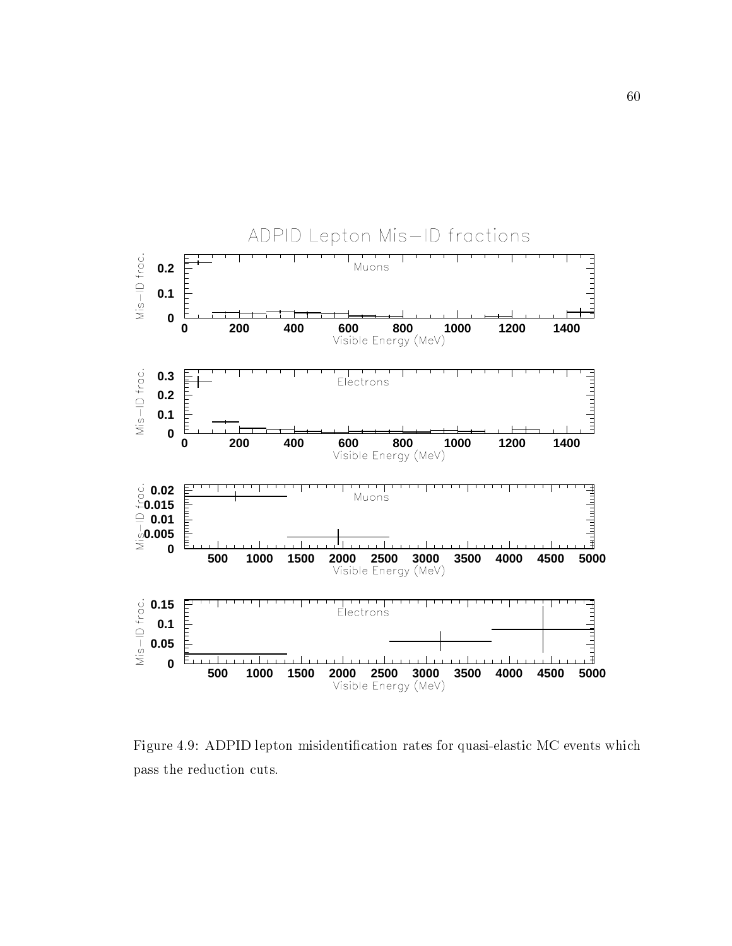

Figure 4.9: ADPID lepton misidentification rates for quasi-elastic MC events which pass the reduction cuts.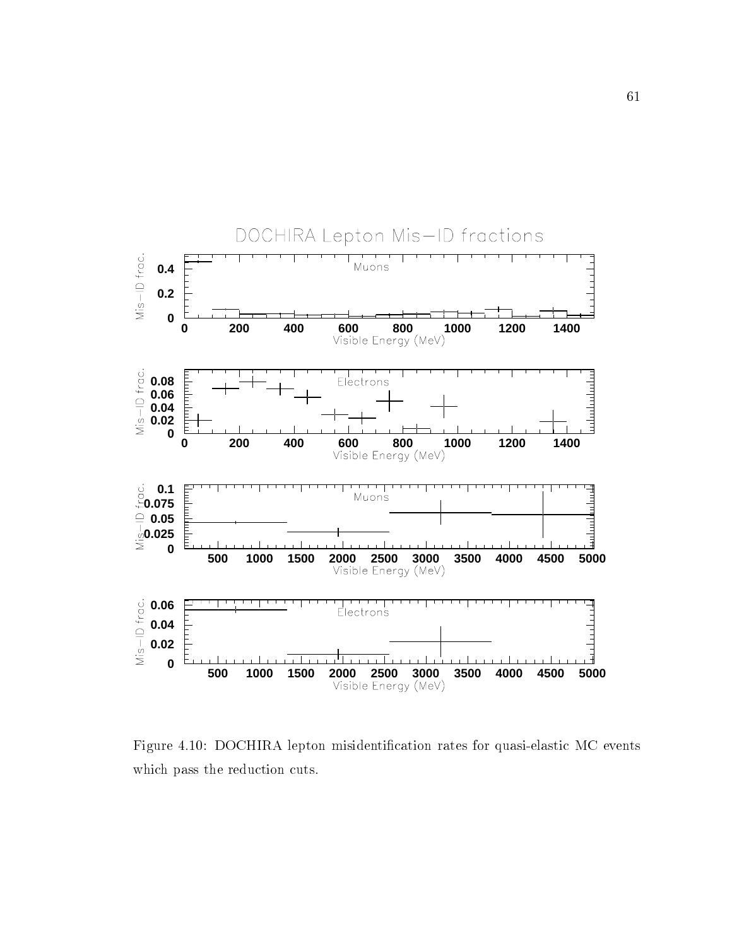

Figure 4.10: DOCHIRA lepton misidentification rates for quasi-elastic MC events which pass the reduction cuts.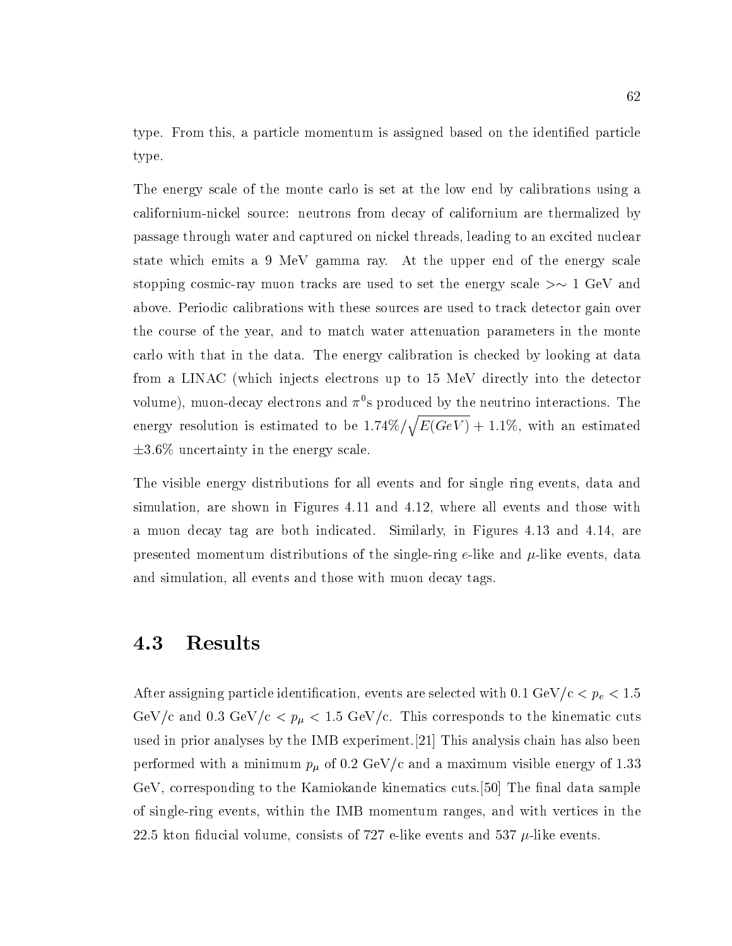type. From this, a particle momentum is assigned based on the identified particle type.

The energy scale of the monte carlo is set at the low end by calibrations using a californium-nickel source: neutrons from decay of californium are thermalized by passage through water and captured on nickel threads, leading to an excited nuclear state which emits a 9 MeV gamma ray. At the upper end of the energy scale stopping cosmic-ray muon tracks are used to set the energy scale  $>\sim 1$  GeV and above. Periodic calibrations with these sources are used to track detector gain over the course of the year, and to match water attenuation parameters in the monte carlo with that in the data. The energy calibration is checked by looking at data from a LINAC (which injects electrons up to 15 MeV directly into the detector volume), muon-decay electrons and  $\pi^0$ s produced by the neutrino interactions. The energy resolution is estimated to be  $1.74\%/\sqrt{E(GeV)} + 1.1\%$ , with an estimated  $\pm 3.6\%$  uncertainty in the energy scale.

The visible energy distributions for all events and for single ring events, data and simulation, are shown in Figures 4.11 and 4.12, where all events and those with a muon decay tag are both indicated. Similarly, in Figures 4.13 and 4.14, are presented momentum distributions of the single-ring e-like and  $\mu$ -like events, data and simulation, all events and those with muon decay tags.

## 4.3 Results

After assigning particle identification, events are selected with  $0.1 \text{ GeV/c} < p_e < 1.5$ GeV/c and 0.3 GeV/c  $p_{\mu}$  < 1.5 GeV/c. This corresponds to the kinematic cuts used in prior analyses by the IMB experiment.[21] This analysis chain has also been performed with a minimum  $p_{\mu}$  of 0.2 GeV/c and a maximum visible energy of 1.33 GeV, corresponding to the Kamiokande kinematics cuts.<sup>[50]</sup> The final data sample of single-ring events, within the IMB momentum ranges, and with vertices in the 22.5 kton fiducial volume, consists of 727 e-like events and 537  $\mu$ -like events.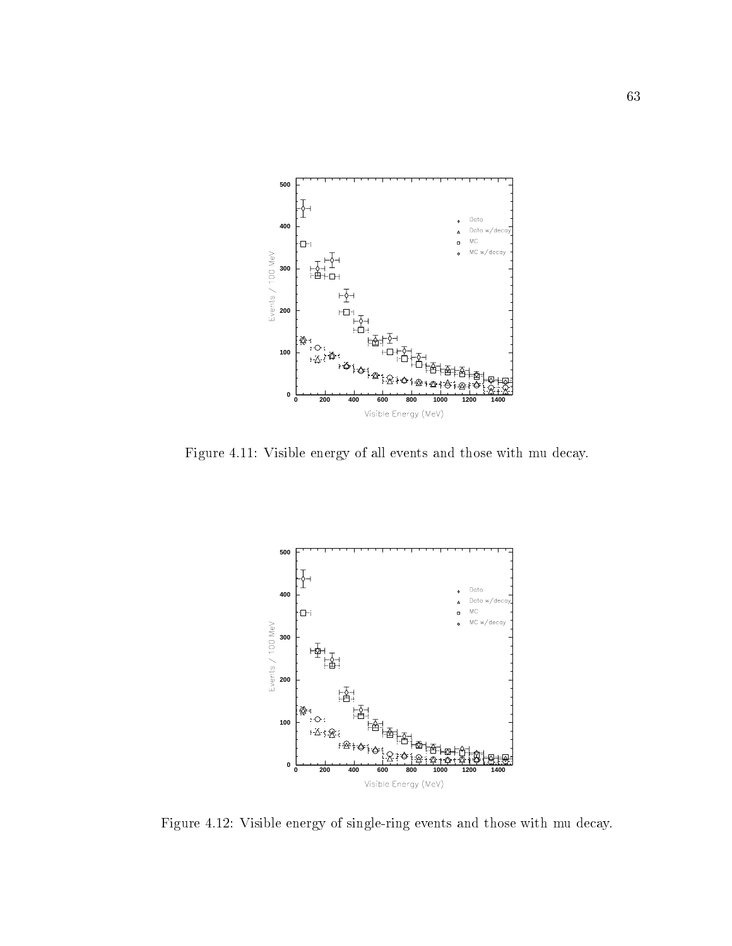

Figure 4.11: Visible energy of all events and those with mu decay.



Figure 4.12: Visible energy of single-ring events and those with mu decay.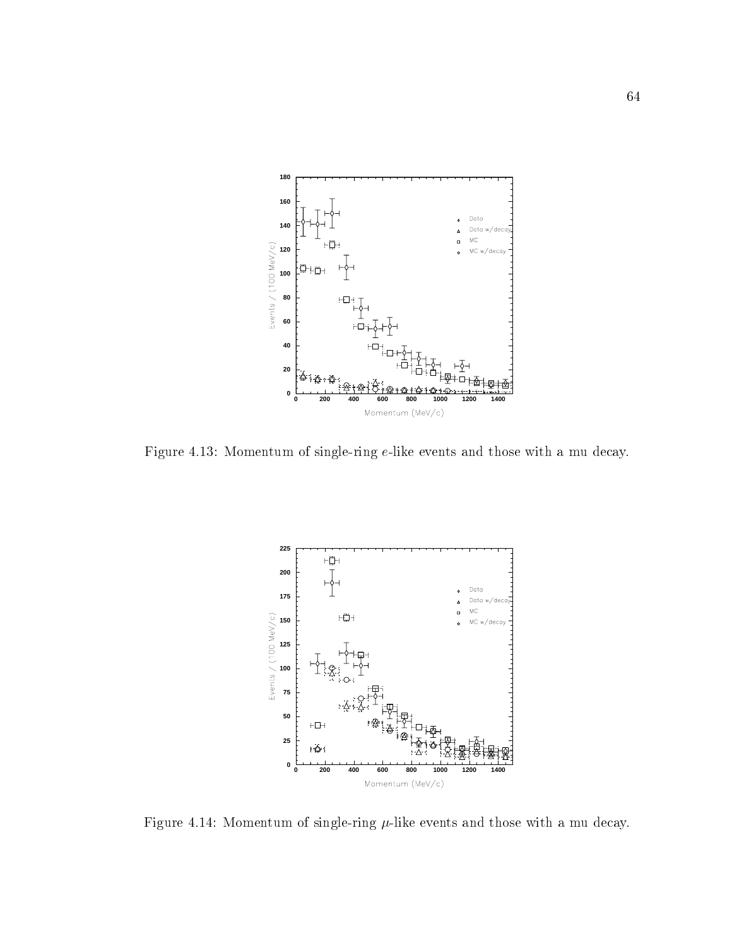

Figure 4.13: Momentum of single-ring e-like events and those with a mu decay.



Figure 4.14: Momentum of single-ring  $\mu$ -like events and those with a mu decay.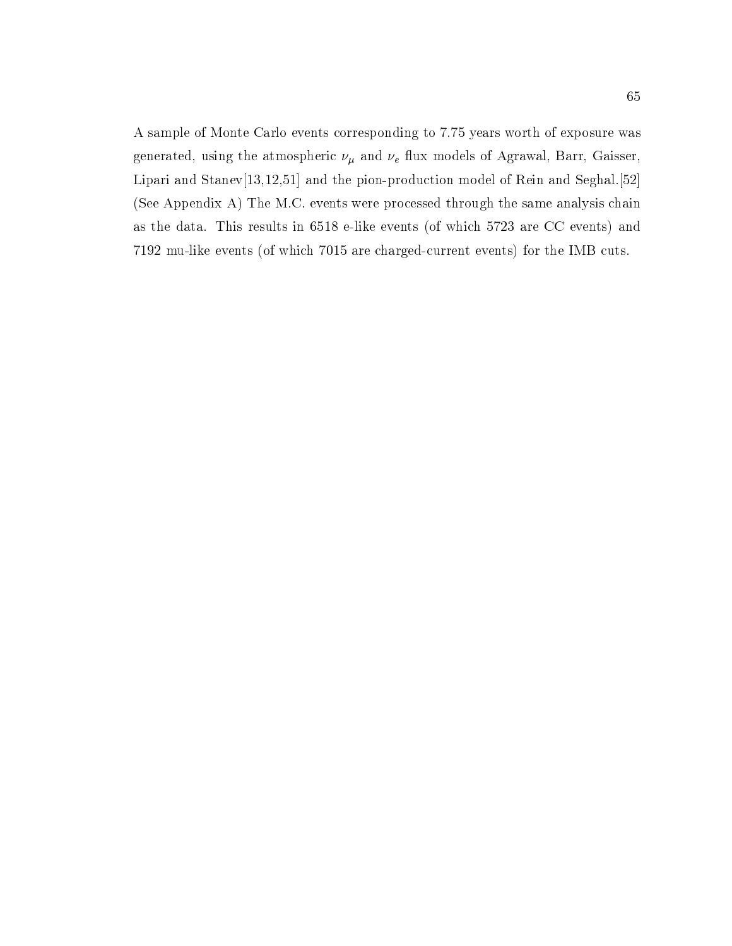A sample of Monte Carlo events corresponding to 7.75 years worth of exposure was generated, using the atmospheric  $\nu_{\mu}$  and  $\nu_{e}$  flux models of Agrawal, Barr, Gaisser, Lipari and Stanev<sup>[13,12,51]</sup> and the pion-production model of Rein and Seghal.<sup>[52]</sup> (See Appendix A) The M.C. events were processed through the same analysis chain as the data. This results in 6518 e-like events (of which 5723 are CC events) and 7192 mu-like events (of which 7015 are charged-current events) for the IMB cuts.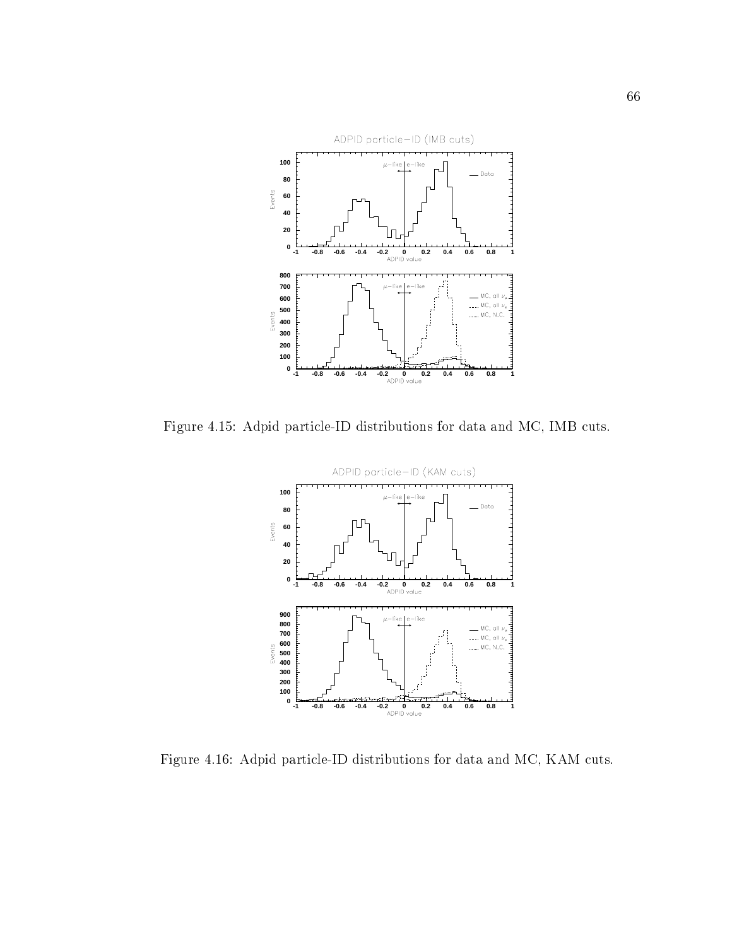

Figure 4.15: Adpid particle-ID distributions for data and MC, IMB cuts.



Figure 4.16: Adpid particle-ID distributions for data and MC, KAM cuts.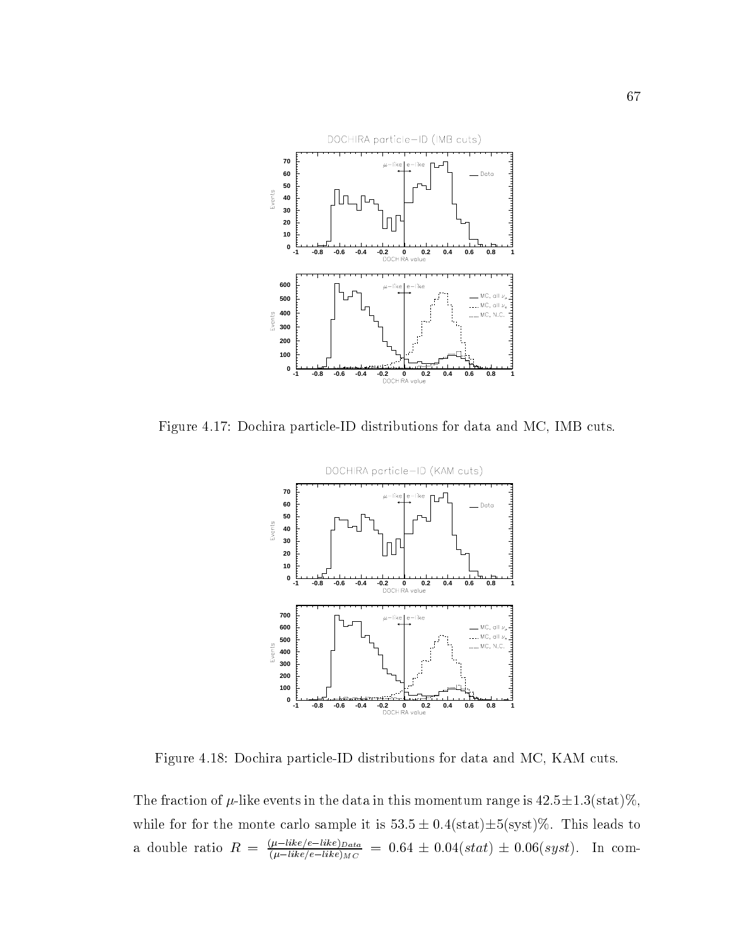

Figure 4.17: Dochira particle-ID distributions for data and MC, IMB cuts.



Figure 4.18: Dochira particle-ID distributions for data and MC, KAM cuts.

The fraction of  $\mu$ -like events in the data in this momentum range is  $42.5 \pm 1.3(\text{stat})\%,$ while for for the monte carlo sample it is  $53.5 \pm 0.4(\text{stat})\pm 5(\text{syst})\%$ . This leads to a double ratio  $R = \frac{(l-1)k}{(\mu - 1)k}$  = 0.64  $\pm$  0.04(stat)  $\pm$  0.06(syst). In com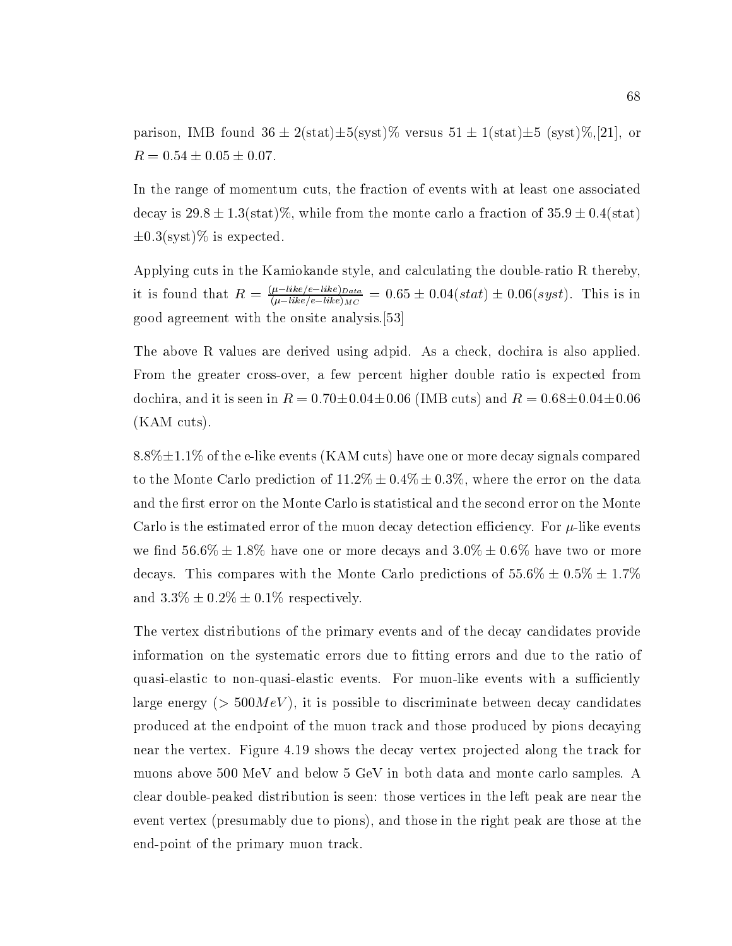parison, IMB found  $36 \pm 2(\text{stat})\pm 5(\text{syst})\%$  versus  $51 \pm 1(\text{stat})\pm 5(\text{syst})\%$ ,[21], or  $R = 0.54 \pm 0.05 \pm 0.07.$ 

In the range of momentum cuts, the fraction of events with at least one associated decay is  $29.8 \pm 1.3$ (stat)%, while from the monte carlo a fraction of  $35.9 \pm 0.4$ (stat)  $\pm 0.3$ (syst)% is expected.

Applying cuts in the Kamiokande style, and calculating the double-ratio R thereby, it is found that  $R = \frac{R^2-1000}{(\mu-like/e-like)_{MC}} = 0.65 \pm 0.04(stat) \pm 0.06(syst)$ . This is in good agreement with the onsite analysis.[53]

The above R values are derived using adpid. As a check, dochira is also applied. From the greater cross-over, a few percent higher double ratio is expected from dochira, and it is seen in  $R = 0.70 \pm 0.04 \pm 0.06$  (IMB cuts) and  $R = 0.68 \pm 0.04 \pm 0.06$ (KAM cuts).

 $8.8\% \pm 1.1\%$  of the e-like events (KAM cuts) have one or more decay signals compared to the Monte Carlo prediction of  $11.2\% \pm 0.4\% \pm 0.3\%$ , where the error on the data and the first error on the Monte Carlo is statistical and the second error on the Monte Carlo is the estimated error of the muon decay detection efficiency. For  $\mu$ -like events we find  $56.6\% \pm 1.8\%$  have one or more decays and  $3.0\% \pm 0.6\%$  have two or more decays. This compares with the Monte Carlo predictions of  $55.6\% \pm 0.5\% \pm 1.7\%$ and  $3.3\% \pm 0.2\% \pm 0.1\%$  respectively.

The vertex distributions of the primary events and of the decay candidates provide information on the systematic errors due to fitting errors and due to the ratio of quasi-elastic to non-quasi-elastic events. For muon-like events with a sufficiently large energy ( $> 500MeV$ ), it is possible to discriminate between decay candidates produced at the endpoint of the muon track and those produced by pions decaying near the vertex. Figure 4.19 shows the decay vertex projected along the track for muons above 500 MeV and below 5 GeV in both data and monte carlo samples. A clear double-peaked distribution is seen: those vertices in the left peak are near the event vertex (presumably due to pions), and those in the right peak are those at the end-point of the primary muon track.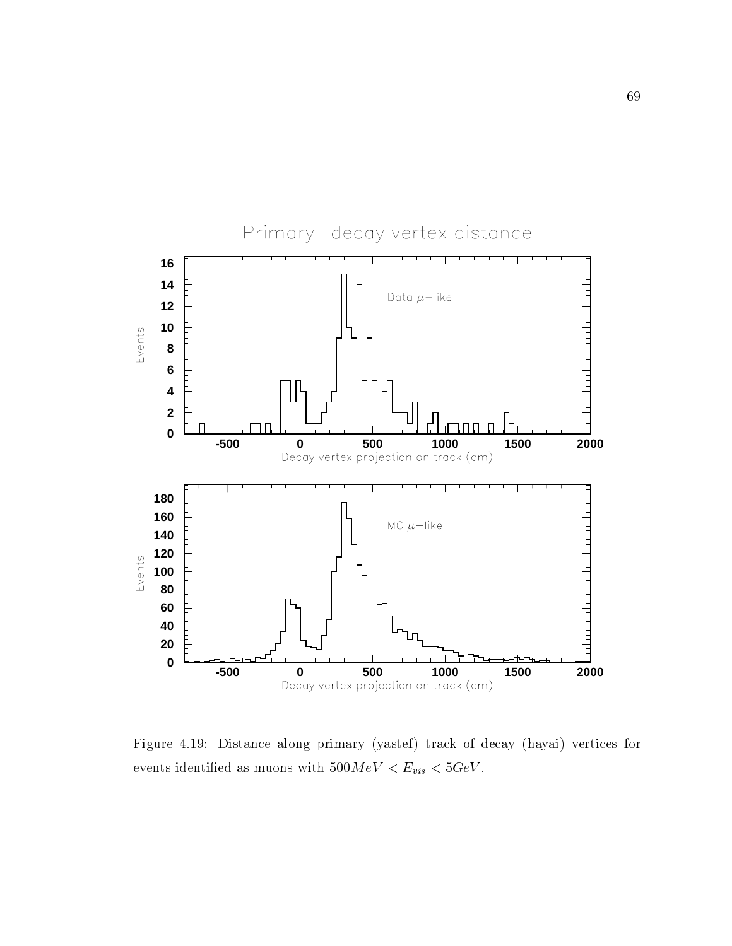

Figure 4.19: Distance along primary (yastef) track of decay (hayai) vertices for events identified as muons with  $500\,MeV < E_{vis} < 5 GeV.$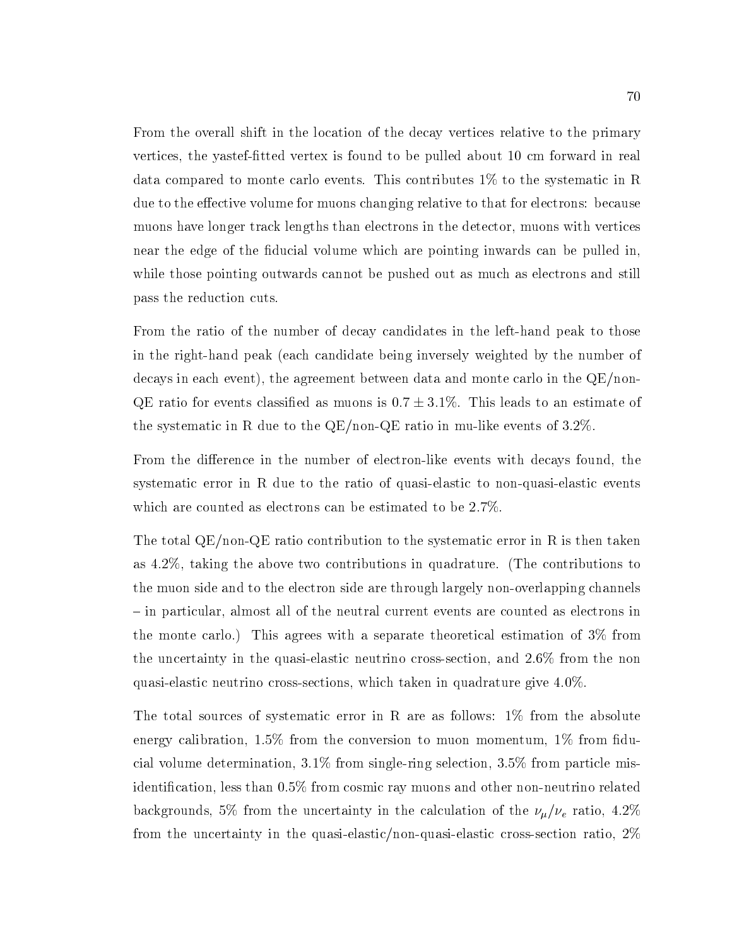From the overall shift in the location of the decay vertices relative to the primary vertices, the yastef-fitted vertex is found to be pulled about 10 cm forward in real data compared to monte carlo events. This contributes 1% to the systematic in R due to the effective volume for muons changing relative to that for electrons: because muons have longer track lengths than electrons in the detector, muons with vertices near the edge of the ducial volume which are pointing inwards can be pulled in, while those pointing outwards cannot be pushed out as much as electrons and still pass the reduction cuts.

From the ratio of the number of decay candidates in the left-hand peak to those in the right-hand peak (each candidate being inversely weighted by the number of decays in each event), the agreement between data and monte carlo in the QE/non-QE ratio for events classified as muons is  $0.7 \pm 3.1\%$ . This leads to an estimate of the systematic in R due to the QE/non-QE ratio in mu-like events of 3.2%.

From the difference in the number of electron-like events with decays found, the systematic error in R due to the ratio of quasi-elastic to non-quasi-elastic events which are counted as electrons can be estimated to be 2.7%.

The total QE/non-QE ratio contribution to the systematic error in R is then taken as 4.2%, taking the above two contributions in quadrature. (The contributions to the muon side and to the electron side are through largely non-overlapping channels { in particular, almost all of the neutral current events are counted as electrons in the monte carlo.) This agrees with a separate theoretical estimation of 3% from the uncertainty in the quasi-elastic neutrino cross-section, and 2.6% from the non quasi-elastic neutrino cross-sections, which taken in quadrature give 4.0%.

The total sources of systematic error in R are as follows: 1% from the absolute energy calibration,  $1.5\%$  from the conversion to muon momentum,  $1\%$  from fiducial volume determination, 3.1% from single-ring selection, 3.5% from particle misidentication, less than 0.5% from cosmic ray muons and other non-neutrino related backgrounds, 5% from the uncertainty in the calculation of the  $\nu_{\mu}/\nu_{e}$  ratio, 4.2% from the uncertainty in the quasi-elastic/non-quasi-elastic cross-section ratio, 2%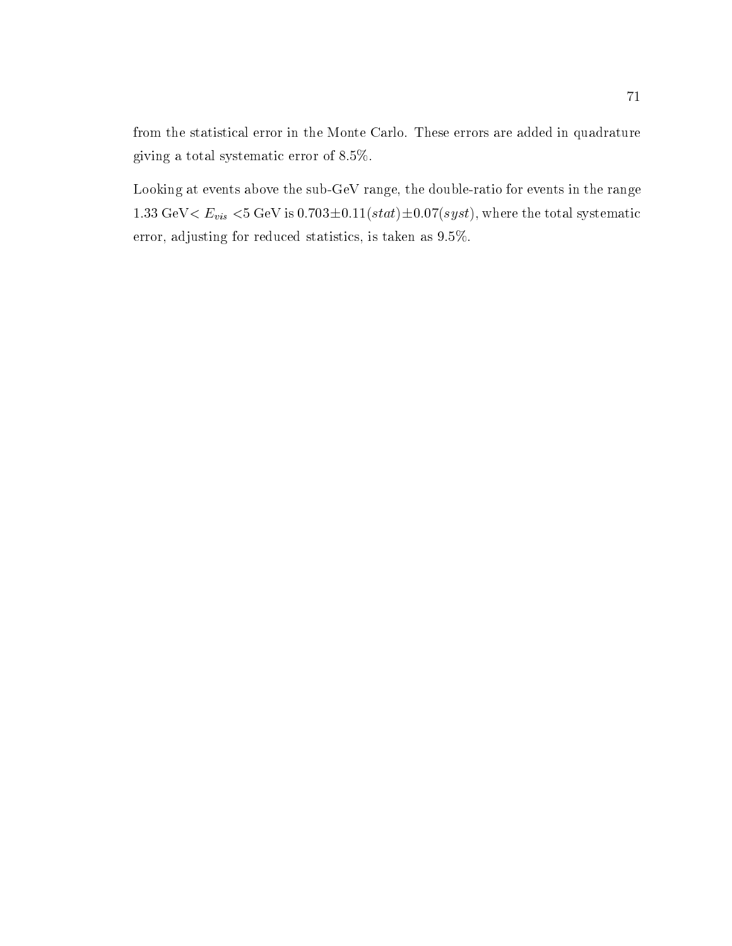from the statistical error in the Monte Carlo. These errors are added in quadrature giving a total systematic error of 8.5%.

Looking at events above the sub-GeV range, the double-ratio for events in the range 1.33 GeV $\lt E_{vis}$   $\lt$ 5 GeV is 0.703 $\pm$ 0.11(stat) $\pm$ 0.07(syst), where the total systematic error, adjusting for reduced statistics, is taken as 9.5%.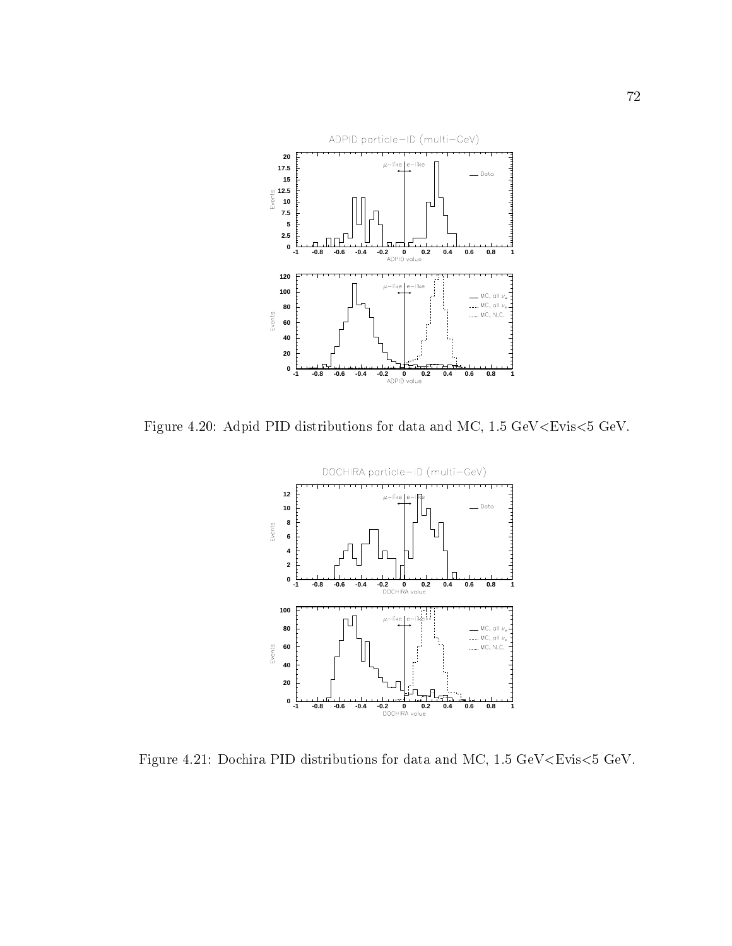

Figure 4.20: Adpid PID distributions for data and MC, 1.5 GeV<Evis<5 GeV.



Figure 4.21: Dochira PID distributions for data and MC, 1.5 GeV<Evis<5 GeV.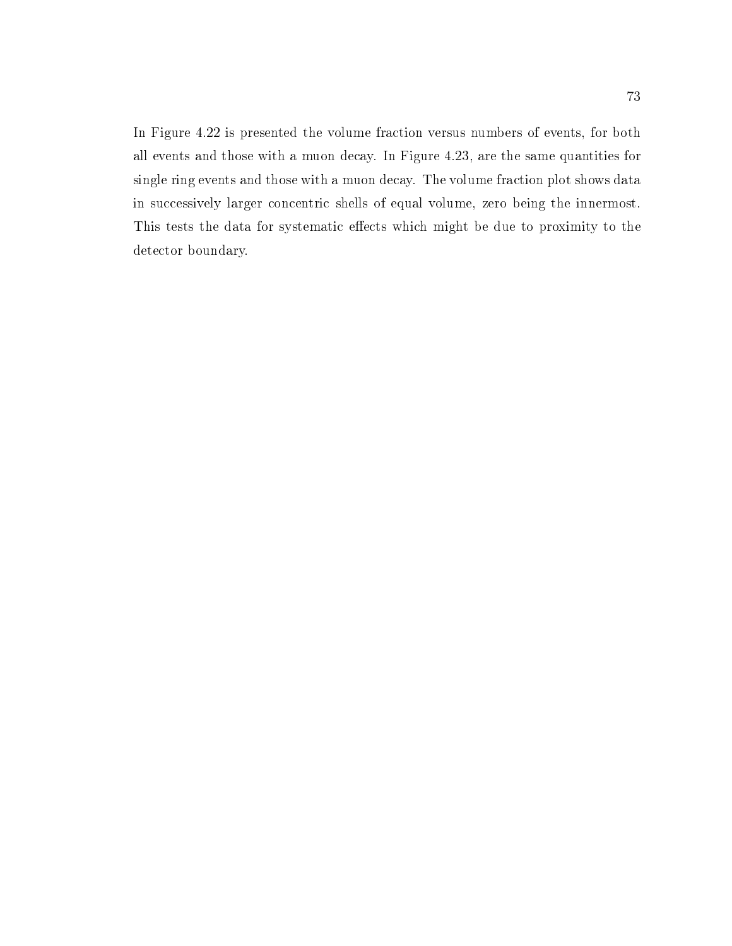In Figure 4.22 is presented the volume fraction versus numbers of events, for both all events and those with a muon decay. In Figure 4.23, are the same quantities for single ring events and those with a muon decay. The volume fraction plot shows data in successively larger concentric shells of equal volume, zero being the innermost. This tests the data for systematic effects which might be due to proximity to the detector boundary.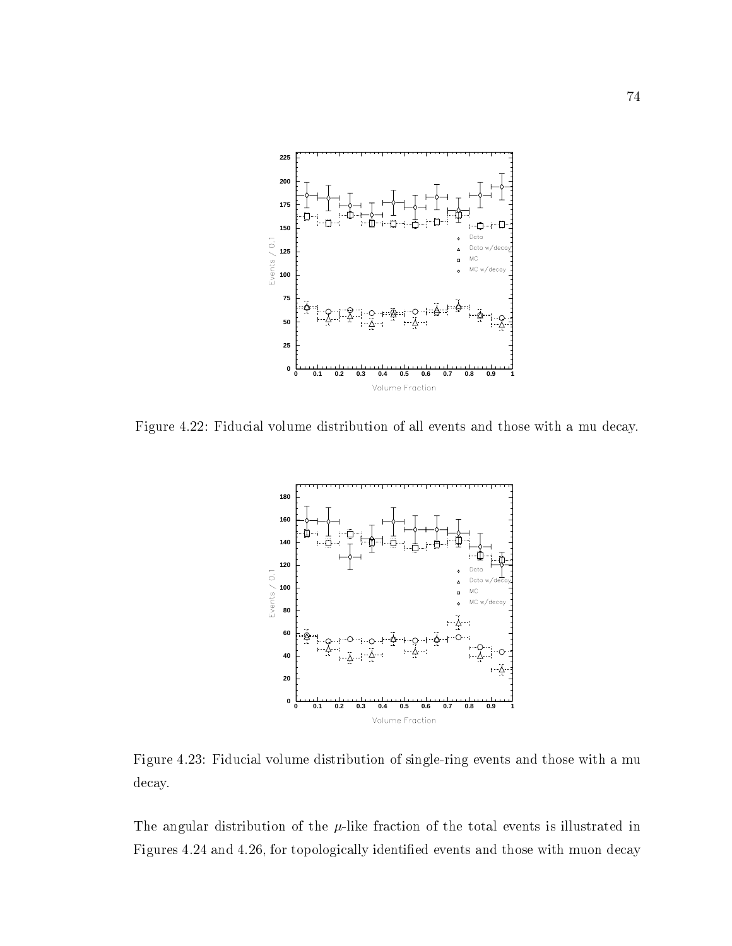

Figure 4.22: Fiducial volume distribution of all events and those with a mu decay.



Figure 4.23: Fiducial volume distribution of single-ring events and those with a mu decay.

The angular distribution of the  $\mu$ -like fraction of the total events is illustrated in Figures 4.24 and 4.26, for topologically identied events and those with muon decay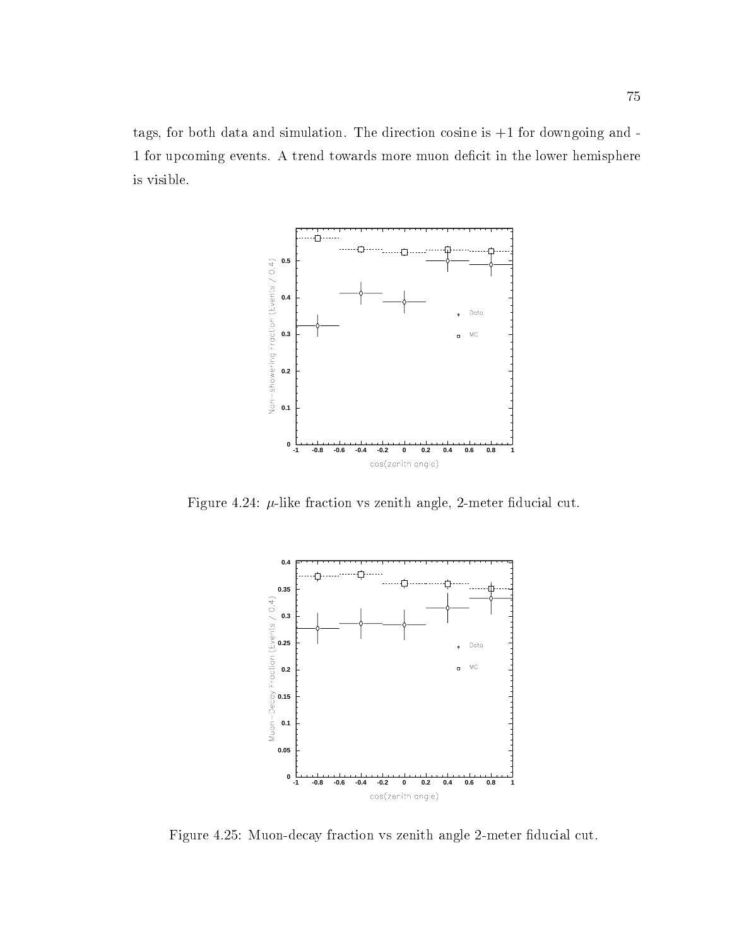tags, for both data and simulation. The direction cosine is +1 for downgoing and - 1 for upcoming events. A trend towards more muon deficit in the lower hemisphere is visible.



Figure 4.24:  $\mu$ -like fraction vs zenith angle, 2-meter fiducial cut.



Figure 4.25: Muon-decay fraction vs zenith angle 2-meter fiducial cut.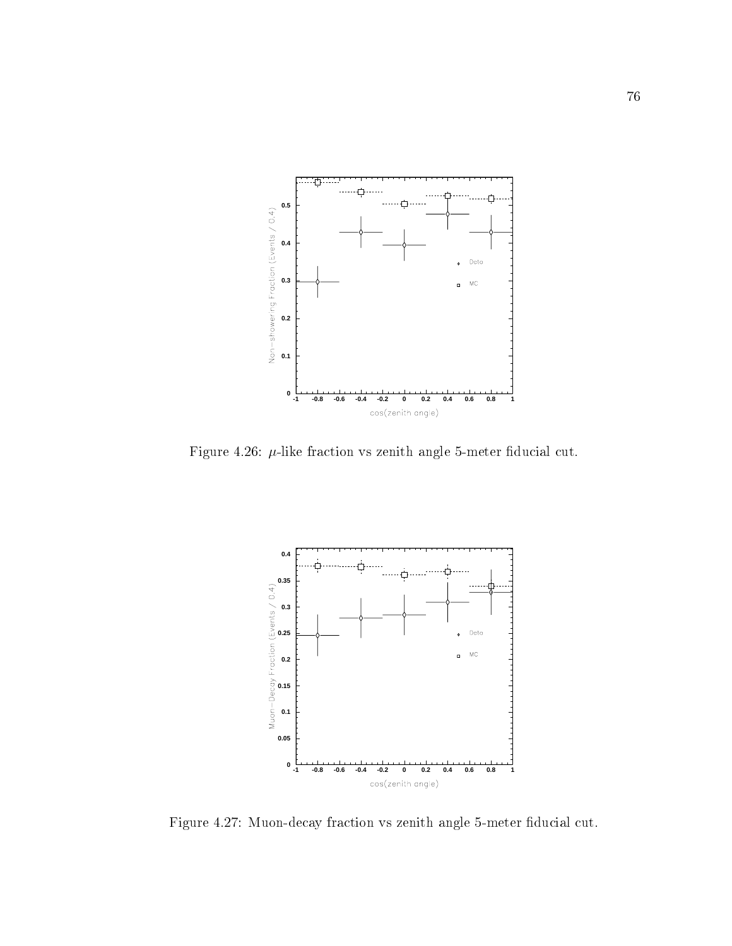

Figure 4.26:  $\mu$ -like fraction vs zenith angle 5-meter fiducial cut.



Figure 4.27: Muon-decay fraction vs zenith angle 5-meter fiducial cut.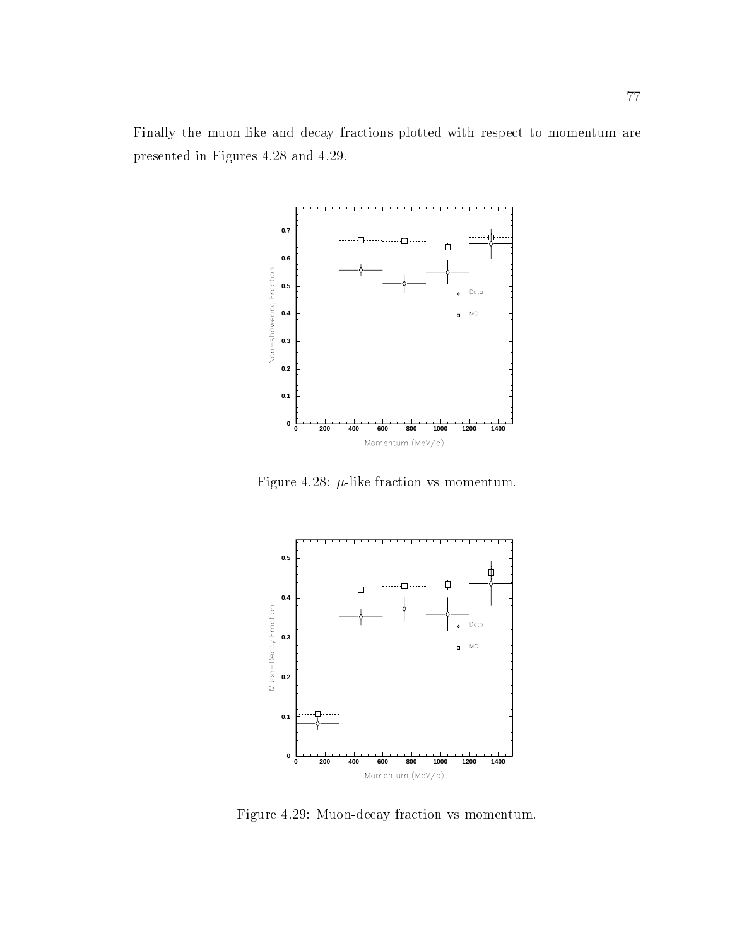Finally the muon-like and decay fractions plotted with respect to momentum are presented in Figures 4.28 and 4.29.



Figure 4.28:  $\mu$ -like fraction vs momentum.



Figure 4.29: Muon-decay fraction vs momentum.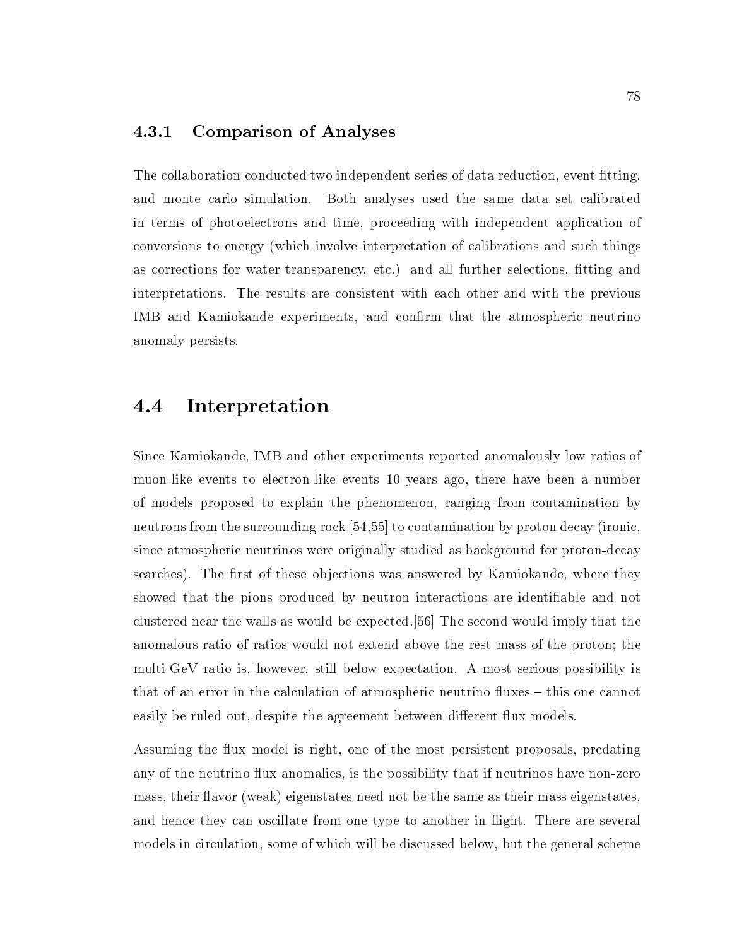### 4.3.1 Comparison of Analyses

The collaboration conducted two independent series of data reduction, event fitting, and monte carlo simulation. Both analyses used the same data set calibrated in terms of photoelectrons and time, proceeding with independent application of conversions to energy (which involve interpretation of calibrations and such things as corrections for water transparency, etc.) and all further selections, fitting and interpretations. The results are consistent with each other and with the previous IMB and Kamiokande experiments, and confirm that the atmospheric neutrino anomaly persists.

### 4.4 Interpretation

Since Kamiokande, IMB and other experiments reported anomalously low ratios of muon-like events to electron-like events 10 years ago, there have been a number of models proposed to explain the phenomenon, ranging from contamination by neutrons from the surrounding rock [54,55] to contamination by proton decay (ironic, since atmospheric neutrinos were originally studied as background for proton-decay searches). The first of these objections was answered by Kamiokande, where they showed that the pions produced by neutron interactions are identifiable and not clustered near the walls as would be expected.[56] The second would imply that the anomalous ratio of ratios would not extend above the rest mass of the proton; the multi-GeV ratio is, however, still below expectation. A most serious possibility is that of an error in the calculation of atmospheric neutrino fluxes – this one cannot easily be ruled out, despite the agreement between different flux models.

Assuming the flux model is right, one of the most persistent proposals, predating any of the neutrino flux anomalies, is the possibility that if neutrinos have non-zero mass, their flavor (weak) eigenstates need not be the same as their mass eigenstates, and hence they can oscillate from one type to another in flight. There are several models in circulation, some of which will be discussed below, but the general scheme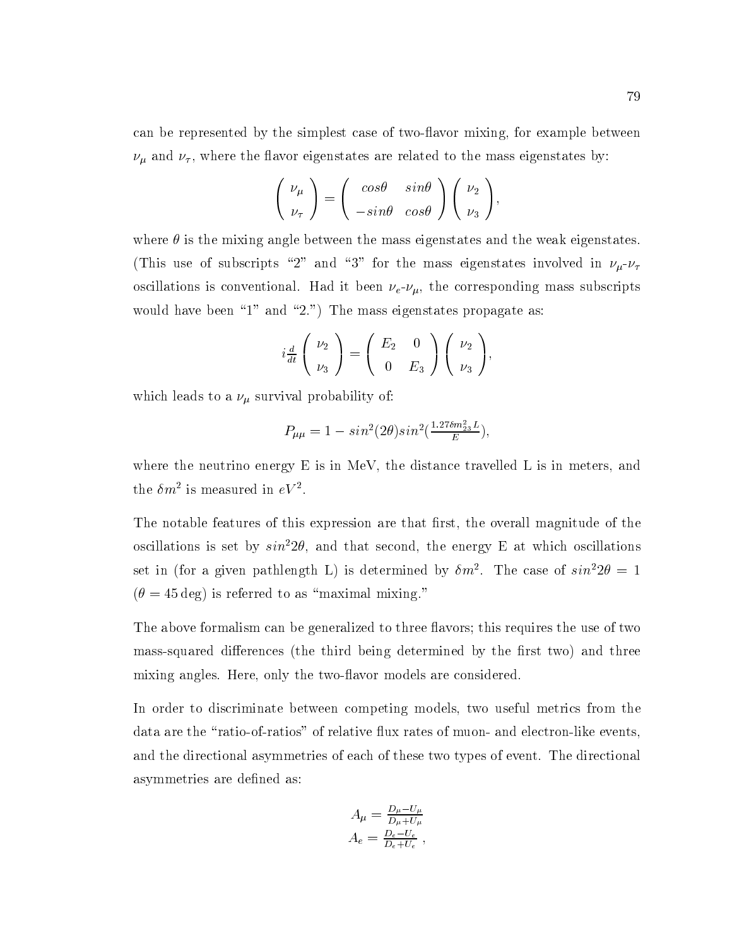can be represented by the simplest case of two-flavor mixing, for example between  $\nu_{\mu}$  and  $\nu_{\tau}$ , where the flavor eigenstates are related to the mass eigenstates by:

$$
\begin{pmatrix} \nu_{\mu} \\ \nu_{\tau} \end{pmatrix} = \begin{pmatrix} \cos\theta & \sin\theta \\ -\sin\theta & \cos\theta \end{pmatrix} \begin{pmatrix} \nu_2 \\ \nu_3 \end{pmatrix},
$$

where  $\theta$  is the mixing angle between the mass eigenstates and the weak eigenstates. (This use of subscripts "2" and "3" for the mass eigenstates involved in  $\nu_\mu$ - $\nu_\tau$ oscillations is conventional. Had it been  $\nu_e$ - $\nu_\mu$ , the corresponding mass subscripts would have been "1" and "2.") The mass eigenstates propagate as:

$$
i\frac{d}{dt}\begin{pmatrix} \nu_2 \\ \nu_3 \end{pmatrix} = \begin{pmatrix} E_2 & 0 \\ 0 & E_3 \end{pmatrix} \begin{pmatrix} \nu_2 \\ \nu_3 \end{pmatrix},
$$

which leads to a  $\nu_{\mu}$  survival probability of:

$$
P_{\mu\mu} = 1 - \sin^2(2\theta)\sin^2(\frac{1.27\delta m_{23}^2 L}{E}),
$$

where the neutrino energy  $E$  is in MeV, the distance travelled L is in meters, and the  $\mathit{om}$  is measured in  $\mathit{ev}$  .

The notable features of this expression are that first, the overall magnitude of the oscillations is set by  $sin^2 2\theta$ , and that second, the energy E at which oscillations set in (for a given pathlength L) is determined by  $\mathit{om}$ . The case of  $\mathit{sun}$  z $\mathit{v} = 1$  $(\theta = 45 \text{ deg})$  is referred to as "maximal mixing."

The above formalism can be generalized to three flavors; this requires the use of two mass-squared differences (the third being determined by the first two) and three mixing angles. Here, only the two-flavor models are considered.

In order to discriminate between competing models, two useful metrics from the data are the "ratio-of-ratios" of relative flux rates of muon- and electron-like events, and the directional asymmetries of each of these two types of event. The directional asymmetries are defined as:

$$
A_{\mu} = \frac{D_{\mu} - U_{\mu}}{D_{\mu} + U_{\mu}}
$$

$$
A_{e} = \frac{D_{e} - U_{e}}{D_{e} + U_{e}}
$$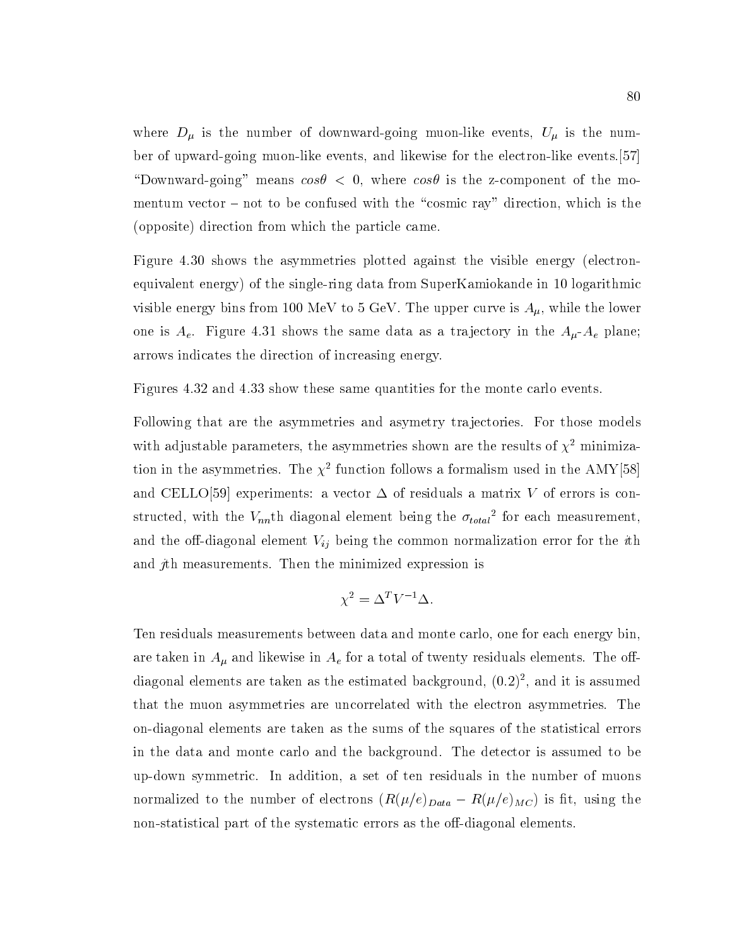where  $D_{\mu}$  is the number of downward-going muon-like events,  $U_{\mu}$  is the number of upward-going muon-like events, and likewise for the electron-like events.[57] "Downward-going" means  $\cos \theta < 0$ , where  $\cos \theta$  is the z-component of the momentum vector  $-$  not to be confused with the "cosmic ray" direction, which is the (opposite) direction from which the particle came.

Figure 4.30 shows the asymmetries plotted against the visible energy (electronequivalent energy) of the single-ring data from SuperKamiokande in 10 logarithmic visible energy bins from 100 MeV to 5 GeV. The upper curve is  $A_{\mu}$ , while the lower one is  $A_e$ . Figure 4.31 shows the same data as a trajectory in the  $A_\mu$ - $A_e$  plane; arrows indicates the direction of increasing energy.

Figures 4.32 and 4.33 show these same quantities for the monte carlo events.

Following that are the asymmetries and asymetry trajectories. For those models with adjustable parameters, the asymmetries shown are the results of  $\chi^2$  minimization in the asymmetries. The  $\chi^+$  function follows a formalism used in the AMY [58] and CELLO[59] experiments: a vector  $\Delta$  of residuals a matrix V of errors is con- $\text{surface}$ , with the  $\mathit{v}_{nn}$ th diagonal element being the  $\mathit{o}_{total}$  for each measurement, and the off-diagonal element  $V_{ij}$  being the common normalization error for the *i*th and jth measurements. Then the minimized expression is

$$
\chi^2 = \Delta^T V^{-1} \Delta.
$$

Ten residuals measurements between data and monte carlo, one for each energy bin, are taken in  $A_\mu$  and likewise in  $A_e$  for a total of twenty residuals elements. The offdiagonal elements are taken as the estimated background, (0:2)2 , and it is assumed that the muon asymmetries are uncorrelated with the electron asymmetries. The on-diagonal elements are taken as the sums of the squares of the statistical errors in the data and monte carlo and the background. The detector is assumed to be up-down symmetric. In addition, a set of ten residuals in the number of muons normalized to the number of electrons  $(R(\mu/e)_{Data} - R(\mu/e)_{MC})$  is fit, using the non-statistical part of the systematic errors as the off-diagonal elements.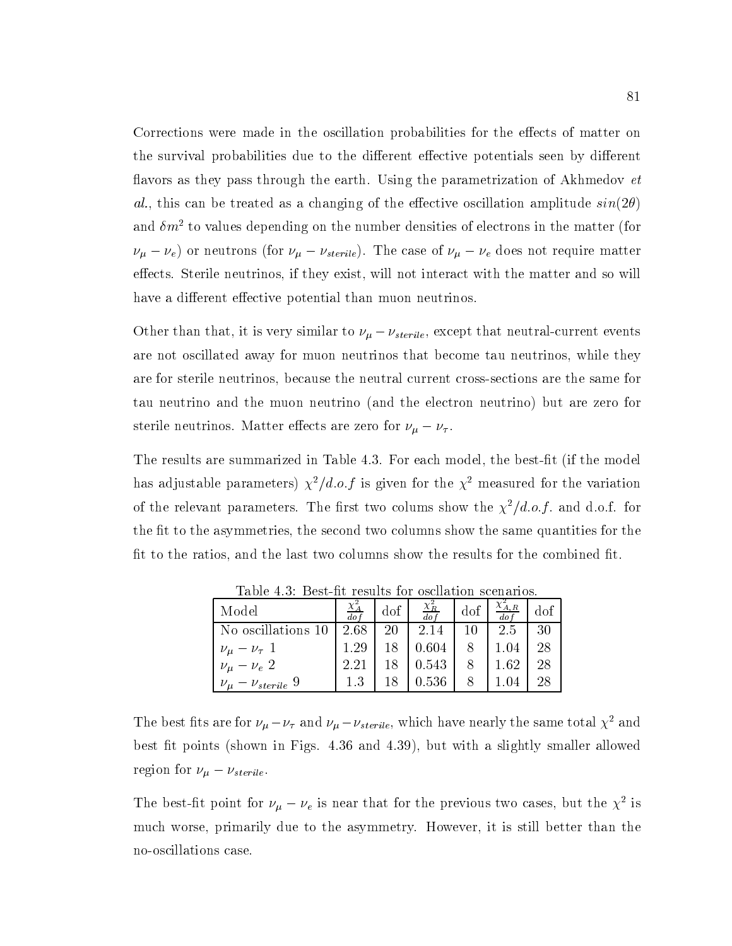Corrections were made in the oscillation probabilities for the effects of matter on the survival probabilities due to the different effective potentials seen by different flavors as they pass through the earth. Using the parametrization of Akhmedov *et* al., this can be treated as a changing of the effective oscillation amplitude  $sin(2\theta)$ and  $\delta m^2$  to values depending on the number densities of electrons in the matter (for  $\nu_{\mu} - \nu_{e}$  or neutrons (for  $\nu_{\mu} - \nu_{sterile}$ ). The case of  $\nu_{\mu} - \nu_{e}$  does not require matter effects. Sterile neutrinos, if they exist, will not interact with the matter and so will have a different effective potential than muon neutrinos.

Other than that, it is very similar to  $\nu_{\mu} - \nu_{sterile}$ , except that neutral-current events are not oscillated away for muon neutrinos that become tau neutrinos, while they are for sterile neutrinos, because the neutral current cross-sections are the same for tau neutrino and the muon neutrino (and the electron neutrino) but are zero for sterile neutrinos. Matter effects are zero for  $\nu_{\mu} - \nu_{\tau}$ .

The results are summarized in Table 4.3. For each model, the best-fit (if the model has adjustable parameters)  $\chi^2/d.o.f$  is given for the  $\chi^2$  measured for the variation of the relevant parameters. The first two colums show the  $\chi^2/d.o.f.$  and d.o.f. for the fit to the asymmetries, the second two columns show the same quantities for the fit to the ratios, and the last two columns show the results for the combined fit.

| Model                                                 | $\frac{\chi_A^2}{dof}$ | $\pm$ dof $\pm$ | $\frac{\chi_R^2}{dof}$ | dof | $\lambda_{A,R}$<br>$d\sigma$ | dof |
|-------------------------------------------------------|------------------------|-----------------|------------------------|-----|------------------------------|-----|
| No oscillations $10 \mid 2.68 \mid$                   |                        | -20             | $\mid 2.14 \mid$       | 10  | 2.5                          | 30  |
|                                                       | 1.29                   | 18              | $\mid$ 0.604 $\mid$    |     | 1.04                         | 28  |
| $\nu_{\mu} - \nu_{\tau}$ 1<br>$\nu_{\mu} - \nu_{e}$ 2 | 2.21                   | 18              | $\mid$ 0.543           |     | 1.62                         | 28  |
| $\nu_{\mu} - \nu_{sterile}$ 9                         | 1.3                    | 18              | $\mid 0.536 \mid$      |     | 1.04                         | 28  |

Table 4.3: Best-fit results for oscllation scenarios.

The best fits are for  $\nu_{\mu} - \nu_{\tau}$  and  $\nu_{\mu} - \nu_{sterile}$ , which have nearly the same total  $\chi^2$  and best fit points (shown in Figs. 4.36 and 4.39), but with a slightly smaller allowed region for  $\nu_{\mu} - \nu_{sterile}$ .

The best-nt point for  $\nu_{\mu} - \nu_{e}$  is near that for the previous two cases, but the  $\chi$ <sup>-</sup> is much worse, primarily due to the asymmetry. However, it is still better than the no-oscillations case.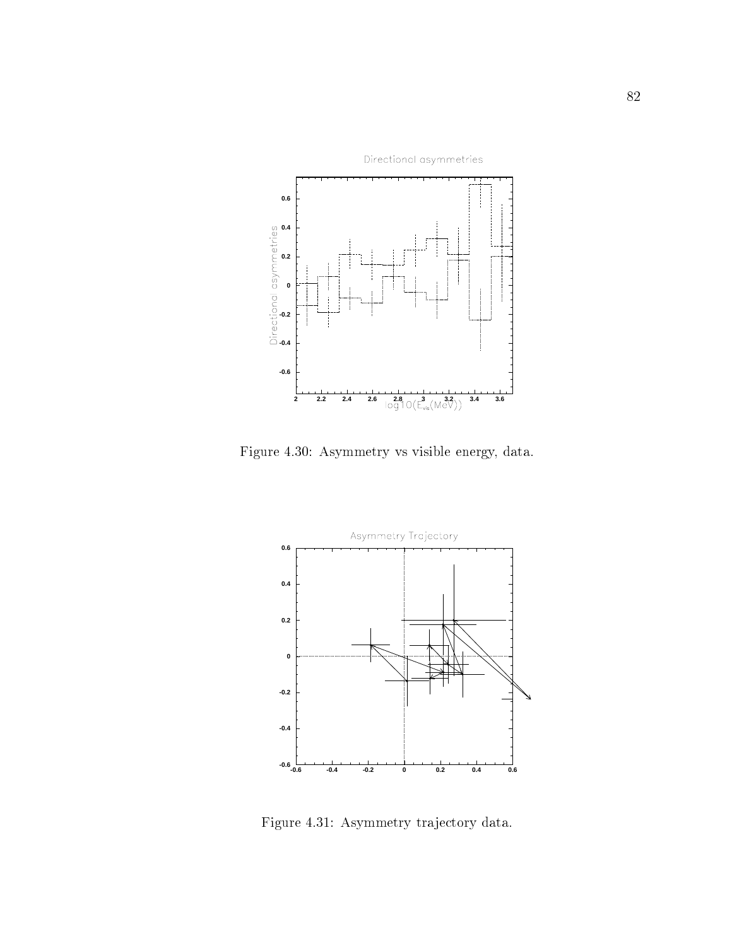

Figure 4.30: Asymmetry vs visible energy, data.



Figure 4.31: Asymmetry tra jectory data.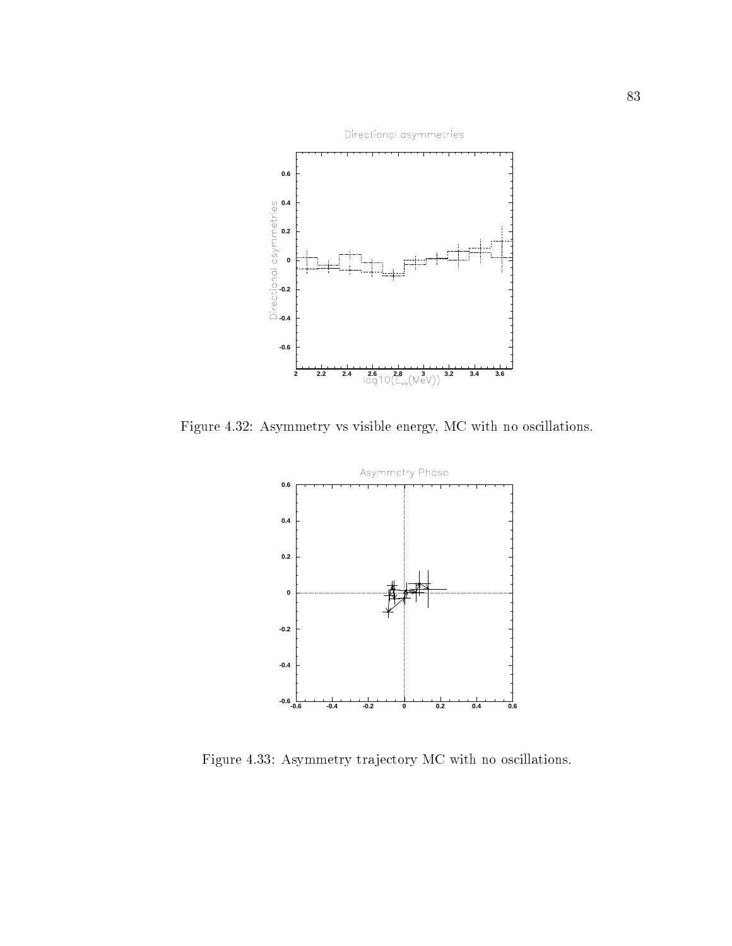

Figure 4.32: Asymmetry vs visible energy, MC with no oscillations.



Figure 4.33: Asymmetry tra jectory MC with no oscillations.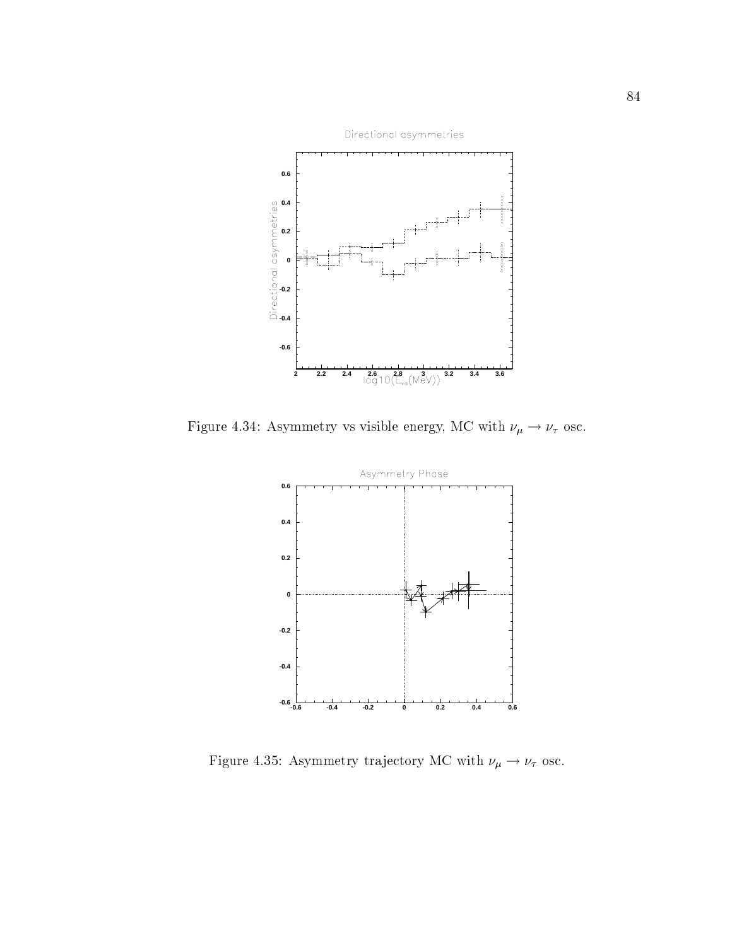

Figure 4.34: Asymmetry vs visible energy, MC with  $\nu_{\mu} \rightarrow \nu_{\tau}$  osc.



Figure 4.35: Asymmetry trajectory MC with  $\nu_\mu \rightarrow \nu_\tau$  osc.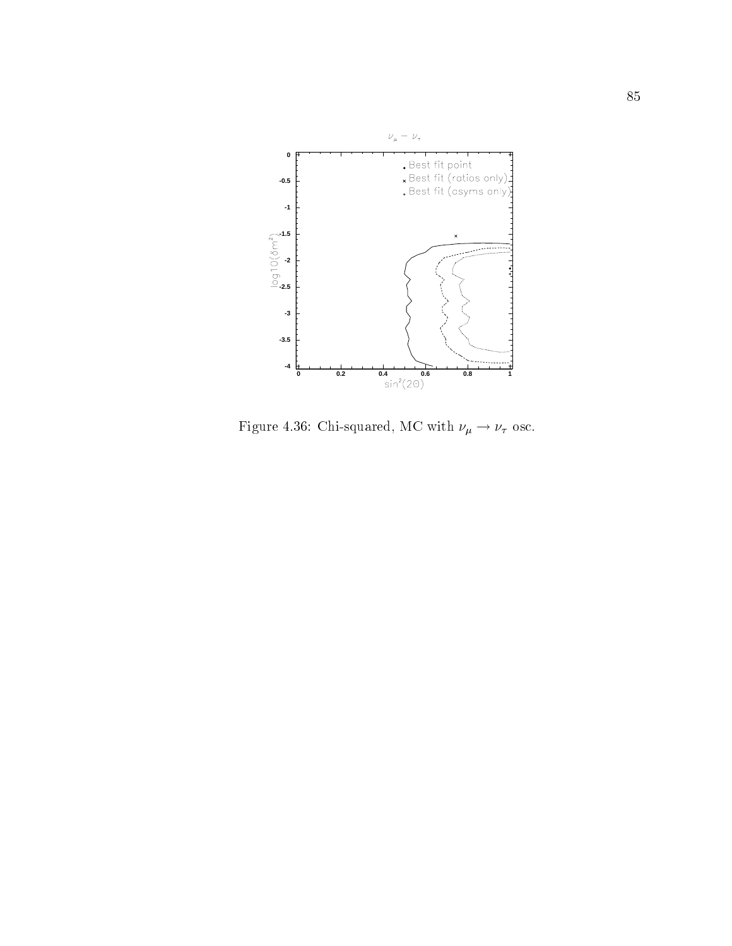

Figure 4.36: Chi-squared, MC with  $\nu_\mu \rightarrow \nu_\tau$  osc.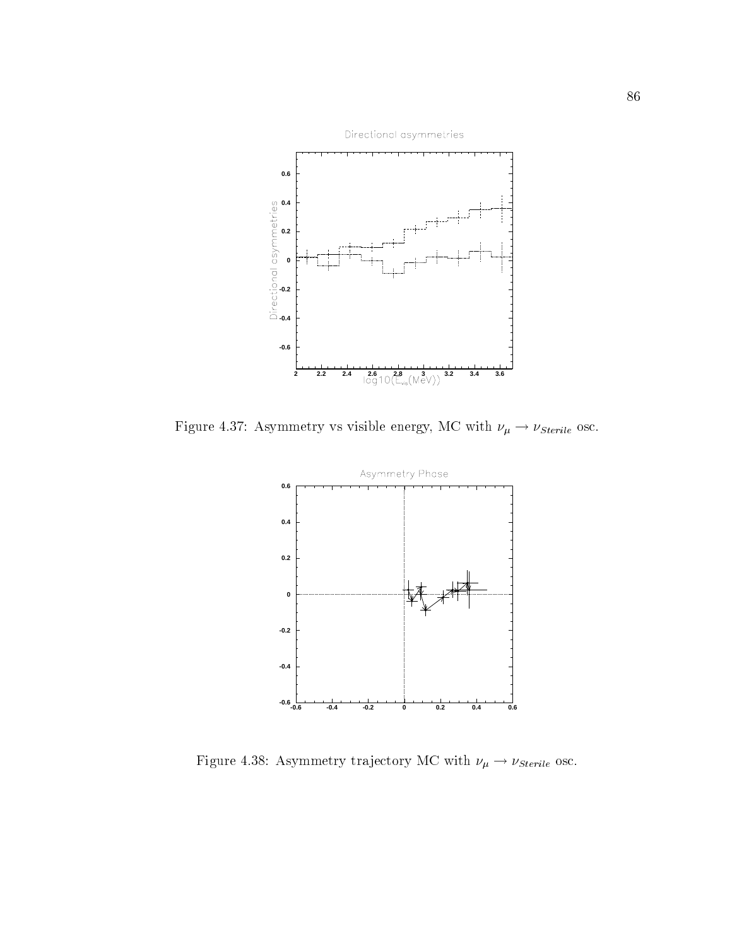

Figure 4.37: Asymmetry vs visible energy, MC with  $\nu_\mu \rightarrow \nu_{Sterile}$  osc.



Figure 4.38: Asymmetry trajectory MC with  $\nu_\mu \rightarrow \nu_{Sterile}$  osc.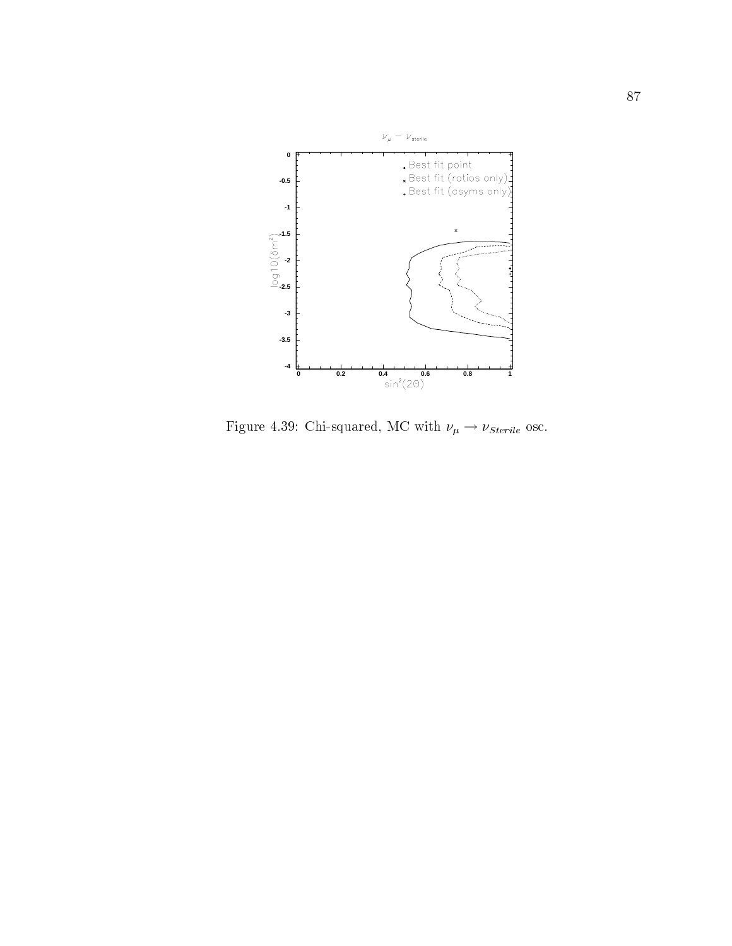

Figure 4.39: Chi-squared, MC with  $\nu_\mu \rightarrow \nu_{sterile}$  osc.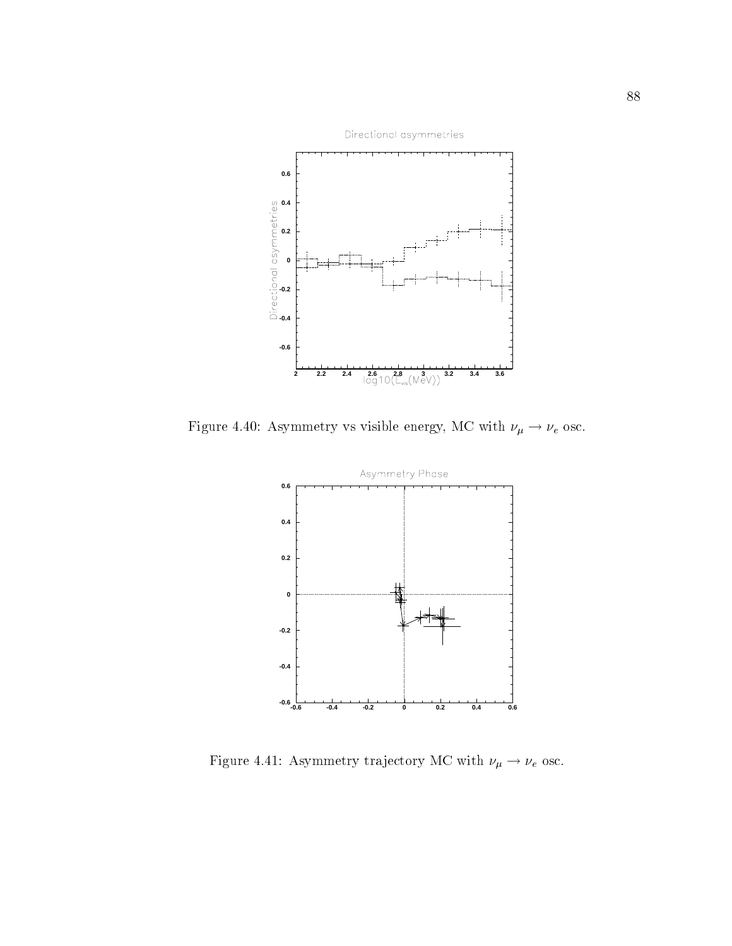

Figure 4.40: Asymmetry vs visible energy, MC with  $\nu_\mu \to \nu_e$  osc.



Figure 4.41: Asymmetry trajectory MC with  $\nu_\mu \rightarrow \nu_e$  osc.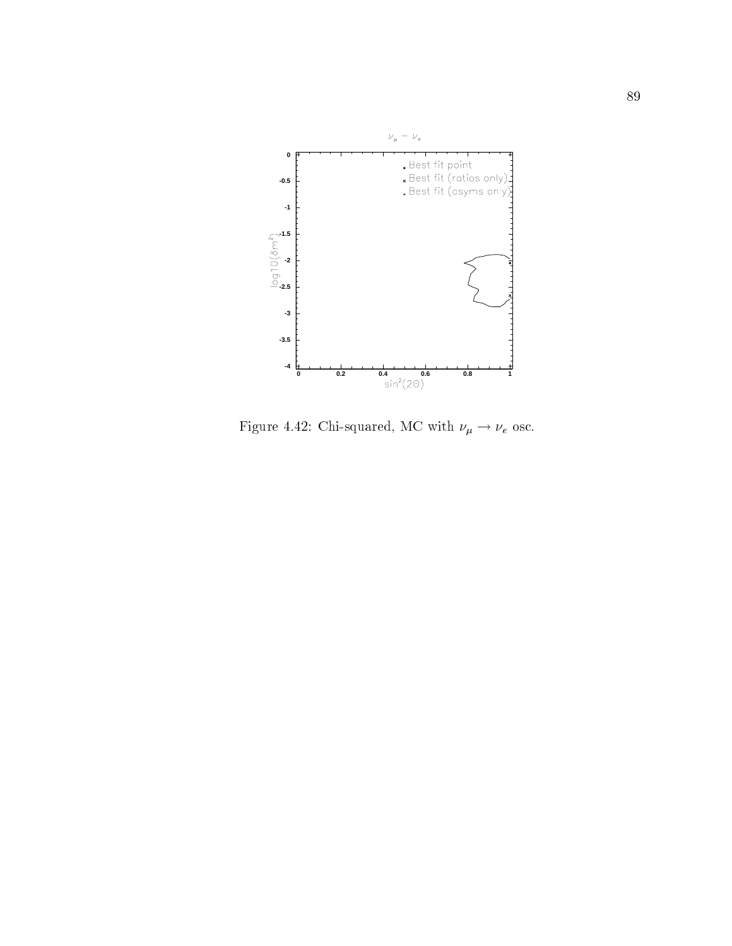

Figure 4.42: Chi-squared, MC with  $\nu_\mu \rightarrow \nu_e$  osc.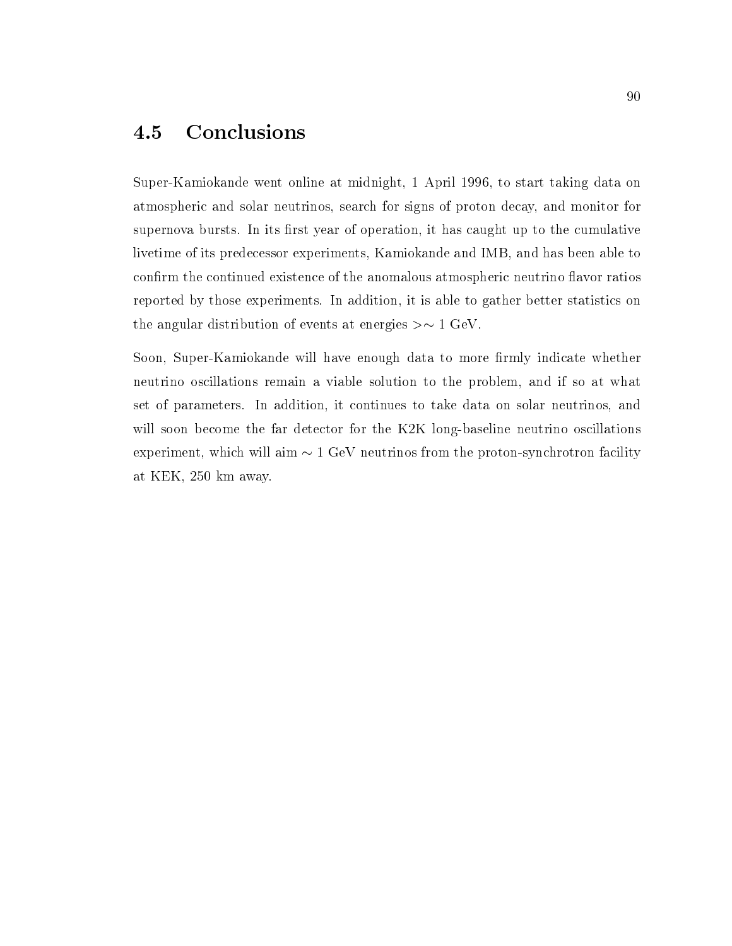#### 4.5 Conclusions

Super-Kamiokande went online at midnight, 1 April 1996, to start taking data on atmospheric and solar neutrinos, search for signs of proton decay, and monitor for supernova bursts. In its first year of operation, it has caught up to the cumulative livetime of its predecessor experiments, Kamiokande and IMB, and has been able to confirm the continued existence of the anomalous atmospheric neutrino flavor ratios reported by those experiments. In addition, it is able to gather better statistics on the angular distribution of events at energies  $>\sim 1$  GeV.

Soon, Super-Kamiokande will have enough data to more firmly indicate whether neutrino oscillations remain a viable solution to the problem, and if so at what set of parameters. In addition, it continues to take data on solar neutrinos, and will soon become the far detector for the K2K long-baseline neutrino oscillations experiment, which will aim  $\sim 1$  GeV neutrinos from the proton-synchrotron facility at KEK, 250 km away.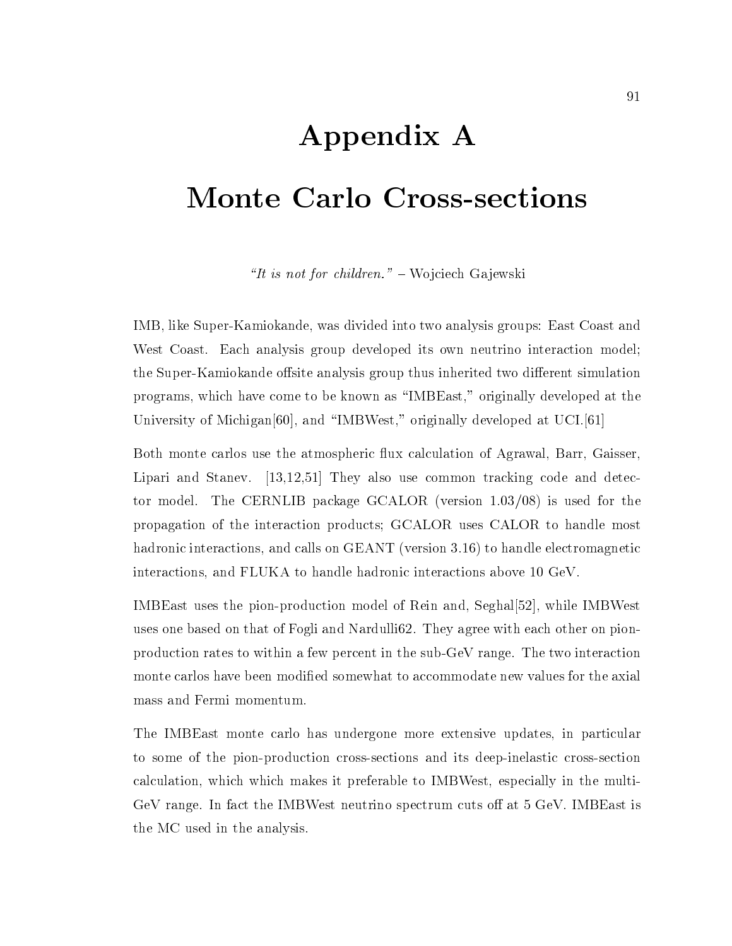# Appendix A Monte Carlo Cross-sections

"It is not for children."  $-$  Wo jciech Ga jewski"

IMB, like Super-Kamiokande, was divided into two analysis groups: East Coast and West Coast. Each analysis group developed its own neutrino interaction model; the Super-Kamiokande offsite analysis group thus inherited two different simulation programs, which have come to be known as \IMBEast," originally developed at the University of Michigan<sup>[60]</sup>, and "IMBWest," originally developed at UCI.<sup>[61]</sup>

Both monte carlos use the atmospheric flux calculation of Agrawal, Barr, Gaisser, Lipari and Stanev. [13,12,51] They also use common tracking code and detector model. The CERNLIB package GCALOR (version 1.03/08) is used for the propagation of the interaction products; GCALOR uses CALOR to handle most hadronic interactions, and calls on GEANT (version 3.16) to handle electromagnetic interactions, and FLUKA to handle hadronic interactions above 10 GeV.

IMBEast uses the pion-production model of Rein and, Seghal[52], while IMBWest uses one based on that of Fogli and Nardulli62. They agree with each other on pionproduction rates to within a few percent in the sub-GeV range. The two interaction monte carlos have been modified somewhat to accommodate new values for the axial mass and Fermi momentum.

The IMBEast monte carlo has undergone more extensive updates, in particular to some of the pion-production cross-sections and its deep-inelastic cross-section calculation, which which makes it preferable to IMBWest, especially in the multi-GeV range. In fact the IMBWest neutrino spectrum cuts off at  $5 \text{ GeV}$ . IMBEast is the MC used in the analysis.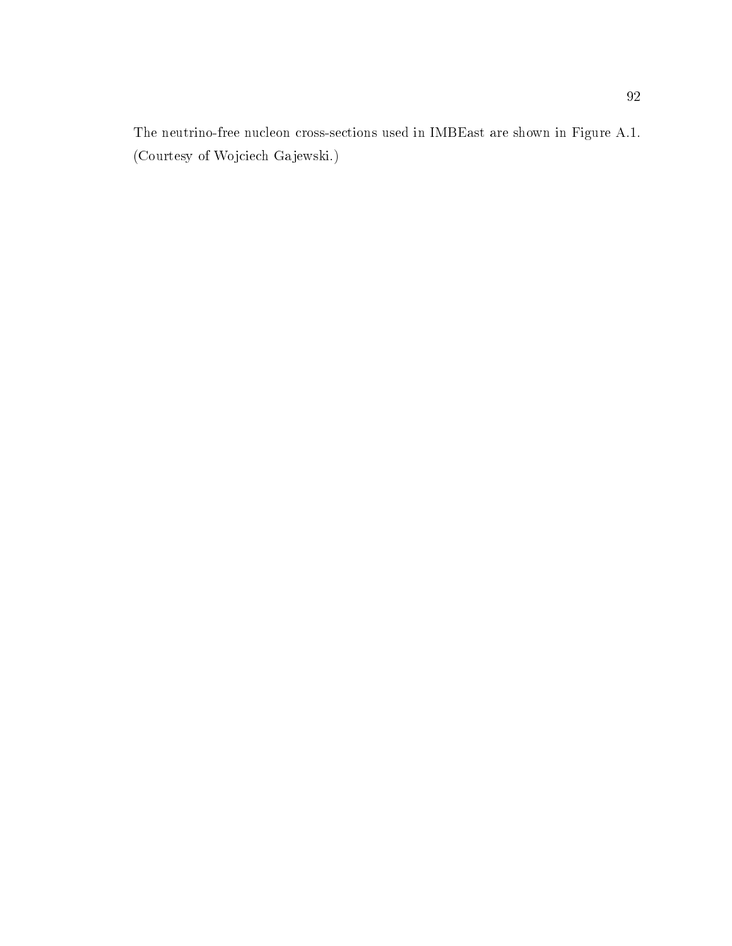The neutrino-free nucleon cross-sections used in IMBEast are shown in Figure A.1. (Courtesy of Wojciech Gajewski.)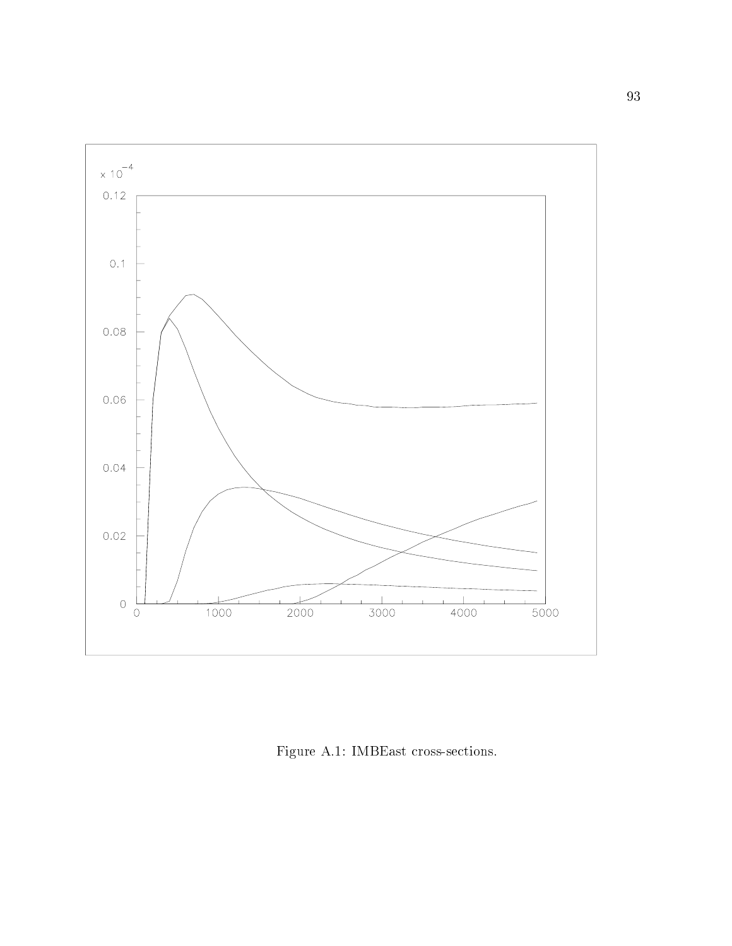

Figure A.1: IMBEast cross-sections.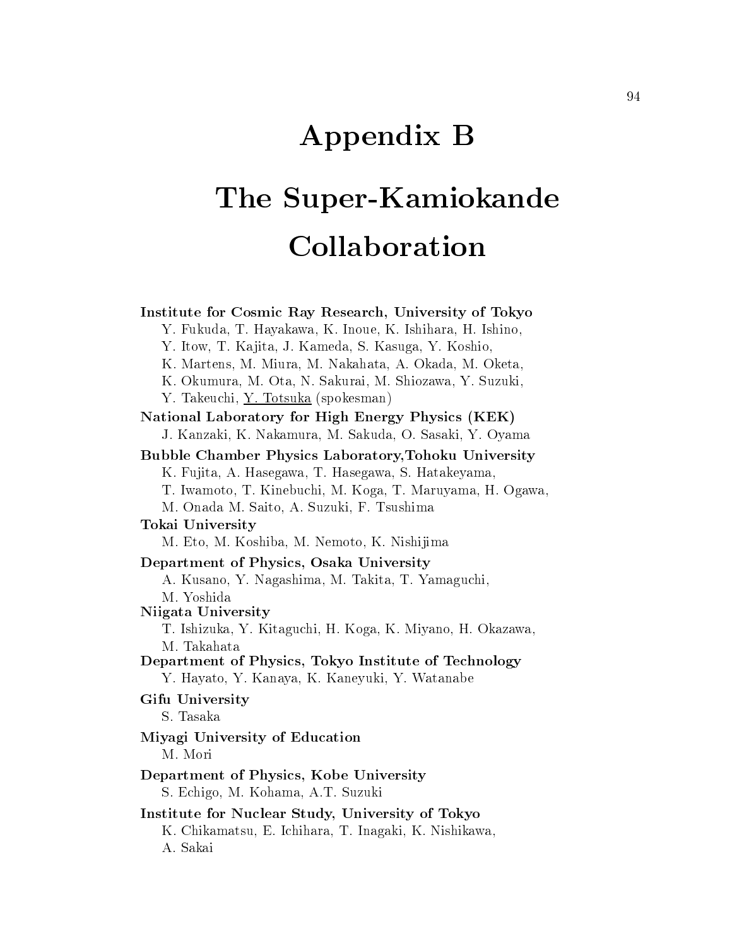## Appendix B

## The Super-Kamiokande Collaboration

Institute for Cosmic Ray Research, University of Tokyo Y. Fukuda, T. Hayakawa, K. Inoue, K. Ishihara, H. Ishino, Y. Itow, T. Ka jita, J. Kameda, S. Kasuga, Y. Koshio, K. Martens, M. Miura, M. Nakahata, A. Okada, M. Oketa, K. Okumura, M. Ota, N. Sakurai, M. Shiozawa, Y. Suzuki, Y. Takeuchi, <u>Y. Totsuka</u> (spokesman) National Laboratory for High Energy Physics (KEK) J. Kanzaki, K. Nakamura, M. Sakuda, O. Sasaki, Y. Oyama Bubble Chamber Physics Laboratory,Tohoku University K. Fujita, A. Hasegawa, T. Hasegawa, S. Hatakeyama, T. Iwamoto, T. Kinebuchi, M. Koga, T. Maruyama, H. Ogawa, M. Onada M. Saito, A. Suzuki, F. Tsushima Tokai University M. Eto, M. Koshiba, M. Nemoto, K. Nishijima Department of Physics, Osaka University A. Kusano, Y. Nagashima, M. Takita, T. Yamaguchi, M. Yoshida Niigata University T. Ishizuka, Y. Kitaguchi, H. Koga, K. Miyano, H. Okazawa, M. Takahata Department of Physics, Tokyo Institute of Technology Y. Hayato, Y. Kanaya, K. Kaneyuki, Y. Watanabe Gifu University S. Tasaka Miyagi University of Education M. Mori Department of Physics, Kobe University S. Echigo, M. Kohama, A.T. Suzuki Institute for Nuclear Study, University of Tokyo K. Chikamatsu, E. Ichihara, T. Inagaki, K. Nishikawa, A. Sakai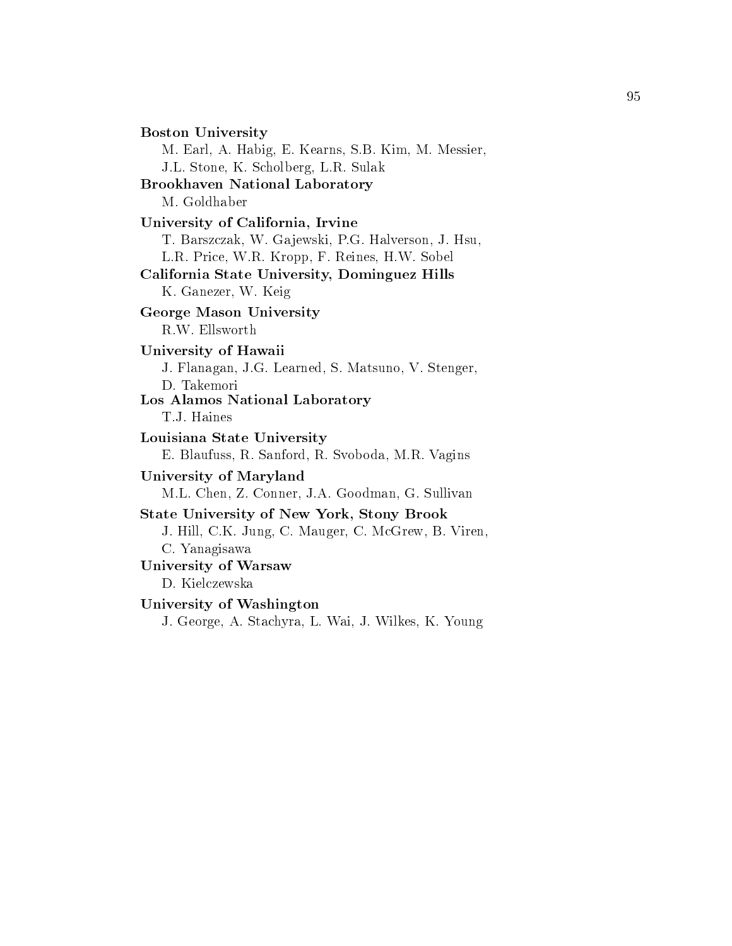Boston University M. Earl, A. Habig, E. Kearns, S.B. Kim, M. Messier, J.L. Stone, K. Scholberg, L.R. Sulak Brookhaven National Laboratory M. Goldhaber University of California, Irvine T. Barszczak, W. Ga jewski, P.G. Halverson, J. Hsu, L.R. Price, W.R. Kropp, F. Reines, H.W. Sobel California State University, Dominguez Hills K. Ganezer, W. Keig George Mason University R.W. Ellsworth University of Hawaii J. Flanagan, J.G. Learned, S. Matsuno, V. Stenger, D. Takemori Los Alamos National Laboratory T.J. Haines Louisiana State University E. Blaufuss, R. Sanford, R. Svoboda, M.R. Vagins University of Maryland M.L. Chen, Z. Conner, J.A. Goodman, G. Sullivan State University of New York, Stony Brook J. Hill, C.K. Jung, C. Mauger, C. McGrew, B. Viren, C. Yanagisawa University of Warsaw D. Kielczewska University of Washington J. George, A. Stachyra, L. Wai, J. Wilkes, K. Young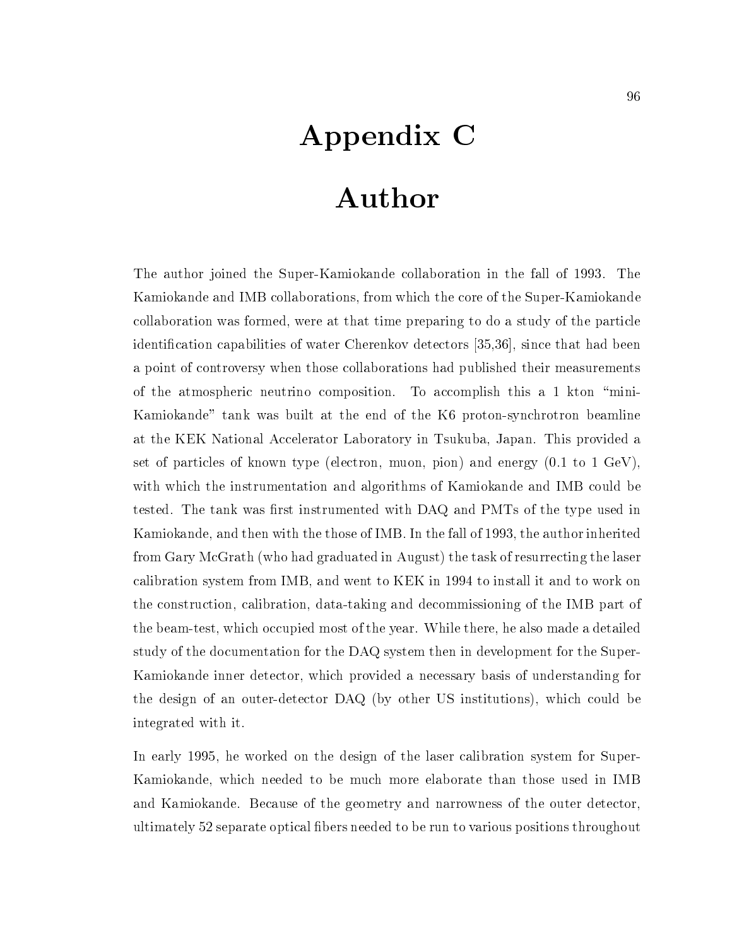## Appendix C

## Author

The author joined the Super-Kamiokande collaboration in the fall of 1993. The Kamiokande and IMB collaborations, from which the core of the Super-Kamiokande collaboration was formed, were at that time preparing to do a study of the particle identication capabilities of water Cherenkov detectors [35,36], since that had been a point of controversy when those collaborations had published their measurements of the atmospheric neutrino composition. To accomplish this a 1 kton \mini-Kamiokande" tank was built at the end of the K6 proton-synchrotron beamline at the KEK National Accelerator Laboratory in Tsukuba, Japan. This provided a set of particles of known type (electron, muon, pion) and energy (0.1 to 1 GeV), with which the instrumentation and algorithms of Kamiokande and IMB could be tested. The tank was first instrumented with DAQ and PMTs of the type used in Kamiokande, and then with the those of IMB. In the fall of 1993, the author inherited from Gary McGrath (who had graduated in August) the task of resurrecting the laser calibration system from IMB, and went to KEK in 1994 to install it and to work on the construction, calibration, data-taking and decommissioning of the IMB part of the beam-test, which occupied most of the year. While there, he also made a detailed study of the documentation for the DAQ system then in development for the Super-Kamiokande inner detector, which provided a necessary basis of understanding for the design of an outer-detector DAQ (by other US institutions), which could be integrated with it.

In early 1995, he worked on the design of the laser calibration system for Super-Kamiokande, which needed to be much more elaborate than those used in IMB and Kamiokande. Because of the geometry and narrowness of the outer detector, ultimately 52 separate optical bers needed to be run to various positions throughout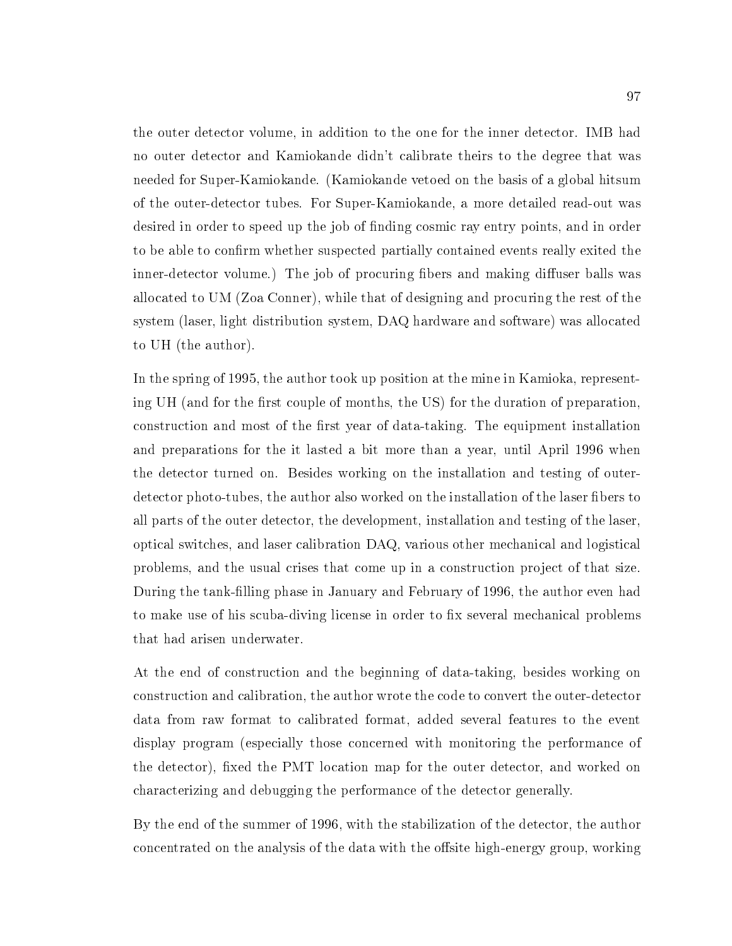the outer detector volume, in addition to the one for the inner detector. IMB had no outer detector and Kamiokande didn't calibrate theirs to the degree that was needed for Super-Kamiokande. (Kamiokande vetoed on the basis of a global hitsum of the outer-detector tubes. For Super-Kamiokande, a more detailed read-out was desired in order to speed up the job of nding cosmic ray entry points, and in order to be able to confirm whether suspected partially contained events really exited the inner-detector volume.) The job of procuring fibers and making diffuser balls was allocated to UM (Zoa Conner), while that of designing and procuring the rest of the system (laser, light distribution system, DAQ hardware and software) was allocated to UH (the author).

In the spring of 1995, the author took up position at the mine in Kamioka, representing UH (and for the first couple of months, the US) for the duration of preparation, construction and most of the first year of data-taking. The equipment installation and preparations for the it lasted a bit more than a year, until April 1996 when the detector turned on. Besides working on the installation and testing of outerdetector photo-tubes, the author also worked on the installation of the laser fibers to all parts of the outer detector, the development, installation and testing of the laser, optical switches, and laser calibration DAQ, various other mechanical and logistical problems, and the usual crises that come up in a construction project of that size. During the tank-lling phase in January and February of 1996, the author even had to make use of his scuba-diving license in order to fix several mechanical problems that had arisen underwater.

At the end of construction and the beginning of data-taking, besides working on construction and calibration, the author wrote the code to convert the outer-detector data from raw format to calibrated format, added several features to the event display program (especially those concerned with monitoring the performance of the detector), fixed the PMT location map for the outer detector, and worked on characterizing and debugging the performance of the detector generally.

By the end of the summer of 1996, with the stabilization of the detector, the author concentrated on the analysis of the data with the offsite high-energy group, working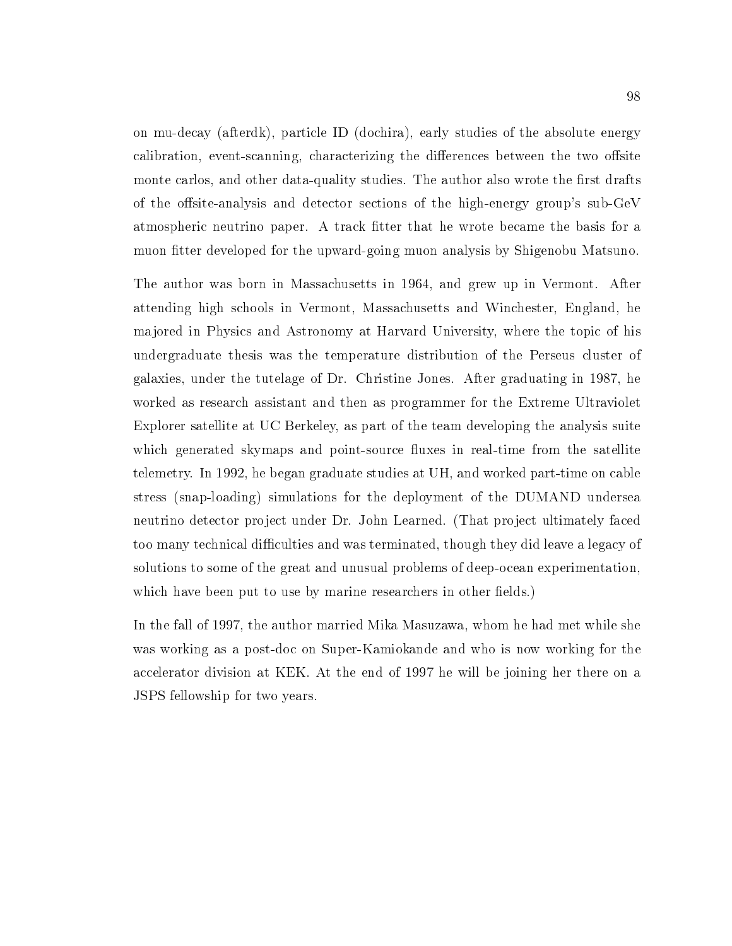on mu-decay (afterdk), particle ID (dochira), early studies of the absolute energy calibration, event-scanning, characterizing the differences between the two offsite monte carlos, and other data-quality studies. The author also wrote the first drafts of the offsite-analysis and detector sections of the high-energy group's sub-GeV atmospheric neutrino paper. A track fitter that he wrote became the basis for a muon fitter developed for the upward-going muon analysis by Shigenobu Matsuno.

The author was born in Massachusetts in 1964, and grew up in Vermont. After attending high schools in Vermont, Massachusetts and Winchester, England, he ma jored in Physics and Astronomy at Harvard University, where the topic of his undergraduate thesis was the temperature distribution of the Perseus cluster of galaxies, under the tutelage of Dr. Christine Jones. After graduating in 1987, he worked as research assistant and then as programmer for the Extreme Ultraviolet Explorer satellite at UC Berkeley, as part of the team developing the analysis suite which generated skymaps and point-source fluxes in real-time from the satellite telemetry. In 1992, he began graduate studies at UH, and worked part-time on cable stress (snap-loading) simulations for the deployment of the DUMAND undersea neutrino detector project under Dr. John Learned. (That project ultimately faced too many technical difficulties and was terminated, though they did leave a legacy of solutions to some of the great and unusual problems of deep-ocean experimentation, which have been put to use by marine researchers in other fields.)

In the fall of 1997, the author married Mika Masuzawa, whom he had met while she was working as a post-doc on Super-Kamiokande and who is now working for the accelerator division at KEK. At the end of 1997 he will be joining her there on a JSPS fellowship for two years.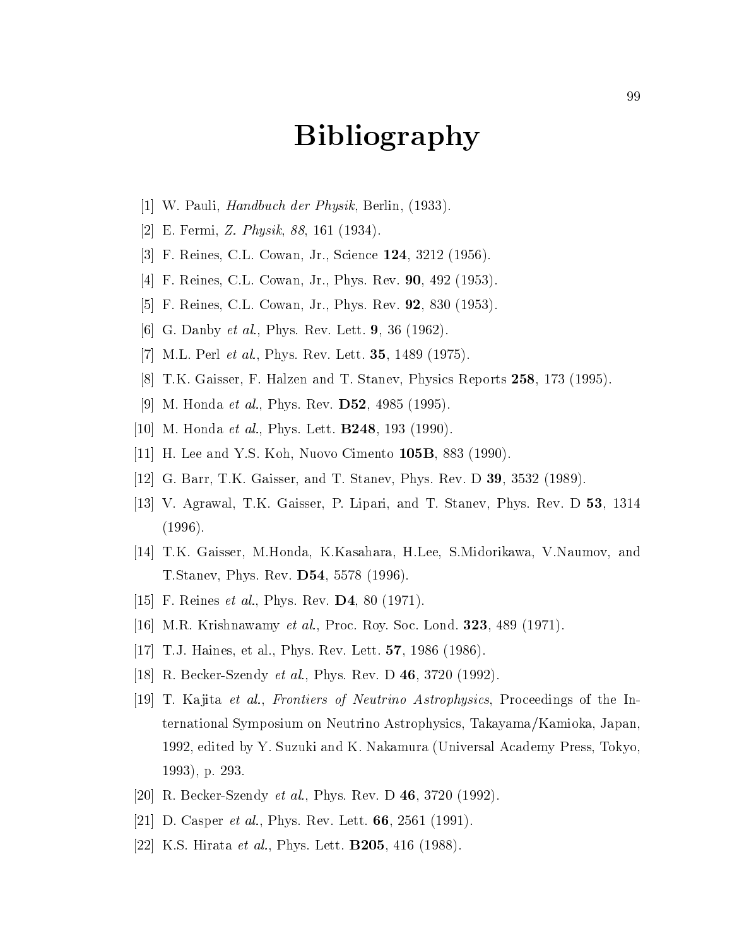## Bibliography

- [1] W. Pauli, Handbuch der Physik, Berlin, (1933).
- [2] E. Fermi, Z. Physik, 88, 161 (1934).
- [3] F. Reines, C.L. Cowan, Jr., Science 124, 3212 (1956).
- [4] F. Reines, C.L. Cowan, Jr., Phys. Rev. 90, 492 (1953).
- [5] F. Reines, C.L. Cowan, Jr., Phys. Rev. 92, 830 (1953).
- [6] G. Danby *et al.*, Phys. Rev. Lett. **9**, 36 (1962).
- [7] M.L. Perl et al., Phys. Rev. Lett. 35, 1489 (1975).
- [8] T.K. Gaisser, F. Halzen and T. Stanev, Physics Reports 258, 173 (1995).
- [9] M. Honda *et al.*, Phys. Rev. **D52**, 4985 (1995).
- [10] M. Honda *et al.*, Phys. Lett. **B248**, 193 (1990).
- [11] H. Lee and Y.S. Koh, Nuovo Cimento 105B, 883 (1990).
- [12] G. Barr, T.K. Gaisser, and T. Stanev, Phys. Rev. D 39, 3532 (1989).
- [13] V. Agrawal, T.K. Gaisser, P. Lipari, and T. Stanev, Phys. Rev. D 53, 1314 (1996).
- [14] T.K. Gaisser, M.Honda, K.Kasahara, H.Lee, S.Midorikawa, V.Naumov, and T.Stanev, Phys. Rev. D54, 5578 (1996).
- [15] F. Reines *et al.*, Phys. Rev. **D4**, 80 (1971).
- [16] M.R. Krishnawamy et al., Proc. Roy. Soc. Lond. 323, 489 (1971).
- [17] T.J. Haines, et al., Phys. Rev. Lett. 57, 1986 (1986).
- [18] R. Becker-Szendy et al., Phys. Rev. D 46, 3720 (1992).
- [19] T. Kajita *et al., Frontiers of Neutrino Astrophysics*, Proceedings of the International Symposium on Neutrino Astrophysics, Takayama/Kamioka, Japan, 1992, edited by Y. Suzuki and K. Nakamura (Universal Academy Press, Tokyo, 1993), p. 293.
- [20] R. Becker-Szendy et al., Phys. Rev. D 46, 3720 (1992).
- [21] D. Casper et al., Phys. Rev. Lett. **66**, 2561 (1991).
- [22] K.S. Hirata *et al.*, Phys. Lett. **B205**, 416 (1988).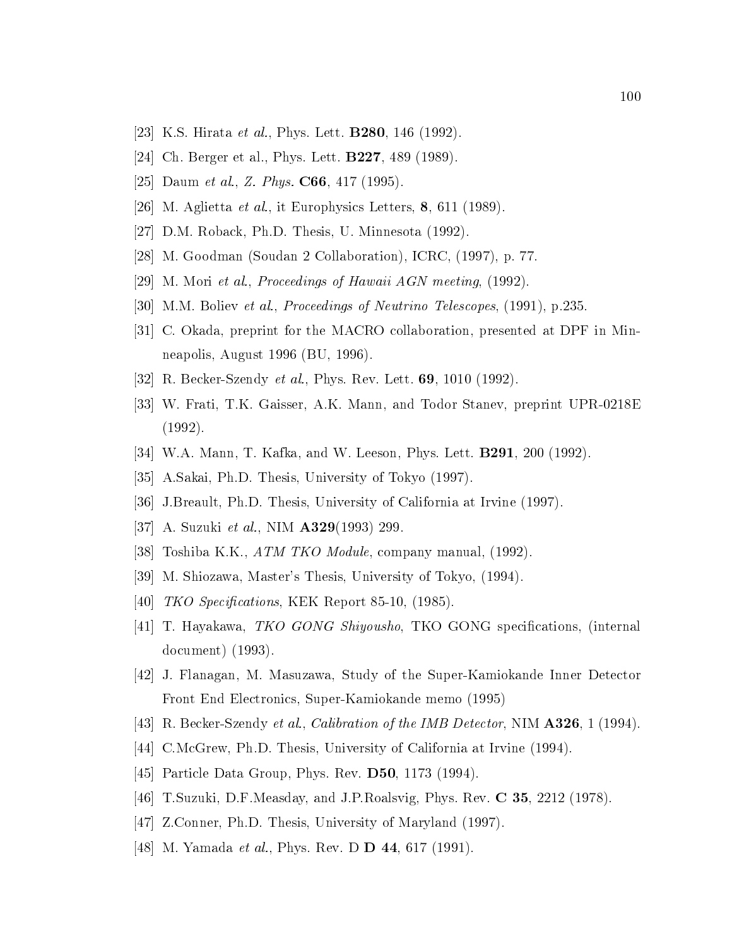- [23] K.S. Hirata *et al.*, Phys. Lett. **B280**, 146 (1992).
- [24] Ch. Berger et al., Phys. Lett. B227, 489 (1989).
- [25] Daum et al., Z. Phys.  $C66$ , 417 (1995).
- [26] M. Aglietta *et al.*, it Europhysics Letters, 8, 611 (1989).
- [27] D.M. Roback, Ph.D. Thesis, U. Minnesota (1992).
- [28] M. Goodman (Soudan 2 Collaboration), ICRC, (1997), p. 77.
- [29] M. Mori et al., Proceedings of Hawaii AGN meeting, (1992).
- [30] M.M. Boliev et al., Proceedings of Neutrino Telescopes, (1991), p.235.
- [31] C. Okada, preprint for the MACRO collaboration, presented at DPF in Minneapolis, August 1996 (BU, 1996).
- [32] R. Becker-Szendy *et al.*, Phys. Rev. Lett. **69**, 1010 (1992).
- [33] W. Frati, T.K. Gaisser, A.K. Mann, and Todor Stanev, preprint UPR-0218E (1992).
- [34] W.A. Mann, T. Kafka, and W. Leeson, Phys. Lett. **B291**, 200 (1992).
- [35] A.Sakai, Ph.D. Thesis, University of Tokyo (1997).
- [36] J.Breault, Ph.D. Thesis, University of California at Irvine (1997).
- [37] A. Suzuki et al., NIM **A329**(1993) 299.
- [38] Toshiba K.K., ATM TKO Module, company manual, (1992).
- [39] M. Shiozawa, Master's Thesis, University of Tokyo, (1994).
- [40]  $TKO\ Spectractions$ , KEK Report 85-10, (1985).
- [41] T. Hayakawa, *TKO GONG Shiyousho*, TKO GONG specifications, (internal document) (1993).
- [42] J. Flanagan, M. Masuzawa, Study of the Super-Kamiokande Inner Detector Front End Electronics, Super-Kamiokande memo (1995)
- [43] R. Becker-Szendy et al., Calibration of the IMB Detector, NIM A326, 1 (1994).
- [44] C.McGrew, Ph.D. Thesis, University of California at Irvine (1994).
- [45] Particle Data Group, Phys. Rev. D50, 1173 (1994).
- [46] T.Suzuki, D.F.Measday, and J.P.Roalsvig, Phys. Rev. C 35, 2212 (1978).
- [47] Z.Conner, Ph.D. Thesis, University of Maryland (1997).
- [48] M. Yamada *et al.*, Phys. Rev. D **D** 44, 617 (1991).